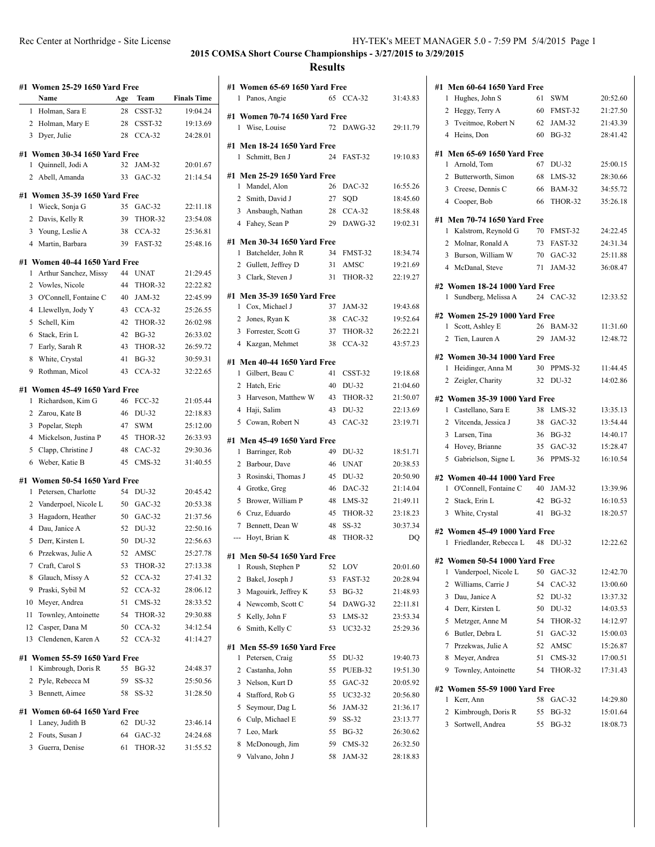| #1 | <b>Women 25-29 1650 Yard Free</b> |                                 |     |               |                    |  |  |
|----|-----------------------------------|---------------------------------|-----|---------------|--------------------|--|--|
|    |                                   | Name                            | Age | Team          | <b>Finals Time</b> |  |  |
|    | 1                                 | Holman, Sara E                  | 28  | CSST-32       | 19:04.24           |  |  |
|    | 2                                 | Holman, Mary E                  | 28  | CSST-32       | 19:13.69           |  |  |
|    | 3                                 | Dyer, Julie                     | 28  | $CCA-32$      | 24:28.01           |  |  |
|    |                                   |                                 |     |               |                    |  |  |
|    |                                   | #1 Women 30-34 1650 Yard Free   |     |               |                    |  |  |
|    | 1                                 | Quinnell, Jodi A                | 32  | JAM-32        | 20:01.67           |  |  |
|    | 2                                 | Abell, Amanda                   | 33  | $GAC-32$      | 21:14.54           |  |  |
|    |                                   | #1 Women 35-39 1650 Yard Free   |     |               |                    |  |  |
|    | 1                                 | Wieck, Sonja G                  | 35  | $GAC-32$      | 22:11.18           |  |  |
|    | 2                                 | Davis, Kelly R                  | 39  | THOR-32       | 23:54.08           |  |  |
|    | 3                                 | Young, Leslie A                 | 38  | $CCA-32$      | 25:36.81           |  |  |
|    |                                   | 4 Martin, Barbara               | 39  | FAST-32       | 25:48.16           |  |  |
|    |                                   | #1 Women 40-44 1650 Yard Free   |     |               |                    |  |  |
|    | 1                                 | Arthur Sanchez, Missy           | 44  | <b>UNAT</b>   | 21:29.45           |  |  |
|    | 2                                 | Vowles, Nicole                  | 44  | THOR-32       | 22:22.82           |  |  |
|    | 3                                 | O'Connell, Fontaine C           | 40  | <b>JAM-32</b> | 22:45.99           |  |  |
|    | 4                                 | Llewellyn, Jody Y               | 43  | $CCA-32$      | 25:26.55           |  |  |
|    | 5                                 |                                 | 42  | THOR-32       | 26:02.98           |  |  |
|    |                                   | Schell, Kim                     |     |               |                    |  |  |
|    | 6                                 | Stack, Erin L                   | 42  | <b>BG-32</b>  | 26:33.02           |  |  |
|    | 7                                 | Early, Sarah R                  | 43  | THOR-32       | 26:59.72           |  |  |
|    | 8                                 | White, Crystal                  | 41  | <b>BG-32</b>  | 30:59.31           |  |  |
|    | 9                                 | Rothman, Micol                  | 43  | $CCA-32$      | 32:22.65           |  |  |
|    |                                   | #1 Women 45-49 1650 Yard Free   |     |               |                    |  |  |
|    | 1                                 | Richardson, Kim G               | 46  | <b>FCC-32</b> | 21:05.44           |  |  |
|    | 2                                 | Zarou, Kate B                   | 46  | DU-32         | 22:18.83           |  |  |
|    | 3                                 | Popelar, Steph                  | 47  | <b>SWM</b>    | 25:12.00           |  |  |
|    | $\overline{4}$                    | Mickelson, Justina P            | 45  | THOR-32       | 26:33.93           |  |  |
|    | 5                                 | Clapp, Christine J              | 48  | $CAC-32$      | 29:30.36           |  |  |
|    | 6                                 | Weber, Katie B                  | 45  | $CMS-32$      | 31:40.55           |  |  |
|    |                                   | #1   Women 50-54 1650 Yard Free |     |               |                    |  |  |
|    | 1                                 | Petersen, Charlotte             | 54  | DU-32         | 20:45.42           |  |  |
|    | 2                                 | Vanderpoel, Nicole L            | 50  | $GAC-32$      | 20:53.38           |  |  |
|    | 3                                 | Hagadorn, Heather               | 50  | $GAC-32$      | 21:37.56           |  |  |
|    | 4                                 | Dau, Janice A                   | 52  | DU-32         | 22:50.16           |  |  |
|    | 5                                 | Derr, Kirsten L                 | 50  | DU-32         | 22:56.63           |  |  |
|    | 6                                 | Przekwas, Julie A               | 52  | AMSC          | 25:27.78           |  |  |
|    | 7                                 | Craft, Carol S                  | 53  | THOR-32       | 27:13.38           |  |  |
|    | 8                                 | Glauch, Missy A                 | 52  | $CCA-32$      | 27:41.32           |  |  |
|    | 9                                 | Praski, Sybil M                 | 52  | $CCA-32$      | 28:06.12           |  |  |
|    | 10                                | Meyer, Andrea                   | 51  | $CMS-32$      | 28:33.52           |  |  |
|    | 11                                | Townley, Antoinette             | 54  | THOR-32       | 29:30.88           |  |  |
|    | 12                                | Casper, Dana M                  | 50  | $CCA-32$      | 34:12.54           |  |  |
|    | 13                                | Clendenen, Karen A              | 52  | $CCA-32$      | 41:14.27           |  |  |
|    |                                   |                                 |     |               |                    |  |  |
|    |                                   | #1 Women 55-59 1650 Yard Free   |     |               |                    |  |  |
|    | 1                                 | Kimbrough, Doris R              | 55  | BG-32         | 24:48.37           |  |  |
|    | 2                                 | Pyle, Rebecca M                 | 59  | SS-32         | 25:50.56           |  |  |
|    | 3                                 | Bennett, Aimee                  | 58  | SS-32         | 31:28.50           |  |  |
|    |                                   | #1   Women 60-64 1650 Yard Free |     |               |                    |  |  |
|    | 1                                 | Laney, Judith B                 | 62  | DU-32         | 23:46.14           |  |  |
|    | 2                                 | Fouts, Susan J                  | 64  | $GAC-32$      | 24:24.68           |  |  |
|    | 3                                 | Guerra, Denise                  | 61  | THOR-32       | 31:55.52           |  |  |
|    |                                   |                                 |     |               |                    |  |  |

|                     | #1 Women 65-69 1650 Yard Free                  |          |                      |                      |
|---------------------|------------------------------------------------|----------|----------------------|----------------------|
|                     | 1 Panos, Angie                                 |          | 65 CCA-32            | 31:43.83             |
|                     | #1 Women 70-74 1650 Yard Free                  |          |                      |                      |
| 1                   | Wise, Louise                                   | 72       | DAWG-32              | 29:11.79             |
|                     |                                                |          |                      |                      |
| 1                   | #1 Men 18-24 1650 Yard Free<br>Schmitt, Ben J  | 24       | FAST-32              | 19:10.83             |
|                     |                                                |          |                      |                      |
|                     | #1 Men 25-29 1650 Yard Free                    |          |                      |                      |
| 1                   | Mandel, Alon                                   | 26       | $DAC-32$             | 16:55.26             |
| $\overline{2}$      | Smith, David J                                 | 27       | SQD                  | 18:45.60             |
|                     | 3 Ansbaugh, Nathan                             | 28       | $CCA-32$             | 18:58.48             |
|                     | 4 Fahey, Sean P                                | 29       | DAWG-32              | 19:02.31             |
|                     | #1 Men 30-34 1650 Yard Free                    |          |                      |                      |
| 1                   | Batchelder, John R                             | 34       | FMST-32              | 18:34.74             |
|                     | 2 Gullett, Jeffrey D                           | 31       | AMSC                 | 19:21.69             |
|                     | 3 Clark, Steven J                              | 31       | THOR-32              | 22:19.27             |
|                     | #1 Men 35-39 1650 Yard Free                    |          |                      |                      |
| 1                   | Cox, Michael J                                 | 37       | JAM-32               | 19:43.68             |
| $\overline{2}$      | Jones, Ryan K                                  | 38       | $CAC-32$             | 19:52.64             |
|                     | 3 Forrester, Scott G                           | 37       | THOR-32              | 26:22.21             |
|                     | 4 Kazgan, Mehmet                               | 38       | $CCA-32$             | 43:57.23             |
|                     |                                                |          |                      |                      |
| 1                   | #1 Men 40-44 1650 Yard Free<br>Gilbert, Beau C | 41       | CSST-32              | 19:18.68             |
|                     | 2 Hatch, Eric                                  | 40       | DU-32                | 21:04.60             |
| 3                   | Harveson, Matthew W                            | 43       | THOR-32              | 21:50.07             |
|                     | 4 Haji, Salim                                  | 43       | DU-32                | 22:13.69             |
|                     | 5 Cowan, Robert N                              | 43       | $CAC-32$             | 23:19.71             |
|                     |                                                |          |                      |                      |
|                     | #1 Men 45-49 1650 Yard Free                    |          |                      |                      |
| 1                   | Barringer, Rob                                 | 49       | DU-32                | 18:51.71             |
| $\overline{2}$<br>3 | Barbour, Dave<br>Rosinski, Thomas J            | 46<br>45 | <b>UNAT</b><br>DU-32 | 20:38.53<br>20:50.90 |
| $\overline{4}$      |                                                | 46       | DAC-32               | 21:14.04             |
| 5                   | Grotke, Greg<br>Brower, William P              | 48       | $LMS-32$             | 21:49.11             |
|                     | 6 Cruz, Eduardo                                | 45       | THOR-32              | 23:18.23             |
| 7                   | Bennett, Dean W                                | 48       | $SS-32$              | 30:37.34             |
| ---                 | Hoyt, Brian K                                  | 48       | THOR-32              | DQ                   |
|                     |                                                |          |                      |                      |
|                     | #1 Men 50-54 1650 Yard Free                    |          |                      |                      |
| 1                   | Roush, Stephen P                               | 52       | LOV                  | 20:01.60             |
| 2                   | Bakel, Joseph J                                | 53       | FAST-32              | 20:28.94             |
| 3                   | Magouirk, Jeffrey K                            | 53       | BG-32                | 21:48.93             |
| 4                   | Newcomb, Scott C                               | 54       | DAWG-32              | 22:11.81             |
| 5<br>6              | Kelly, John F                                  | 53       | LMS-32               | 23:53.34             |
|                     | Smith, Kelly C                                 | 53       | UC32-32              | 25:29.36             |
|                     | #1 Men 55-59 1650 Yard Free                    |          |                      |                      |
| 1                   | Petersen, Craig                                | 55       | DU-32                | 19:40.73             |
| 2                   | Castanha, John                                 | 55       | PUEB-32              | 19:51.30             |
| 3                   | Nelson, Kurt D                                 | 55       | $GAC-32$             | 20:05.92             |
| 4                   | Stafford, Rob G                                | 55       | UC32-32              | 20:56.80             |
| 5                   | Seymour, Dag L                                 | 56       | JAM-32               | 21:36.17             |
| 6                   | Culp, Michael E                                | 59       | SS-32                | 23:13.77             |
| 7                   | Leo, Mark                                      | 55       | <b>BG-32</b>         | 26:30.62             |
| 8                   | McDonough, Jim                                 | 59       | CMS-32               | 26:32.50             |
| 9                   | Valvano, John J                                | 58       | JAM-32               | 28:18.83             |

| #1             | <b>Men 60-64 1650 Yard Free</b>                        |    |               |          |
|----------------|--------------------------------------------------------|----|---------------|----------|
| 1              | Hughes, John S                                         | 61 | <b>SWM</b>    | 20:52.60 |
| 2              | Heggy, Terry A                                         | 60 | FMST-32       | 21:27.50 |
|                | 3 Tveitmoe, Robert N                                   | 62 | JAM-32        | 21:43.39 |
| $\overline{4}$ | Heins, Don                                             | 60 | <b>BG-32</b>  | 28:41.42 |
|                |                                                        |    |               |          |
|                | #1 Men 65-69 1650 Yard Free                            |    |               |          |
| 1              | Arnold, Tom                                            | 67 | DU-32         | 25:00.15 |
| $\overline{2}$ | Butterworth, Simon                                     | 68 | $LMS-32$      | 28:30.66 |
|                | 3 Creese, Dennis C                                     | 66 | <b>BAM-32</b> | 34:55.72 |
|                | 4 Cooper, Bob                                          | 66 | THOR-32       | 35:26.18 |
|                | #1 Men 70-74 1650 Yard Free                            |    |               |          |
| 1              | Kalstrom, Reynold G                                    | 70 | FMST-32       | 24:22.45 |
| 2              | Molnar, Ronald A                                       | 73 | FAST-32       | 24:31.34 |
| 3              | Burson, William W                                      | 70 | GAC-32        | 25:11.88 |
|                | 4 McDanal, Steve                                       | 71 | JAM-32        | 36:08.47 |
|                |                                                        |    |               |          |
|                | #2 Women 18-24 1000 Yard Free<br>1 Sundberg, Melissa A |    | 24 CAC-32     | 12:33.52 |
|                |                                                        |    |               |          |
|                | #2 Women 25-29 1000 Yard Free                          |    |               |          |
| 1              | Scott, Ashley E                                        | 26 | <b>BAM-32</b> | 11:31.60 |
| $\overline{2}$ | Tien, Lauren A                                         |    | 29 JAM-32     | 12:48.72 |
|                | #2 Women 30-34 1000 Yard Free                          |    |               |          |
| 1              | Heidinger, Anna M                                      | 30 | PPMS-32       | 11:44.45 |
|                | 2 Zeigler, Charity                                     | 32 | DU-32         | 14:02.86 |
|                |                                                        |    |               |          |
|                | #2 Women 35-39 1000 Yard Free                          |    |               |          |
|                | 1 Castellano, Sara E                                   | 38 | LMS-32        | 13:35.13 |
|                | 2 Vitcenda, Jessica J                                  | 38 | GAC-32        | 13:54.44 |
| 3              | Larsen, Tina                                           |    | 36 BG-32      | 14:40.17 |
| $\overline{4}$ | Hovey, Brianne                                         |    | 35 GAC-32     | 15:28.47 |
| 5              | Gabrielson, Signe L                                    | 36 | PPMS-32       | 16:10.54 |
|                | #2 Women 40-44 1000 Yard Free                          |    |               |          |
|                | 1 O'Connell, Fontaine C                                | 40 | JAM-32        | 13:39.96 |
| 2              | Stack, Erin L                                          | 42 | $BG-32$       | 16:10.53 |
|                | 3 White, Crystal                                       | 41 | $BG-32$       | 18:20.57 |
|                |                                                        |    |               |          |
|                | #2 Women 45-49 1000 Yard Free                          |    |               |          |
| 1              | Friedlander, Rebecca L                                 | 48 | DU-32         | 12:22.62 |
|                | #2 Women 50-54 1000 Yard Free                          |    |               |          |
| 1              | Vanderpoel, Nicole L                                   | 50 | GAC-32        | 12:42.70 |
| 2              | Williams, Carrie J                                     | 54 | $CAC-32$      | 13:00.60 |
| 3              | Dau, Janice A                                          | 52 | DU-32         | 13:37.32 |
| 4              | Derr, Kirsten L                                        | 50 | DU-32         | 14:03.53 |
| 5              | Metzger, Anne M                                        | 54 | THOR-32       | 14:12.97 |
| 6              | Butler, Debra L                                        | 51 | $GAC-32$      | 15:00.03 |
| 7              | Przekwas, Julie A                                      | 52 | AMSC          | 15:26.87 |
| 8              | Meyer, Andrea                                          | 51 | $CMS-32$      | 17:00.51 |
| 9              | Townley, Antoinette                                    | 54 | THOR-32       | 17:31.43 |
|                |                                                        |    |               |          |
|                | #2 Women 55-59 1000 Yard Free                          |    |               |          |
| 1              | Kerr, Ann                                              | 58 | $GAC-32$      | 14:29.80 |
| 2              | Kimbrough, Doris R                                     | 55 | BG-32         | 15:01.64 |
| 3              | Sortwell, Andrea                                       | 55 | <b>BG-32</b>  | 18:08.73 |
|                |                                                        |    |               |          |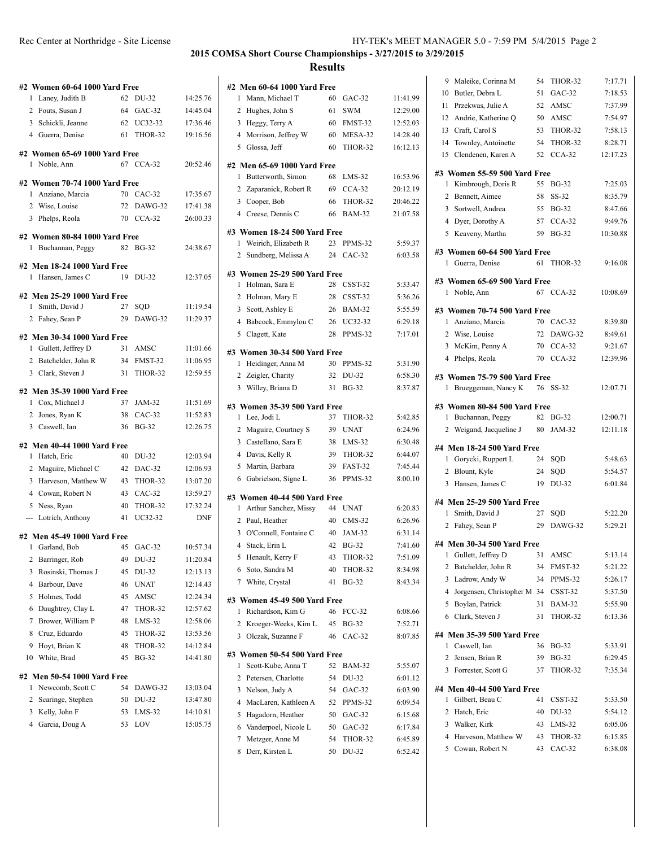| Rec Center at Northridge - Site License | HY-TEK's MEET MANAGER 5.0 - 7:59 PM 5/4/2015 Page 2 |
|-----------------------------------------|-----------------------------------------------------|
|                                         |                                                     |

| #2 Women 60-64 1000 Yard Free                         |    |              |            |
|-------------------------------------------------------|----|--------------|------------|
| Laney, Judith B<br>1                                  | 62 | DU-32        | 14:25.76   |
| 2 Fouts, Susan J                                      |    | 64 GAC-32    | 14:45.04   |
| 3 Schickli, Jeanne                                    | 62 | UC32-32      | 17:36.46   |
| 4 Guerra, Denise                                      | 61 | THOR-32      | 19:16.56   |
| #2 Women 65-69 1000 Yard Free                         |    |              |            |
| Noble, Ann<br>1                                       |    | 67 CCA-32    | 20:52.46   |
|                                                       |    |              |            |
| #2 Women 70-74 1000 Yard Free<br>Anziano, Marcia<br>1 |    | 70 CAC-32    | 17:35.67   |
| 2 Wise, Louise                                        | 72 | DAWG-32      | 17:41.38   |
| 3 Phelps, Reola                                       |    | 70 CCA-32    | 26:00.33   |
|                                                       |    |              |            |
| #2 Women 80-84 1000 Yard Free                         |    |              |            |
| Buchannan, Peggy<br>1.                                | 82 | <b>BG-32</b> | 24:38.67   |
| #2 Men 18-24 1000 Yard Free                           |    |              |            |
| Hansen, James C<br>1                                  |    | 19 DU-32     | 12:37.05   |
| #2 Men 25-29 1000 Yard Free                           |    |              |            |
| Smith, David J<br>1                                   | 27 | SQD          | 11:19.54   |
| 2 Fahey, Sean P                                       | 29 | DAWG-32      | 11:29.37   |
|                                                       |    |              |            |
| #2 Men 30-34 1000 Yard Free                           |    |              |            |
| 1 Gullett, Jeffrey D                                  | 31 | AMSC         | 11:01.66   |
| 2 Batchelder, John R                                  | 34 | FMST-32      | 11:06.95   |
| 3 Clark, Steven J                                     | 31 | THOR-32      | 12:59.55   |
| #2 Men 35-39 1000 Yard Free                           |    |              |            |
| 1 Cox, Michael J                                      | 37 | JAM-32       | 11:51.69   |
| 2 Jones, Ryan K                                       | 38 | $CAC-32$     | 11:52.83   |
| 3 Caswell, Ian                                        | 36 | <b>BG-32</b> | 12:26.75   |
| #2 Men 40-44 1000 Yard Free                           |    |              |            |
| 1<br>Hatch, Eric                                      | 40 | DU-32        | 12:03.94   |
| 2<br>Maguire, Michael C                               | 42 | DAC-32       | 12:06.93   |
| 3<br>Harveson, Matthew W                              | 43 | THOR-32      | 13:07.20   |
| 4 Cowan, Robert N                                     | 43 | $CAC-32$     | 13:59.27   |
| 5<br>Ness, Ryan                                       | 40 | THOR-32      | 17:32.24   |
| --- Lotrich, Anthony                                  | 41 | UC32-32      | <b>DNF</b> |
|                                                       |    |              |            |
| #2 Men 45-49 1000 Yard Free                           |    |              |            |
| Garland, Bob<br>1                                     | 45 | $GAC-32$     | 10:57.34   |
| Barringer, Rob<br>2                                   | 49 | DU-32        | 11:20.84   |
| 3<br>Rosinski, Thomas J                               | 45 | DU-32        | 12:13.13   |
| 4<br>Barbour, Dave                                    | 46 | UNAT         | 12:14.43   |
| 5<br>Holmes, Todd                                     | 45 | AMSC         | 12:24.34   |
| Daughtrey, Clay L<br>6                                | 47 | THOR-32      | 12:57.62   |
| Brower, William P<br>7                                | 48 | $LMS-32$     | 12:58.06   |
| 8<br>Cruz, Eduardo                                    | 45 | THOR-32      | 13:53.56   |
| Hoyt, Brian K<br>9<br>White, Brad                     | 48 | THOR-32      | 14:12.84   |
| 10                                                    | 45 | <b>BG-32</b> | 14:41.80   |
| #2 Men 50-54 1000 Yard Free                           |    |              |            |
| Newcomb, Scott C<br>1                                 | 54 | DAWG-32      | 13:03.04   |
| 2<br>Scaringe, Stephen                                | 50 | DU-32        | 13:47.80   |
| 3<br>Kelly, John F                                    | 53 | $LMS-32$     | 14:10.81   |
| Garcia, Doug A<br>4                                   | 53 | LOV          | 15:05.75   |
|                                                       |    |              |            |

|   | #2 Men 60-64 1000 Yard Free                 |          |                          |                      |
|---|---------------------------------------------|----------|--------------------------|----------------------|
| 1 | Mann, Michael T                             | 60       | $GAC-32$                 | 11:41.99             |
| 2 | Hughes, John S                              | 61       | <b>SWM</b>               | 12:29.00             |
|   | 3 Heggy, Terry A                            | 60       | FMST-32                  | 12:52.03             |
|   | 4 Morrison, Jeffrey W                       | 60       | MESA-32                  | 14:28.40             |
|   | 5 Glossa, Jeff                              | 60       | THOR-32                  | 16:12.13             |
|   |                                             |          |                          |                      |
|   | #2 Men 65-69 1000 Yard Free                 |          |                          |                      |
| 1 | Butterworth, Simon                          | 68       | $LMS-32$                 | 16:53.96             |
| 2 | Zaparanick, Robert R                        | 69       | $CCA-32$                 | 20:12.19<br>20:46.22 |
|   | 3 Cooper, Bob<br>4 Creese, Dennis C         | 66<br>66 | THOR-32<br><b>BAM-32</b> | 21:07.58             |
|   |                                             |          |                          |                      |
|   | #3 Women 18-24 500 Yard Free                |          |                          |                      |
| 1 | Weirich, Elizabeth R                        | 23       | PPMS-32                  | 5:59.37              |
|   | 2 Sundberg, Melissa A                       | 24       | $CAC-32$                 | 6:03.58              |
|   | #3 Women 25-29 500 Yard Free                |          |                          |                      |
| 1 | Holman, Sara E                              | 28       | CSST-32                  | 5:33.47              |
|   | 2 Holman, Mary E                            | 28       | CSST-32                  | 5:36.26              |
|   | 3 Scott, Ashley E                           | 26       | BAM-32                   | 5:55.59              |
|   | 4 Babcock, Emmylou C                        | 26       | UC32-32                  | 6:29.18              |
| 5 | Clagett, Kate                               | 28       | PPMS-32                  | 7:17.01              |
|   | #3 Women 30-34 500 Yard Free                |          |                          |                      |
|   | 1 Heidinger, Anna M                         | 30       | PPMS-32                  | 5:31.90              |
|   | 2 Zeigler, Charity                          | 32       | DU-32                    | 6:58.30              |
| 3 | Willey, Briana D                            | 31       | <b>BG-32</b>             | 8:37.87              |
|   |                                             |          |                          |                      |
| 1 | #3 Women 35-39 500 Yard Free<br>Lee, Jodi L | 37       |                          | 5:42.85              |
|   |                                             |          | THOR-32<br><b>UNAT</b>   | 6:24.96              |
| 2 | Maguire, Courtney S                         | 39<br>38 | $LMS-32$                 | 6:30.48              |
|   | 3 Castellano, Sara E<br>4 Davis, Kelly R    | 39       | THOR-32                  | 6:44.07              |
|   | 5 Martin, Barbara                           | 39       | FAST-32                  | 7:45.44              |
| 6 | Gabrielson, Signe L                         | 36       | PPMS-32                  | 8:00.10              |
|   |                                             |          |                          |                      |
|   | #3  Women 40-44 500 Yard Free               |          |                          |                      |
| 1 | Arthur Sanchez, Missy                       | 44       | <b>UNAT</b>              | 6:20.83              |
|   | 2 Paul, Heather                             | 40       | $CMS-32$                 | 6:26.96              |
|   | 3 O'Connell, Fontaine C                     | 40       | JAM-32                   | 6:31.14              |
|   | 4 Stack, Erin L                             | 42       | <b>BG-32</b>             | 7:41.60              |
|   | 5 Henault, Kerry F                          | 43       | THOR-32                  | 7:51.09              |
| 6 | Soto, Sandra M                              | 40       | THOR-32                  | 8:34.98              |
| 7 | White, Crystal                              | 41       | <b>BG-32</b>             | 8:43.34              |
|   | #3  Women 45-49 500 Yard Free               |          |                          |                      |
| 1 | Richardson, Kim G                           | 46       | $FCC-32$                 | 6:08.66              |
| 2 | Kroeger-Weeks, Kim L                        | 45       | <b>BG-32</b>             | 7:52.71              |
| 3 | Olczak, Suzanne F                           | 46       | $CAC-32$                 | 8:07.85              |
|   | #3 Women 50-54 500 Yard Free                |          |                          |                      |
| 1 | Scott-Kube, Anna T                          | 52       | <b>BAM-32</b>            | 5:55.07              |
|   | 2 Petersen, Charlotte                       | 54       | DU-32                    | 6:01.12              |
| 3 | Nelson, Judy A                              | 54       | GAC-32                   | 6:03.90              |
| 4 | MacLaren, Kathleen A                        | 52       | PPMS-32                  | 6:09.54              |
| 5 | Hagadorn, Heather                           | 50       | GAC-32                   | 6:15.68              |
| 6 | Vanderpoel, Nicole L                        | 50       | $GAC-32$                 | 6:17.84              |
| 7 | Metzger, Anne M                             | 54       | THOR-32                  | 6:45.89              |
| 8 | Derr, Kirsten L                             | 50       | DU-32                    | 6:52.42              |
|   |                                             |          |                          |                      |
|   |                                             |          |                          |                      |

| 10             | Maleike, Corinna M                               | 54       | THOR-32                  | 7:17.71            |
|----------------|--------------------------------------------------|----------|--------------------------|--------------------|
|                | Butler, Debra L                                  | 51       | GAC-32                   | 7:18.53            |
| 11             | Przekwas, Julie A                                | 52       | AMSC                     | 7:37.99            |
| 12             | Andrie, Katherine Q                              | 50       | AMSC                     | 7:54.97            |
| 13             | Craft, Carol S                                   | 53       | THOR-32                  | 7:58.13            |
| 14             | Townley, Antoinette                              | 54       | THOR-32                  | 8:28.71            |
| 15             | Clendenen, Karen A                               | 52       | $CCA-32$                 | 12:17.23           |
|                | #3 Women 55-59 500 Yard Free                     |          |                          |                    |
| 1              | Kimbrough, Doris R                               | 55       | <b>BG-32</b>             | 7:25.03            |
| 2              | Bennett, Aimee                                   | 58       | $SS-32$                  | 8:35.79            |
|                | 3 Sortwell, Andrea                               |          | 55 BG-32                 | 8:47.66            |
| 4              | Dyer, Dorothy A                                  |          | 57 CCA-32                | 9:49.76            |
|                | 5 Keaveny, Martha                                | 59       | <b>BG-32</b>             | 10:30.88           |
|                | #3 Women 60-64 500 Yard Free                     |          |                          |                    |
|                | 1 Guerra, Denise                                 | 61       | THOR-32                  | 9:16.08            |
|                |                                                  |          |                          |                    |
|                | #3 Women 65-69 500 Yard Free<br>1 Noble, Ann     |          | 67 CCA-32                | 10:08.69           |
|                |                                                  |          |                          |                    |
|                | #3 Women 70-74 500 Yard Free                     |          |                          |                    |
|                | 1 Anziano, Marcia                                |          | 70 CAC-32                | 8:39.80            |
|                | 2 Wise, Louise                                   |          | 72 DAWG-32               | 8:49.61            |
| 3              | McKim, Penny A                                   |          | 70 CCA-32                | 9:21.67            |
|                | 4 Phelps, Reola                                  |          | 70 CCA-32                | 12:39.96           |
|                | #3 Women 75-79 500 Yard Free                     |          |                          |                    |
|                | 1 Brueggeman, Nancy K                            |          | 76 SS-32                 | 12:07.71           |
|                |                                                  |          |                          |                    |
| 1              | #3 Women 80-84 500 Yard Free<br>Buchannan, Peggy |          | 82 BG-32                 | 12:00.71           |
|                | 2 Weigand, Jacqueline J 80                       |          | JAM-32                   | 12:11.18           |
|                |                                                  |          |                          |                    |
|                | #4 Men 18-24 500 Yard Free                       |          |                          |                    |
|                |                                                  |          | SQD                      |                    |
|                | 1 Gorycki, Ruppert L                             | 24       |                          | 5:48.63            |
|                | 2 Blount, Kyle                                   | 24       | SQD                      | 5:54.57            |
| 3              | Hansen, James C                                  | 19       | DU-32                    | 6:01.84            |
|                | #4 Men 25-29 500 Yard Free                       |          |                          |                    |
| 1              | Smith, David J                                   | 27       | SOD                      | 5:22.20            |
| $\overline{2}$ | Fahey, Sean P                                    | 29       | DAWG-32                  | 5:29.21            |
|                |                                                  |          |                          |                    |
|                | #4 Men 30-34 500 Yard Free                       |          | 31 AMSC                  |                    |
|                | 1 Gullett, Jeffrey D                             |          |                          | 5:13.14            |
| 2<br>3         | Batchelder, John R                               | 34<br>34 | FMST-32<br>PPMS-32       | 5:21.22            |
|                | Ladrow, Andy W                                   |          |                          | 5:26.17            |
| 4              | Jorgensen, Christopher M 34                      |          | CSST-32                  | 5:37.50            |
| 5<br>6         | Boylan, Patrick<br>Clark, Steven J               | 31<br>31 | <b>BAM-32</b><br>THOR-32 | 5:55.90<br>6:13.36 |
|                |                                                  |          |                          |                    |
|                | #4 Men 35-39 500 Yard Free                       |          |                          |                    |
| 1              | Caswell, Ian                                     | 36       | <b>BG-32</b>             | 5:33.91            |
| 2              | Jensen, Brian R                                  | 39       | <b>BG-32</b>             | 6:29.45            |
| 3              | Forrester, Scott G                               | 37       | THOR-32                  | 7:35.34            |
|                | #4 Men 40-44 500 Yard Free                       |          |                          |                    |
| 1              | Gilbert, Beau C                                  | 41       | CSST-32                  | 5:33.50            |
| 2              | Hatch, Eric                                      | 40       | DU-32                    | 5:54.12            |
| 3              | Walker, Kirk                                     | 43       | $LMS-32$                 | 6:05.06            |
| 4              | Harveson, Matthew W                              | 43       | THOR-32                  | 6:15.85            |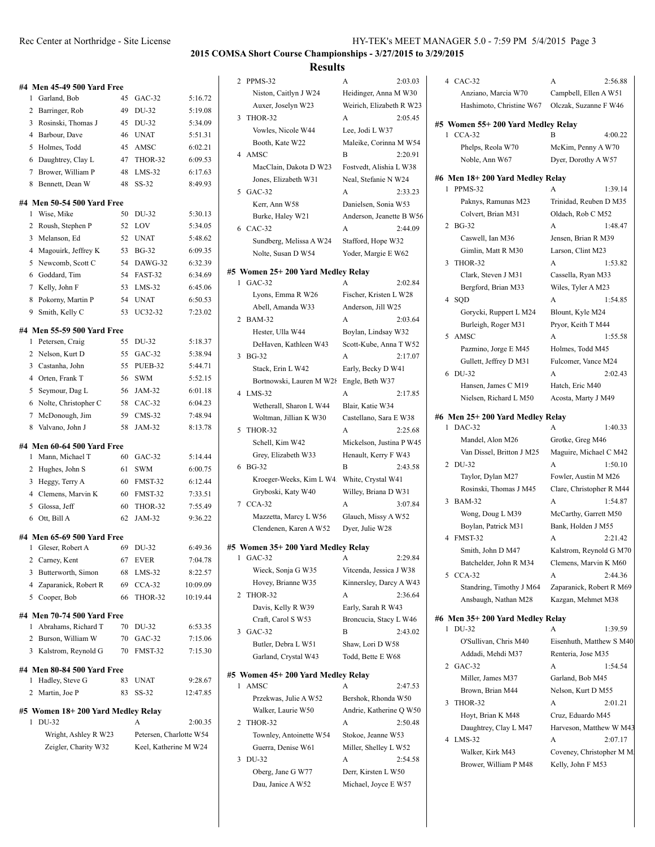#### Rec Center at Northridge - Site License

|  | HY-TEK's MEET MANAGER 5.0 - 7:59 PM 5/4/2015 Page 3 |  |  |  |
|--|-----------------------------------------------------|--|--|--|
|--|-----------------------------------------------------|--|--|--|

 $\overline{a}$ 

#### **2015 COMSA Short Course Championships - 3/27/2015 to 3/29/2015**

#### **Results**

2 PPMS-32

| #4 Men 45-49 500 Yard Free                    |    |                         |          |
|-----------------------------------------------|----|-------------------------|----------|
| Garland, Bob<br>1                             | 45 | $GAC-32$                | 5:16.72  |
| 2<br>Barringer, Rob                           | 49 | DU-32                   | 5:19.08  |
| 3<br>Rosinski, Thomas J                       | 45 | DU-32                   | 5:34.09  |
| 4 Barbour, Dave                               | 46 | <b>UNAT</b>             | 5:51.31  |
| 5 Holmes, Todd                                | 45 | AMSC                    | 6:02.21  |
| 6 Daughtrey, Clay L                           | 47 | THOR-32                 | 6:09.53  |
| Brower, William P<br>7                        | 48 | $LMS-32$                | 6:17.63  |
| 8<br>Bennett, Dean W                          | 48 | SS-32                   | 8:49.93  |
|                                               |    |                         |          |
| #4 Men 50-54 500 Yard Free<br>Wise, Mike<br>1 | 50 | DU-32                   | 5:30.13  |
| 2<br>Roush, Stephen P                         | 52 | LOV                     | 5:34.05  |
| Melanson, Ed<br>3                             | 52 | <b>UNAT</b>             | 5:48.62  |
| 4 Magouirk, Jeffrey K                         | 53 | <b>BG-32</b>            | 6:09.35  |
| Newcomb, Scott C<br>5                         | 54 | DAWG-32                 | 6:32.39  |
| 6 Goddard, Tim                                | 54 | FAST-32                 | 6:34.69  |
| 7 Kelly, John F                               | 53 | $LMS-32$                | 6:45.06  |
| Pokorny, Martin P<br>8                        | 54 | <b>UNAT</b>             | 6:50.53  |
| Smith, Kelly C<br>9                           | 53 | UC32-32                 | 7:23.02  |
|                                               |    |                         |          |
| #4 Men 55-59 500 Yard Free                    |    |                         |          |
| Petersen, Craig<br>1                          | 55 | DU-32                   | 5:18.37  |
| Nelson, Kurt D<br>2                           | 55 | $GAC-32$                | 5:38.94  |
| 3<br>Castanha, John                           | 55 | PUEB-32                 | 5:44.71  |
| 4 Orten, Frank T                              | 56 | <b>SWM</b>              | 5:52.15  |
| 5<br>Seymour, Dag L                           | 56 | JAM-32                  | 6:01.18  |
| 6 Nolte, Christopher C                        | 58 | $CAC-32$                | 6:04.23  |
| McDonough, Jim<br>7                           | 59 | $CMS-32$                | 7:48.94  |
| Valvano, John J<br>8                          | 58 | <b>JAM-32</b>           | 8:13.78  |
| #4 Men 60-64 500 Yard Free                    |    |                         |          |
| Mann, Michael T<br>1                          | 60 | GAC-32                  | 5:14.44  |
| 2<br>Hughes, John S                           | 61 | SWM                     | 6:00.75  |
| 3<br>Heggy, Terry A                           | 60 | FMST-32                 | 6:12.44  |
| 4 Clemens, Marvin K                           | 60 | FMST-32                 | 7:33.51  |
| Glossa, Jeff<br>5                             | 60 | THOR-32                 | 7:55.49  |
| Ott, Bill A<br>6                              | 62 | JAM-32                  | 9:36.22  |
| #4 Men 65-69 500 Yard Free                    |    |                         |          |
| 1 Gleser, Robert A                            | 69 | DU-32                   | 6:49.36  |
| 2<br>Carney, Kent                             | 67 | <b>EVER</b>             | 7:04.78  |
| 3<br>Butterworth, Simon                       | 68 | $LMS-32$                | 8:22.57  |
| 4<br>Zaparanick, Robert R                     | 69 | $CCA-32$                | 10:09.09 |
| Cooper, Bob<br>5                              | 66 | THOR-32                 | 10:19.44 |
|                                               |    |                         |          |
| #4 Men 70-74 500 Yard Free                    |    |                         |          |
| 1<br>Abrahams, Richard T                      | 70 | DU-32                   | 6:53.35  |
| Burson, William W<br>2                        | 70 | $GAC-32$                | 7:15.06  |
| Kalstrom, Reynold G<br>3                      | 70 | FMST-32                 | 7:15.30  |
| #4 Men 80-84 500 Yard Free                    |    |                         |          |
| Hadley, Steve G<br>1                          | 83 | <b>UNAT</b>             | 9:28.67  |
| Martin, Joe P<br>2                            | 83 | SS-32                   | 12:47.85 |
| #5 Women 18+200 Yard Medley Relay             |    |                         |          |
| DU-32<br>1                                    |    | A                       | 2:00.35  |
| Wright, Ashley R W23                          |    | Petersen, Charlotte W54 |          |
| Zeigler, Charity W32                          |    | Keel, Katherine M W24   |          |
|                                               |    |                         |          |

| 2 PPMS-32                                | A                        | 2:03.03 | 4 CAC-32                          | A                         | 2:56.88 |
|------------------------------------------|--------------------------|---------|-----------------------------------|---------------------------|---------|
| Niston, Caitlyn J W24                    | Heidinger, Anna M W30    |         | Anziano, Marcia W70               | Campbell, Ellen A W51     |         |
| Auxer, Joselyn W23                       | Weirich, Elizabeth R W23 |         | Hashimoto, Christine W67          | Olczak, Suzanne F W46     |         |
| 3 THOR-32                                | A                        | 2:05.45 |                                   |                           |         |
| Vowles, Nicole W44                       | Lee, Jodi L W37          |         | #5 Women 55+200 Yard Medley Relay |                           |         |
|                                          |                          |         | 1 CCA-32                          | B                         | 4:00.22 |
| Booth, Kate W22                          | Maleike, Corinna M W54   |         | Phelps, Reola W70                 | McKim, Penny A W70        |         |
| 4 AMSC                                   | B                        | 2:20.91 | Noble, Ann W67                    | Dyer, Dorothy A W57       |         |
| MacClain, Dakota D W23                   | Fostvedt, Alishia L W38  |         |                                   |                           |         |
| Jones, Elizabeth W31                     | Neal, Stefanie N W24     |         | #6 Men 18+200 Yard Medley Relay   |                           |         |
| 5 GAC-32                                 | A                        | 2:33.23 | 1 PPMS-32                         | A                         | 1:39.14 |
| Kerr, Ann W58                            | Danielsen, Sonia W53     |         | Paknys, Ramunas M23               | Trinidad, Reuben D M35    |         |
| Burke, Haley W21                         | Anderson, Jeanette B W56 |         | Colvert, Brian M31                | Oldach, Rob C M52         |         |
| 6 CAC-32                                 | A                        | 2:44.09 | 2 BG-32                           | A                         | 1:48.47 |
|                                          |                          |         | Caswell, Ian M36                  | Jensen, Brian R M39       |         |
| Sundberg, Melissa A W24                  | Stafford, Hope W32       |         | Gimlin, Matt R M30                | Larson, Clint M23         |         |
| Nolte, Susan D W54                       | Yoder, Margie E W62      |         | 3 THOR-32                         | A                         |         |
| #5 Women 25+200 Yard Medley Relay        |                          |         |                                   |                           | 1:53.82 |
| 1 GAC-32                                 | A                        | 2:02.84 | Clark, Steven J M31               | Cassella, Ryan M33        |         |
|                                          | Fischer, Kristen L W28   |         | Bergford, Brian M33               | Wiles, Tyler A M23        |         |
| Lyons, Emma R W26                        |                          |         | 4 SQD                             | A                         | 1:54.85 |
| Abell, Amanda W33                        | Anderson, Jill W25       |         | Gorycki, Ruppert L M24            | Blount, Kyle M24          |         |
| 2 BAM-32                                 | A                        | 2:03.64 | Burleigh, Roger M31               | Pryor, Keith T M44        |         |
| Hester, Ulla W44                         | Boylan, Lindsay W32      |         | 5 AMSC                            | A                         | 1:55.58 |
| DeHaven, Kathleen W43                    | Scott-Kube, Anna T W52   |         | Pazmino, Jorge E M45              | Holmes, Todd M45          |         |
| 3 BG-32                                  | A                        | 2:17.07 | Gullett, Jeffrey D M31            |                           |         |
| Stack, Erin L W42                        | Early, Becky D W41       |         |                                   | Fulcomer, Vance M24       |         |
| Bortnowski, Lauren M W28 Engle, Beth W37 |                          |         | 6 DU-32                           | A                         | 2:02.43 |
| 4 LMS-32                                 | A                        | 2:17.85 | Hansen, James C M19               | Hatch, Eric M40           |         |
|                                          |                          |         | Nielsen, Richard L M50            | Acosta, Marty J M49       |         |
| Wetherall, Sharon L W44                  | Blair, Katie W34         |         |                                   |                           |         |
| Woltman, Jillian K W30                   | Castellano, Sara E W38   |         | #6 Men 25+ 200 Yard Medley Relay  |                           |         |
| 5 THOR-32                                | A                        | 2:25.68 | 1 DAC-32                          | A                         | 1:40.33 |
| Schell, Kim W42                          | Mickelson, Justina P W45 |         | Mandel, Alon M26                  | Grotke, Greg M46          |         |
| Grey, Elizabeth W33                      | Henault, Kerry F W43     |         | Van Dissel, Britton J M25         | Maguire, Michael C M42    |         |
| 6 BG-32                                  | B                        | 2:43.58 | 2 DU-32                           | A                         | 1:50.10 |
| Kroeger-Weeks, Kim L W4.                 | White, Crystal W41       |         | Taylor, Dylan M27                 | Fowler, Austin M M26      |         |
| Gryboski, Katy W40                       | Willey, Briana D W31     |         | Rosinski, Thomas J M45            | Clare, Christopher R M44  |         |
| 7 CCA-32                                 | A                        | 3:07.84 | 3 BAM-32                          | A                         | 1:54.87 |
|                                          |                          |         | Wong, Doug L M39                  | McCarthy, Garrett M50     |         |
| Mazzetta, Marcy L W56                    | Glauch, Missy A W52      |         | Boylan, Patrick M31               | Bank, Holden J M55        |         |
| Clendenen, Karen A W52                   | Dyer, Julie W28          |         |                                   | A                         |         |
| #5 Women 35+200 Yard Medley Relay        |                          |         | 4 FMST-32                         |                           | 2:21.42 |
| $GAC-32$                                 |                          | 2:29.84 | Smith, John D M47                 | Kalstrom, Reynold G M70   |         |
| Wieck, Sonja G W35                       | Vitcenda, Jessica J W38  |         | Batchelder, John R M34            | Clemens, Marvin K M60     |         |
|                                          |                          |         | 5 CCA-32                          | A                         | 2:44.36 |
| Hovey, Brianne W35                       | Kinnersley, Darcy A W43  |         | Standring, Timothy J M64          | Zaparanick, Robert R M69  |         |
| 2 THOR-32                                | A                        | 2:36.64 | Ansbaugh, Nathan M28              | Kazgan, Mehmet M38        |         |
| Davis, Kelly R W39                       | Early, Sarah R W43       |         |                                   |                           |         |
| Craft, Carol S W53                       | Broncucia, Stacy L W46   |         | #6 Men 35+ 200 Yard Medley Relay  |                           |         |
| 3 GAC-32                                 | B                        | 2:43.02 | 1 DU-32                           | A                         | 1:39.59 |
| Butler, Debra L W51                      | Shaw, Lori D W58         |         | O'Sullivan, Chris M40             | Eisenhuth, Matthew S M40  |         |
| Garland, Crystal W43                     | Todd, Bette E W68        |         | Addadi, Mehdi M37                 | Renteria, Jose M35        |         |
|                                          |                          |         | 2 GAC-32                          | A                         | 1:54.54 |
| #5 Women 45+200 Yard Medley Relay        |                          |         | Miller, James M37                 | Garland, Bob M45          |         |
| 1 AMSC                                   | A                        | 2:47.53 | Brown, Brian M44                  | Nelson, Kurt D M55        |         |
| Przekwas, Julie A W52                    | Bershok, Rhonda W50      |         | 3 THOR-32                         | A                         | 2:01.21 |
| Walker, Laurie W50                       | Andrie, Katherine Q W50  |         |                                   |                           |         |
| 2 THOR-32                                | A                        | 2:50.48 | Hoyt, Brian K M48                 | Cruz, Eduardo M45         |         |
| Townley, Antoinette W54                  | Stokoe, Jeanne W53       |         | Daughtrey, Clay L M47             | Harveson, Matthew W M43   |         |
|                                          |                          |         | 4 LMS-32                          | A                         | 2:07.17 |
| Guerra, Denise W61                       | Miller, Shelley L W52    |         | Walker, Kirk M43                  | Coveney, Christopher M M. |         |
| 3 DU-32                                  | A                        | 2:54.58 | Brower, William P M48             | Kelly, John F M53         |         |
| Oberg, Jane G W77                        | Derr, Kirsten L W50      |         |                                   |                           |         |
| Dau, Janice A W52                        | Michael, Joyce E W57     |         |                                   |                           |         |
|                                          |                          |         |                                   |                           |         |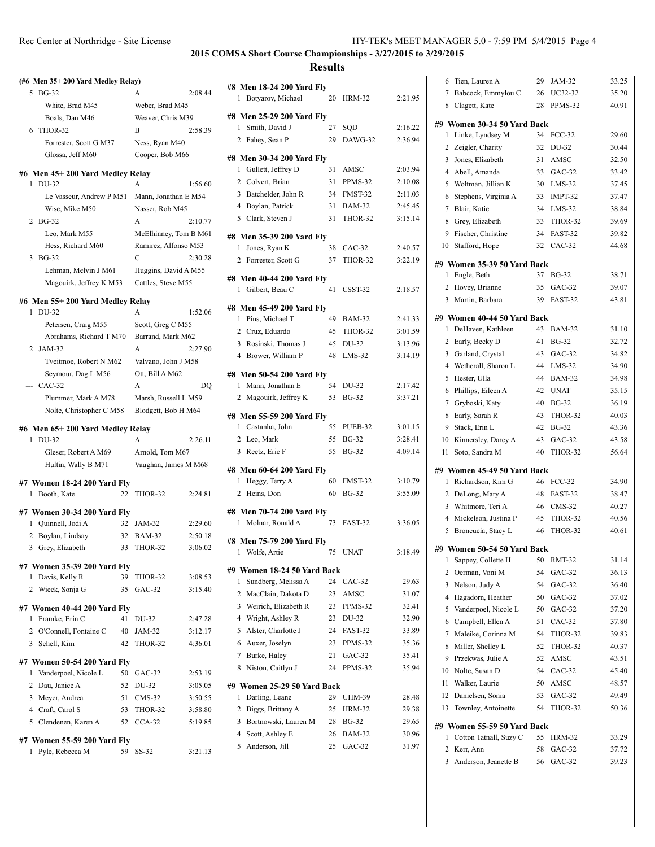| (#6 Men 35+200 Yard Medley Relay)                  |    |                       |         |                              |
|----------------------------------------------------|----|-----------------------|---------|------------------------------|
| <b>BG-32</b><br>5                                  |    | A                     | 2:08.44 | #8 Men :<br>1<br><b>Boty</b> |
| White, Brad M45                                    |    | Weber, Brad M45       |         |                              |
| Boals, Dan M46                                     |    | Weaver, Chris M39     |         | #8 Men 2                     |
| THOR-32<br>6                                       |    | B                     | 2:58.39 | 1<br>Smit                    |
| Forrester, Scott G M37                             |    | Ness, Ryan M40        |         | 2 Fahe                       |
| Glossa, Jeff M60                                   |    | Cooper, Bob M66       |         | #8 Men.                      |
|                                                    |    |                       |         | 1 Gull                       |
| #6 Men 45+200 Yard Medley Relay<br>DU-32<br>1      |    | A                     | 1:56.60 | 2 Colv                       |
| Le Vasseur, Andrew P M51                           |    | Mann, Jonathan E M54  |         | 3 Batc                       |
| Wise, Mike M50                                     |    | Nasser, Rob M45       |         | 4 Boy                        |
| 2<br><b>BG-32</b>                                  |    | A                     | 2:10.77 | Clar<br>5                    |
| Leo, Mark M55                                      |    | McElhinney, Tom B M61 |         |                              |
| Hess, Richard M60                                  |    | Ramirez, Alfonso M53  |         | #8 Men.                      |
| <b>BG-32</b><br>3                                  |    | C                     | 2:30.28 | $\mathbf{1}$<br>Jone         |
| Lehman, Melvin J M61                               |    | Huggins, David A M55  |         | 2<br>Forr                    |
| Magouirk, Jeffrey K M53                            |    | Cattles, Steve M55    |         | #8 Men 4                     |
|                                                    |    |                       |         | 1 Gilb                       |
| #6 Men 55+ 200 Yard Medley Relay                   |    |                       |         | #8 Men 4                     |
| DU-32<br>1                                         |    | A                     | 1:52.06 | 1 Pins                       |
| Petersen, Craig M55                                |    | Scott, Greg C M55     |         | 2 Cruz                       |
| Abrahams, Richard T M70                            |    | Barrand, Mark M62     |         | 3 Rosi                       |
| 2 JAM-32                                           |    | A                     | 2:27.90 | 4 Broy                       |
| Tveitmoe, Robert N M62                             |    | Valvano, John J M58   |         |                              |
| Seymour, Dag L M56                                 |    | Ott, Bill A M62       |         | #8 Men !                     |
| --- CAC-32                                         |    | A                     | DO      | $\mathbf{1}$<br>Man          |
| Plummer, Mark A M78                                |    | Marsh, Russell L M59  |         | 2<br>Mag                     |
| Nolte, Christopher C M58                           |    | Blodgett, Bob H M64   |         | #8 Men :                     |
| #6 Men 65+200 Yard Medley Relay                    |    |                       |         | $\mathbf{1}$<br>Cast         |
| 1 DU-32                                            |    | A                     | 2:26.11 | 2<br>Leo,                    |
| Gleser, Robert A M69                               |    | Arnold, Tom M67       |         | 3<br>Reet                    |
| Hultin, Wally B M71                                |    | Vaughan, James M M68  |         | #8 Men                       |
|                                                    |    |                       |         | 1<br>Heg                     |
| #7 Women 18-24 200 Yard Fly<br>1 Booth, Kate       | 22 | THOR-32               | 2:24.81 | 2<br>Hein                    |
|                                                    |    |                       |         |                              |
| #7 Women 30-34 200 Yard Fly                        |    |                       |         | #8 Men'                      |
| 1 Quinnell, Jodi A                                 | 32 | JAM-32                | 2:29.60 | $\mathbf{1}$<br>Mol          |
| 2 Boylan, Lindsay                                  | 32 | <b>BAM-32</b>         | 2:50.18 | #8 Men'                      |
| 3 Grey, Elizabeth                                  | 33 | THOR-32               | 3:06.02 | 1<br>Woli                    |
| #7 Women 35-39 200 Yard Fly                        |    |                       |         | $#9$ Wom                     |
| Davis, Kelly R<br>1                                | 39 | THOR-32               | 3:08.53 | Suno<br>1                    |
| 2 Wieck, Sonja G                                   | 35 | $GAC-32$              | 3:15.40 | 2<br>Mac                     |
|                                                    |    |                       |         | 3<br>Weir                    |
| #7 Women 40-44 200 Yard Fly<br>Framke, Erin C<br>1 | 41 | DU-32                 | 2:47.28 | 4 Wrig                       |
| 2 O'Connell, Fontaine C                            | 40 | JAM-32                | 3:12.17 | 5<br>Alst                    |
| 3 Schell, Kim                                      | 42 | THOR-32               | 4:36.01 | 6<br>Aux                     |
|                                                    |    |                       |         | 7<br>Burk                    |
| #7 Women 50-54 200 Yard Fly                        |    |                       |         | Nist<br>8                    |
| Vanderpoel, Nicole L<br>1                          | 50 | GAC-32                | 2:53.19 |                              |
| 2 Dau, Janice A                                    | 52 | DU-32                 | 3:05.05 | #9 Wom                       |
| 3 Meyer, Andrea                                    | 51 | $CMS-32$              | 3:50.55 | 1<br>Darl                    |
| 4 Craft, Carol S                                   | 53 | THOR-32               | 3:58.80 | 2<br>Bigg                    |
| 5 Clendenen, Karen A                               | 52 | $CCA-32$              | 5:19.85 | 3<br>Bort                    |
| #7 Women 55-59 200 Yard Fly                        |    |                       |         | 4<br>Scot                    |
| Pyle, Rebecca M<br>1                               | 59 | SS-32                 | 3:21.13 | 5<br>And                     |
|                                                    |    |                       |         |                              |

| #8 Men 18-24 200 Yard Fly<br>1 Botyarov, Michael | 20 | HRM-32        | 2:21.95 |
|--------------------------------------------------|----|---------------|---------|
| #8 Men 25-29 200 Yard Fly                        |    |               |         |
| 1 Smith, David J                                 | 27 | SQD           | 2:16.22 |
| 2 Fahey, Sean P                                  | 29 | DAWG-32       | 2:36.94 |
| #8 Men 30-34 200 Yard Fly                        |    |               |         |
| 1 Gullett, Jeffrey D                             | 31 | AMSC          | 2:03.94 |
| 2 Colvert, Brian                                 |    | 31 PPMS-32    | 2:10.08 |
| 3 Batchelder, John R                             |    | 34 FMST-32    | 2:11.03 |
| 4 Boylan, Patrick                                | 31 | BAM-32        | 2:45.45 |
| 5 Clark, Steven J                                | 31 | THOR-32       | 3:15.14 |
| #8 Men 35-39 200 Yard Fly                        |    |               |         |
| 1 Jones, Ryan K                                  | 38 | CAC-32        | 2:40.57 |
| 2 Forrester, Scott G                             | 37 | THOR-32       | 3:22.19 |
| #8 Men 40-44 200 Yard Fly                        |    |               |         |
| 1 Gilbert, Beau C                                | 41 | CSST-32       | 2:18.57 |
| #8 Men 45-49 200 Yard Fly                        |    |               |         |
| 1 Pins, Michael T                                | 49 | <b>BAM-32</b> | 2:41.33 |
| 2 Cruz, Eduardo                                  | 45 | THOR-32       | 3:01.59 |
| 3 Rosinski, Thomas J                             | 45 | DU-32         | 3:13.96 |
| 4 Brower, William P                              | 48 | $LMS-32$      | 3:14.19 |
| #8 Men 50-54 200 Yard Fly                        |    |               |         |
| 1 Mann, Jonathan E                               | 54 | DU-32         | 2:17.42 |
| 2 Magouirk, Jeffrey K                            | 53 | <b>BG-32</b>  | 3:37.21 |
| #8 Men 55-59 200 Yard Fly                        |    |               |         |
| 1 Castanha, John                                 | 55 | PUEB-32       | 3:01.15 |
| 2 Leo, Mark                                      | 55 | <b>BG-32</b>  | 3:28.41 |
| 3 Reetz, Eric F                                  | 55 | <b>BG-32</b>  | 4:09.14 |
|                                                  |    |               |         |
| #8 Men 60-64 200 Yard Fly                        | 60 | FMST-32       | 3:10.79 |
| 1 Heggy, Terry A<br>2 Heins, Don                 | 60 | <b>BG-32</b>  | 3:55.09 |
|                                                  |    |               |         |
| #8 Men 70-74 200 Yard Fly                        |    |               |         |
| 1 Molnar, Ronald A                               | 73 | FAST-32       | 3:36.05 |
| #8 Men 75-79 200 Yard Fly                        |    |               |         |
| Wolfe, Artie<br>1                                | 75 | <b>UNAT</b>   | 3:18.49 |
| #9 Women 18-24 50 Yard Back                      |    |               |         |
| Sundberg, Melissa A<br>1                         | 24 | CAC-32        | 29.63   |
| $\overline{2}$<br>MacClain, Dakota D             | 23 | AMSC          | 31.07   |
| Weirich, Elizabeth R<br>3                        | 23 | PPMS-32       | 32.41   |
| Wright, Ashley R<br>$\overline{4}$               | 23 | DU-32         | 32.90   |
| 5<br>Alster, Charlotte J                         | 24 | FAST-32       | 33.89   |
| 6<br>Auxer, Joselyn                              | 23 | PPMS-32       | 35.36   |
| 7<br>Burke, Haley                                | 21 | $GAC-32$      | 35.41   |
| Niston, Caitlyn J<br>8                           | 24 | PPMS-32       | 35.94   |
| #9 Women 25-29 50 Yard Back                      |    |               |         |
| Darling, Leane<br>1                              | 29 | <b>UHM-39</b> | 28.48   |
| 2<br>Biggs, Brittany A                           | 25 | <b>HRM-32</b> | 29.38   |
| 3 Bortnowski, Lauren M                           | 28 | <b>BG-32</b>  | 29.65   |
| $\overline{4}$<br>Scott, Ashley E                | 26 | <b>BAM-32</b> | 30.96   |
| 5<br>Anderson, Jill                              | 25 | $GAC-32$      | 31.97   |
|                                                  |    |               |         |

| Tien, Lauren A<br>6                                   | 29 | JAM-32        | 33.25 |
|-------------------------------------------------------|----|---------------|-------|
| 7<br>Babcock, Emmylou C                               | 26 | UC32-32       | 35.20 |
| 8 Clagett, Kate                                       | 28 | PPMS-32       | 40.91 |
| #9 Women 30-34 50 Yard Back                           |    |               |       |
| 1<br>Linke, Lyndsey M                                 | 34 | <b>FCC-32</b> | 29.60 |
| 2 Zeigler, Charity                                    | 32 | DU-32         | 30.44 |
| 3 Jones, Elizabeth                                    | 31 | AMSC          | 32.50 |
| 4 Abell, Amanda                                       | 33 | $GAC-32$      | 33.42 |
| 5 Woltman, Jillian K                                  | 30 | $LMS-32$      | 37.45 |
| 6 Stephens, Virginia A                                | 33 | IMPT-32       | 37.47 |
| 7 Blair, Katie                                        | 34 | $LMS-32$      | 38.84 |
| 8 Grey, Elizabeth                                     | 33 | THOR-32       | 39.69 |
| 9 Fischer, Christine                                  | 34 | FAST-32       | 39.82 |
| 10 Stafford, Hope                                     | 32 | $CAC-32$      | 44.68 |
| #9 Women 35-39 50 Yard Back<br>1 Engle, Beth          | 37 | <b>BG-32</b>  | 38.71 |
| 2 Hovey, Brianne                                      | 35 | $GAC-32$      | 39.07 |
| 3 Martin, Barbara                                     | 39 | FAST-32       | 43.81 |
|                                                       |    |               |       |
| #9 Women 40-44 50 Yard Back<br>DeHaven, Kathleen<br>1 | 43 | <b>BAM-32</b> | 31.10 |
| 2 Early, Becky D                                      | 41 | $BG-32$       | 32.72 |
| 3 Garland, Crystal                                    | 43 | $GAC-32$      | 34.82 |
| 4 Wetherall, Sharon L                                 | 44 | LMS-32        | 34.90 |
| Hester, Ulla<br>5                                     | 44 | <b>BAM-32</b> | 34.98 |
| Phillips, Eileen A<br>6                               | 42 | <b>UNAT</b>   | 35.15 |
| 7 Gryboski, Katy                                      | 40 | <b>BG-32</b>  | 36.19 |
| 8 Early, Sarah R                                      | 43 | THOR-32       | 40.03 |
| 9 Stack, Erin L                                       | 42 | <b>BG-32</b>  | 43.36 |
| 10<br>Kinnersley, Darcy A                             | 43 | $GAC-32$      | 43.58 |
| Soto, Sandra M<br>11                                  | 40 | THOR-32       | 56.64 |
| #9 Women 45-49 50 Yard Back                           |    |               |       |
| Richardson, Kim G<br>1                                | 46 | $FCC-32$      | 34.90 |
| 2 DeLong, Mary A                                      | 48 | FAST-32       | 38.47 |
| 3 Whitmore, Teri A                                    | 46 | $CMS-32$      | 40.27 |
| 4 Mickelson, Justina P                                | 45 | THOR-32       | 40.56 |
| 5 Broncucia, Stacy L                                  | 46 | THOR-32       | 40.61 |
| #9 Women 50-54 50 Yard Back                           |    |               |       |
| I<br>Sappey, Collette H                               | 50 | <b>RMT-32</b> | 31.14 |
| Oerman, Voni M<br>2                                   | 54 | $GAC-32$      | 36.13 |
| Nelson, Judy A<br>3                                   | 54 | $GAC-32$      | 36.40 |
| Hagadorn, Heather<br>4                                | 50 | $GAC-32$      | 37.02 |
| 5<br>Vanderpoel, Nicole L                             | 50 | $GAC-32$      | 37.20 |
| Campbell, Ellen A<br>6                                | 51 | $CAC-32$      | 37.80 |
| Maleike, Corinna M<br>7                               | 54 | THOR-32       | 39.83 |
| Miller, Shelley L<br>8                                | 52 | THOR-32       | 40.37 |
| Przekwas, Julie A<br>9                                | 52 | AMSC          | 43.51 |
| Nolte, Susan D<br>10                                  | 54 | $CAC-32$      | 45.40 |
| Walker, Laurie<br>11                                  | 50 | AMSC          | 48.57 |
| 12<br>Danielsen, Sonia                                | 53 | $GAC-32$      | 49.49 |
| Townley, Antoinette<br>13                             | 54 | THOR-32       | 50.36 |
| #9 Women 55-59 50 Yard Back                           |    |               |       |
| Cotton Tatnall, Suzy C<br>1                           | 55 | <b>HRM-32</b> | 33.29 |
| 2<br>Kerr, Ann                                        | 58 | $GAC-32$      | 37.72 |
| 3<br>Anderson, Jeanette B                             | 56 | $GAC-32$      | 39.23 |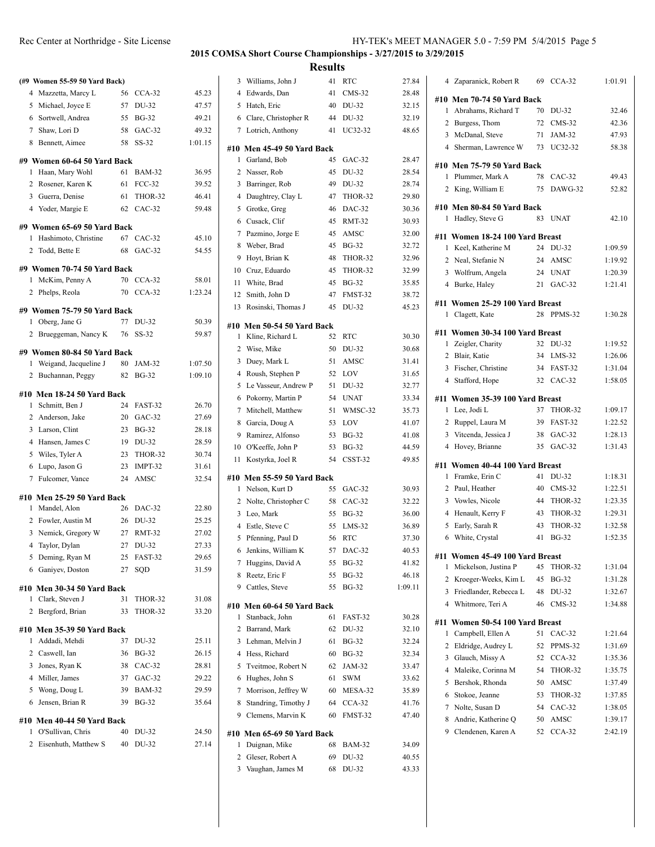|                     | (#9 Women 55-59 50 Yard Back) |          |                        |                    |
|---------------------|-------------------------------|----------|------------------------|--------------------|
| 4                   | Mazzetta, Marcy L             | 56       | $CCA-32$               | 45.23              |
| 5                   | Michael, Joyce E              | 57       | DU-32                  | 47.57              |
| 6                   | Sortwell, Andrea              | 55       | <b>BG-32</b>           | 49.21              |
| $7\overline{ }$     | Shaw, Lori D                  | 58       | $GAC-32$               | 49.32              |
| 8                   | Bennett, Aimee                | 58       | $SS-32$                | 1:01.15            |
|                     | #9 Women 60-64 50 Yard Back   |          |                        |                    |
| 1                   | Haan, Mary Wohl               | 61       | <b>BAM-32</b>          | 36.95              |
| $\overline{2}$      | Rosener, Karen K              | 61       | $FCC-32$               | 39.52              |
| 3                   | Guerra, Denise                | 61       | THOR-32                | 46.41              |
|                     | 4 Yoder, Margie E             | 62       | $CAC-32$               | 59.48              |
|                     | #9 Women 65-69 50 Yard Back   |          |                        |                    |
| 1.                  | Hashimoto, Christine          | 67       | CAC-32                 | 45.10              |
| 2                   | Todd, Bette E                 | 68       | $GAC-32$               | 54.55              |
|                     | #9 Women 70-74 50 Yard Back   |          |                        |                    |
| 1                   | McKim, Penny A                | 70       | $CCA-32$               | 58.01              |
| $\overline{c}$      | Phelps, Reola                 | 70       | $CCA-32$               | 1:23.24            |
|                     | #9 Women 75-79 50 Yard Back   |          |                        |                    |
|                     | 1 Oberg, Jane G               | 77       | DU-32                  | 50.39              |
| 2                   | Brueggeman, Nancy K           | 76       | SS-32                  | 59.87              |
|                     |                               |          |                        |                    |
|                     | #9 Women 80-84 50 Yard Back   |          |                        |                    |
| 1<br>$\overline{c}$ | Weigand, Jacqueline J         | 80<br>82 | JAM-32<br><b>BG-32</b> | 1:07.50<br>1:09.10 |
|                     | Buchannan, Peggy              |          |                        |                    |
|                     | #10 Men 18-24 50 Yard Back    |          |                        |                    |
| 1                   | Schmitt, Ben J                | 24       | FAST-32                | 26.70              |
|                     | 2 Anderson, Jake              |          | 20 GAC-32              | 27.69              |
| 3                   | Larson, Clint                 | 23       | <b>BG-32</b>           | 28.18              |
| 4                   | Hansen, James C               | 19       | DU-32                  | 28.59              |
| 5                   | Wiles, Tyler A                | 23       | THOR-32                | 30.74              |
| 6                   | Lupo, Jason G                 | 23<br>24 | IMPT-32<br>AMSC        | 31.61<br>32.54     |
| 7                   | Fulcomer, Vance               |          |                        |                    |
|                     | #10 Men 25-29 50 Yard Back    |          |                        |                    |
| 1                   | Mandel, Alon                  | 26       | DAC-32                 | 22.80              |
| 2                   | Fowler, Austin M              |          | 26 DU-32               | 25.25              |
| 3                   | Nemick, Gregory W             | 27       | <b>RMT-32</b>          | 27.02              |
| 4                   | Taylor, Dylan                 | 27       | DU-32                  | 27.33              |
| 5                   | Deming, Ryan M                | 25       | FAST-32                | 29.65              |
| 6                   | Ganivev, Doston               | 27       | SQD                    | 31.59              |
|                     | #10 Men 30-34 50 Yard Back    |          |                        |                    |
| 1                   | Clark, Steven J               | 31       | THOR-32                | 31.08              |
| 2                   | Bergford, Brian               | 33       | THOR-32                | 33.20              |
|                     | #10 Men 35-39 50 Yard Back    |          |                        |                    |
| 1                   | Addadi, Mehdi                 | 37       | DU-32                  | 25.11              |
|                     | 2 Caswell, Ian                | 36       | <b>BG-32</b>           | 26.15              |
| 3                   | Jones, Ryan K                 | 38       | $CAC-32$               | 28.81              |
| 4                   | Miller, James                 | 37       | $GAC-32$               | 29.22              |
| 5                   | Wong, Doug L                  | 39       | <b>BAM-32</b>          | 29.59              |
| 6                   | Jensen, Brian R               | 39       | <b>BG-32</b>           | 35.64              |
|                     | #10 Men 40-44 50 Yard Back    |          |                        |                    |
| 1                   | O'Sullivan, Chris             | 40       | DU-32                  | 24.50              |
| 2                   | Eisenhuth, Matthew S          | 40       | DU-32                  | 27.14              |

| 3              | Williams, John J                             | 41 | RTC           | 27.84   |
|----------------|----------------------------------------------|----|---------------|---------|
| 4              | Edwards, Dan                                 | 41 | CMS-32        | 28.48   |
| 5              | Hatch, Eric                                  | 40 | DU-32         | 32.15   |
| 6              | Clare, Christopher R                         | 44 | DU-32         | 32.19   |
|                | 7 Lotrich, Anthony                           | 41 | UC32-32       | 48.65   |
|                |                                              |    |               |         |
|                | #10 Men 45-49 50 Yard Back                   |    |               |         |
| 1              | Garland, Bob                                 | 45 | $GAC-32$      | 28.47   |
| $\overline{2}$ | Nasser, Rob                                  | 45 | DU-32         | 28.54   |
| 3              | Barringer, Rob                               | 49 | DU-32         | 28.74   |
| 4              | Daughtrey, Clay L                            | 47 | THOR-32       | 29.80   |
| 5              | Grotke, Greg                                 | 46 | DAC-32        | 30.36   |
| 6              | Cusack, Clif                                 | 45 | <b>RMT-32</b> | 30.93   |
| 7              | Pazmino, Jorge E                             | 45 | AMSC          | 32.00   |
| 8              | Weber, Brad                                  | 45 | <b>BG-32</b>  | 32.72   |
| 9              | Hoyt, Brian K                                | 48 | THOR-32       | 32.96   |
| 10             | Cruz, Eduardo                                | 45 | THOR-32       | 32.99   |
| 11             | White, Brad                                  | 45 | <b>BG-32</b>  | 35.85   |
| 12             | Smith, John D                                | 47 | FMST-32       | 38.72   |
| 13             | Rosinski, Thomas J                           | 45 | DU-32         | 45.23   |
|                | #10 Men 50-54 50 Yard Back                   |    |               |         |
| 1              | Kline, Richard L                             | 52 | <b>RTC</b>    | 30.30   |
| 2              | Wise, Mike                                   | 50 | DU-32         | 30.68   |
| 3              | Duey, Mark L                                 | 51 | AMSC          | 31.41   |
| 4              | Roush, Stephen P                             | 52 | LOV           | 31.65   |
| 5              | Le Vasseur, Andrew P                         | 51 | DU-32         | 32.77   |
| 6              | Pokorny, Martin P                            | 54 | UNAT          | 33.34   |
| 7              | Mitchell, Matthew                            | 51 | WMSC-32       | 35.73   |
| 8              | Garcia, Doug A                               | 53 | LOV           | 41.07   |
| 9              | Ramirez, Alfonso                             | 53 | BG-32         | 41.08   |
| 10             | O'Keeffe, John P                             | 53 | <b>BG-32</b>  | 44.59   |
| 11             | Kostyrka, Joel R                             | 54 | CSST-32       | 49.85   |
|                |                                              |    |               |         |
| 1              | #10 Men 55-59 50 Yard Back<br>Nelson, Kurt D | 55 | $GAC-32$      | 30.93   |
| 2              | Nolte, Christopher C                         | 58 | $CAC-32$      | 32.22   |
| 3              | Leo, Mark                                    | 55 | <b>BG-32</b>  | 36.00   |
| 4              | Estle, Steve C                               | 55 | $LMS-32$      | 36.89   |
| 5              | Pfenning, Paul D                             | 56 | <b>RTC</b>    | 37.30   |
| 6              | Jenkins, William K                           | 57 | DAC-32        | 40.53   |
| 7              | Huggins, David A                             | 55 | <b>BG-32</b>  | 41.82   |
| 8              | Reetz, Eric F                                | 55 | BG-32         | 46.18   |
| 9              | Cattles, Steve                               | 55 | <b>BG-32</b>  | 1:09.11 |
|                |                                              |    |               |         |
|                | #10 Men 60-64 50 Yard Back                   |    |               |         |
| 1              | Stanback, John                               | 61 | FAST-32       | 30.28   |
| 2              | Barrand, Mark                                | 62 | DU-32         | 32.10   |
| 3              | Lehman, Melvin J                             | 61 | <b>BG-32</b>  | 32.24   |
| 4              | Hess, Richard                                | 60 | <b>BG-32</b>  | 32.34   |
| 5              | Tveitmoe, Robert N                           | 62 | JAM-32        | 33.47   |
| 6              | Hughes, John S                               | 61 | SWM           | 33.62   |
| 7              | Morrison, Jeffrey W                          | 60 | MESA-32       | 35.89   |
| 8              | Standring, Timothy J                         | 64 | $CCA-32$      | 41.76   |
| 9              | Clemens, Marvin K                            | 60 | FMST-32       | 47.40   |
|                | #10 Men 65-69 50 Yard Back                   |    |               |         |
| 1              | Duignan, Mike                                | 68 | <b>BAM-32</b> | 34.09   |
| 2              | Gleser, Robert A                             | 69 | DU-32         | 40.55   |
| 3              | Vaughan, James M                             | 68 | DU-32         | 43.33   |
|                |                                              |    |               |         |

|                | 4 Zaparanick, Robert R                        | 69 | $CCA-32$               | 1:01.91            |
|----------------|-----------------------------------------------|----|------------------------|--------------------|
|                | #10 Men 70-74 50 Yard Back                    |    |                        |                    |
| 1              | Abrahams, Richard T                           | 70 | DU-32                  | 32.46              |
|                | 2 Burgess, Thom                               | 72 | $CMS-32$               | 42.36              |
|                | 3 McDanal, Steve                              | 71 | JAM-32                 | 47.93              |
|                | 4 Sherman, Lawrence W                         | 73 | UC32-32                | 58.38              |
|                |                                               |    |                        |                    |
| 1              | #10 Men 75-79 50 Yard Back<br>Plummer, Mark A | 78 | $CAC-32$               | 49.43              |
|                | 2 King, William E                             | 75 | DAWG-32                | 52.82              |
|                |                                               |    |                        |                    |
|                | #10 Men 80-84 50 Yard Back                    |    |                        |                    |
| 1              | Hadley, Steve G                               | 83 | <b>UNAT</b>            | 42.10              |
|                | #11 Women 18-24 100 Yard Breast               |    |                        |                    |
| 1              | Keel, Katherine M                             | 24 | DU-32                  | 1:09.59            |
| $\overline{2}$ | Neal, Stefanie N                              |    | 24 AMSC                | 1:19.92            |
|                | 3 Wolfrum, Angela                             |    | 24 UNAT                | 1:20.39            |
|                | 4 Burke, Haley                                |    | 21 GAC-32              | 1:21.41            |
|                | #11 Women 25-29 100 Yard Breast               |    |                        |                    |
| 1              | Clagett, Kate                                 | 28 | PPMS-32                | 1:30.28            |
|                |                                               |    |                        |                    |
|                | #11 Women 30-34 100 Yard Breast               | 32 |                        |                    |
| 1              | Zeigler, Charity                              |    | DU-32                  | 1:19.52            |
| $\overline{2}$ | Blair, Katie                                  |    | 34 LMS-32              | 1:26.06            |
| 3              | Fischer, Christine                            | 32 | 34 FAST-32<br>$CAC-32$ | 1:31.04<br>1:58.05 |
|                | 4 Stafford, Hope                              |    |                        |                    |
|                | #11 Women 35-39 100 Yard Breast               |    |                        |                    |
| 1              | Lee, Jodi L                                   | 37 | THOR-32                | 1:09.17            |
|                | 2 Ruppel, Laura M                             | 39 | FAST-32                | 1:22.52            |
|                | 3 Vitcenda, Jessica J                         |    | 38 GAC-32              | 1:28.13            |
| 4              | Hovey, Brianne                                | 35 | $GAC-32$               | 1:31.43            |
|                | #11 Women 40-44 100 Yard Breast               |    |                        |                    |
| 1              | Framke, Erin C                                | 41 | DU-32                  | 1:18.31            |
|                | 2 Paul, Heather                               | 40 | $CMS-32$               | 1:22.51            |
|                | 3 Vowles, Nicole                              | 44 | THOR-32                | 1:23.35            |
| 4              | Henault, Kerry F                              | 43 | THOR-32                | 1:29.31            |
| 5              | Early, Sarah R                                | 43 | THOR-32                | 1:32.58            |
| 6              | White, Crystal                                | 41 | <b>BG-32</b>           | 1:52.35            |
|                | #11 Women 45-49 100 Yard Breast               |    |                        |                    |
| 1              | Mickelson, Justina P                          | 45 | THOR-32                | 1:31.04            |
| 2              | Kroeger-Weeks, Kim L                          | 45 | <b>BG-32</b>           | 1:31.28            |
| 3              | Friedlander, Rebecca L                        | 48 | DU-32                  | 1:32.67            |
| 4              | Whitmore, Teri A                              | 46 | $CMS-32$               | 1:34.88            |
|                | #11 Women 50-54 100 Yard Breast               |    |                        |                    |
| 1              | Campbell, Ellen A                             | 51 | $CAC-32$               | 1:21.64            |
| 2              | Eldridge, Audrey L                            | 52 | PPMS-32                | 1:31.69            |
| 3              | Glauch, Missy A                               | 52 | $CCA-32$               | 1:35.36            |
| 4              | Maleike, Corinna M                            | 54 | THOR-32                | 1:35.75            |
| 5              | Bershok, Rhonda                               | 50 | AMSC                   | 1:37.49            |
| 6              | Stokoe, Jeanne                                | 53 | THOR-32                | 1:37.85            |
| 7              | Nolte, Susan D                                | 54 | $CAC-32$               | 1:38.05            |
| 8              | Andrie, Katherine Q                           | 50 | AMSC                   | 1:39.17            |
| 9              | Clendenen, Karen A                            | 52 | $CCA-32$               | 2:42.19            |
|                |                                               |    |                        |                    |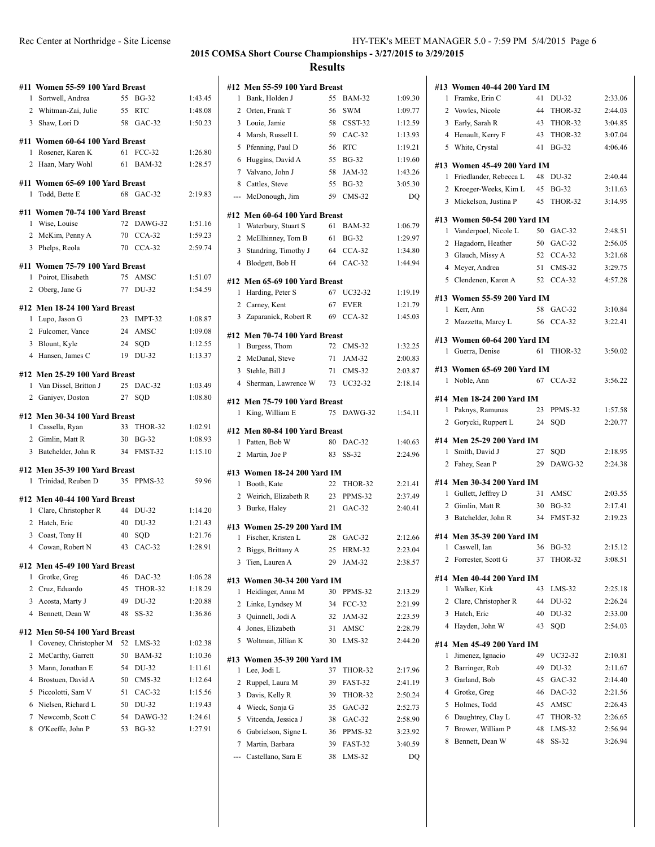|                | #11 Women 55-59 100 Yard Breast                        |          |                 |                    |
|----------------|--------------------------------------------------------|----------|-----------------|--------------------|
|                | 1 Sortwell, Andrea                                     |          | 55 BG-32        | 1:43.45            |
|                | 2 Whitman-Zai, Julie                                   |          | 55 RTC          | 1:48.08            |
|                | 3 Shaw, Lori D                                         |          | 58 GAC-32       | 1:50.23            |
|                | #11 Women 60-64 100 Yard Breast                        |          |                 |                    |
| 1              | Rosener, Karen K                                       | 61       | $FCC-32$        | 1:26.80            |
|                | 2 Haan, Mary Wohl                                      |          | 61 BAM-32       | 1:28.57            |
|                | #11 Women 65-69 100 Yard Breast                        |          |                 |                    |
|                | 1 Todd, Bette E                                        |          | 68 GAC-32       | 2:19.83            |
|                | #11 Women 70-74 100 Yard Breast                        |          |                 |                    |
|                | 1 Wise, Louise                                         |          | 72 DAWG-32      | 1:51.16            |
|                | 2 McKim, Penny A                                       |          | 70 CCA-32       | 1:59.23            |
|                | 3 Phelps, Reola                                        |          | 70 CCA-32       | 2:59.74            |
|                |                                                        |          |                 |                    |
|                | #11 Women 75-79 100 Yard Breast<br>1 Poirot, Elisabeth | 75       | AMSC            | 1:51.07            |
|                |                                                        |          | 77 DU-32        |                    |
|                | 2 Oberg, Jane G                                        |          |                 | 1:54.59            |
|                | #12 Men 18-24 100 Yard Breast                          |          |                 |                    |
| 1              | Lupo, Jason G                                          |          | 23 IMPT-32      | 1:08.87            |
|                | 2 Fulcomer, Vance                                      |          | 24 AMSC         | 1:09.08            |
|                | 3 Blount, Kyle                                         |          | 24 SQD          | 1:12.55            |
|                | 4 Hansen, James C                                      |          | 19 DU-32        | 1:13.37            |
|                | #12 Men 25-29 100 Yard Breast                          |          |                 |                    |
|                | 1 Van Dissel, Britton J                                |          | 25 DAC-32       | 1:03.49            |
|                | 2 Ganiyev, Doston                                      | 27       | SQD             | 1:08.80            |
|                | #12 Men 30-34 100 Yard Breast                          |          |                 |                    |
|                | 1 Cassella, Ryan                                       | 33       | THOR-32         | 1:02.91            |
|                | 2 Gimlin, Matt R                                       |          | 30 BG-32        | 1:08.93            |
|                | 3 Batchelder, John R                                   |          | 34 FMST-32      | 1:15.10            |
|                | #12 Men 35-39 100 Yard Breast                          |          |                 |                    |
| $\mathbf{1}$   | Trinidad, Reuben D                                     |          | 35 PPMS-32      | 59.96              |
|                | #12 Men 40-44 100 Yard Breast                          |          |                 |                    |
|                | 1 Clare, Christopher R                                 |          | 44 DU-32        | 1:14.20            |
|                | 2 Hatch, Eric                                          |          | 40 DU-32        | 1:21.43            |
|                | 3 Coast, Tony H                                        |          | 40 SOD          | 1:21.76            |
|                | 4 Cowan, Robert N                                      |          | 43 CAC-32       | 1:28.91            |
|                |                                                        |          |                 |                    |
| 1              | #12 Men 45-49 100 Yard Breast<br>Grotke, Greg          | 46       | DAC-32          | 1:06.28            |
| $\overline{c}$ | Cruz, Eduardo                                          | 45       | THOR-32         | 1:18.29            |
| 3              | Acosta, Marty J                                        | 49       | DU-32           | 1:20.88            |
| $\overline{4}$ | Bennett, Dean W                                        | 48       | $SS-32$         | 1:36.86            |
|                |                                                        |          |                 |                    |
| #12<br>1       | Men 50-54 100 Yard Breast<br>Coveney, Christopher M    | 52       | $LMS-32$        | 1:02.38            |
|                |                                                        |          |                 |                    |
| 2<br>3         | McCarthy, Garrett                                      | 50<br>54 | BAM-32<br>DU-32 | 1:10.36<br>1:11.61 |
| 4              | Mann, Jonathan E<br>Brostuen, David A                  |          |                 |                    |
|                | Piccolotti. Sam V                                      | 50       | $CMS-32$        | 1:12.64            |
| 5              |                                                        | 51       | $CAC-32$        | 1:15.56            |
| 6              | Nielsen, Richard L                                     | 50       | DU-32           | 1:19.43            |
| 7              | Newcomb, Scott C                                       | 54       | DAWG-32         | 1:24.61            |
| 8              | O'Keeffe, John P                                       | 53       | <b>BG-32</b>    | 1:27.91            |
|                |                                                        |          |                 |                    |

|                 | #12 Men 55-59 100 Yard Breast                      |          |                     |               |
|-----------------|----------------------------------------------------|----------|---------------------|---------------|
| 1               | Bank, Holden J                                     | 55       | <b>BAM-32</b>       | 1:09.30       |
| 2               | Orten, Frank T                                     | 56       | <b>SWM</b>          | 1:09.77       |
|                 | 3 Louie, Jamie                                     |          | 58 CSST-32          | 1:12.59       |
| 4               | Marsh, Russell L                                   | 59       | $CAC-32$            | 1:13.93       |
| 5               | Pfenning, Paul D                                   | 56       | RTC                 | 1:19.21       |
| 6               | Huggins, David A                                   | 55       | <b>BG-32</b>        | 1:19.60       |
| $7\phantom{.0}$ | Valvano, John J                                    | 58       | JAM-32              | 1:43.26       |
| 8               | Cattles, Steve                                     | 55       | <b>BG-32</b>        | 3:05.30       |
| ---             | McDonough, Jim                                     | 59       | $CMS-32$            | DQ            |
|                 | #12 Men 60-64 100 Yard Breast                      |          |                     |               |
| 1               | Waterbury, Stuart S                                | 61       | BAM-32              | 1:06.79       |
|                 | 2 McElhinney, Tom B                                |          | 61 BG-32            | 1:29.97       |
|                 | 3 Standring, Timothy J                             |          | 64 CCA-32           | 1:34.80       |
|                 | 4 Blodgett, Bob H                                  |          | 64 CAC-32           | 1:44.94       |
|                 |                                                    |          |                     |               |
|                 | #12 Men 65-69 100 Yard Breast                      |          |                     |               |
| 1               | Harding, Peter S                                   | 67       | UC32-32             | 1:19.19       |
|                 | 2 Carney, Kent                                     | 67       | <b>EVER</b>         | 1:21.79       |
|                 | 3 Zaparanick, Robert R                             | 69       | $CCA-32$            | 1:45.03       |
|                 | #12 Men 70-74 100 Yard Breast                      |          |                     |               |
| 1               | Burgess, Thom                                      |          | 72 CMS-32           | 1:32.25       |
|                 | 2 McDanal, Steve                                   |          | 71 JAM-32           | 2:00.83       |
|                 | 3 Stehle, Bill J                                   |          | 71 CMS-32           | 2:03.87       |
| $\overline{4}$  | Sherman, Lawrence W                                |          | 73 UC32-32          | 2:18.14       |
|                 |                                                    |          |                     |               |
|                 | #12 Men 75-79 100 Yard Breast<br>1 King, William E | 75       | DAWG-32             | 1:54.11       |
|                 |                                                    |          |                     |               |
|                 | #12 Men 80-84 100 Yard Breast                      |          |                     |               |
|                 |                                                    |          |                     |               |
| 1               | Patten, Bob W                                      | 80       | DAC-32              | 1:40.63       |
|                 | 2 Martin, Joe P                                    |          | 83 SS-32            | 2:24.96       |
|                 |                                                    |          |                     |               |
| 1               | #13 Women 18-24 200 Yard IM<br>Booth, Kate         | 22       | THOR-32             | 2:21.41       |
|                 | 2 Weirich, Elizabeth R                             | 23       | PPMS-32             | 2:37.49       |
|                 |                                                    |          | 21 GAC-32           | 2:40.41       |
|                 | 3 Burke, Haley                                     |          |                     |               |
|                 | #13 Women 25-29 200 Yard IM                        |          |                     |               |
| 1               | Fischer, Kristen L                                 | 28       | $GAC-32$            | 2:12.66       |
|                 | 2 Biggs, Brittany A                                | 25       | <b>HRM-32</b>       | 2:23.04       |
| 3               | Tien, Lauren A                                     | 29       | JAM-32              | 2:38.57       |
|                 | #13 Women 30-34 200 Yard IM                        |          |                     |               |
| 1               | Heidinger, Anna M                                  | 30       | PPMS-32             | 2:13.29       |
| 2               | Linke, Lyndsey M                                   | 34       | $FCC-32$            | 2:21.99       |
| 3               | Quinnell, Jodi A                                   | 32       | JAM-32              | 2:23.59       |
| 4               | Jones, Elizabeth                                   | 31       | AMSC                | 2:28.79       |
| 5               | Woltman, Jillian K                                 | 30       | $LMS-32$            | 2:44.20       |
|                 |                                                    |          |                     |               |
| #13             | Women 35-39 200 Yard IM                            |          |                     |               |
| 1               | Lee, Jodi L                                        | 37       | THOR-32             | 2:17.96       |
| 2               | Ruppel, Laura M                                    | 39       | FAST-32             | 2:41.19       |
| 3               | Davis, Kelly R                                     | 39       | THOR-32             | 2:50.24       |
| 4               | Wieck, Sonja G                                     | 35       | $GAC-32$            | 2:52.73       |
| 5               | Vitcenda, Jessica J                                | 38       | $GAC-32$            | 2:58.90       |
| 6               | Gabrielson, Signe L                                | 36       | PPMS-32             | 3:23.92       |
| 7               | Martin, Barbara<br>Castellano, Sara E              | 39<br>38 | FAST-32<br>$LMS-32$ | 3:40.59<br>DQ |

| Women 40-44 200 Yard IM<br>#13   |    |              |         |
|----------------------------------|----|--------------|---------|
| Framke, Erin C<br>1              | 41 | DU-32        | 2:33.06 |
| 2 Vowles, Nicole                 | 44 | THOR-32      | 2:44.03 |
| 3 Early, Sarah R                 | 43 | THOR-32      | 3:04.85 |
| Henault, Kerry F<br>4            | 43 | THOR-32      | 3:07.04 |
| 5<br>White, Crystal              | 41 | <b>BG-32</b> | 4:06.46 |
| #13 Women 45-49 200 Yard IM      |    |              |         |
| Friedlander, Rebecca L<br>1      | 48 | DU-32        | 2:40.44 |
| 2 Kroeger-Weeks, Kim L           | 45 | <b>BG-32</b> | 3:11.63 |
| 3 Mickelson, Justina P           | 45 | THOR-32      | 3:14.95 |
| #13 Women 50-54 200 Yard IM      |    |              |         |
| Vanderpoel, Nicole L<br>1        |    | 50 GAC-32    | 2:48.51 |
| 2<br>Hagadorn, Heather           | 50 | $GAC-32$     | 2:56.05 |
| 3                                |    | $CCA-32$     | 3:21.68 |
| Glauch, Missy A                  | 52 |              |         |
| Meyer, Andrea<br>4               | 51 | $CMS-32$     | 3:29.75 |
| 5 Clendenen, Karen A             | 52 | $CCA-32$     | 4:57.28 |
| #13 Women 55-59 200 Yard IM      |    |              |         |
| Kerr, Ann<br>1                   | 58 | $GAC-32$     | 3:10.84 |
| 2<br>Mazzetta, Marcy L           | 56 | $CCA-32$     | 3:22.41 |
| #13 Women 60-64 200 Yard IM      |    |              |         |
| Guerra, Denise<br>1              | 61 | THOR-32      | 3:50.02 |
|                                  |    |              |         |
| #13 Women 65-69 200 Yard IM<br>1 | 67 |              | 3:56.22 |
| Noble, Ann                       |    | $CCA-32$     |         |
| #14 Men 18-24 200 Yard IM        |    |              |         |
| 1 Paknys, Ramunas                | 23 | PPMS-32      | 1:57.58 |
| 2 Gorycki, Ruppert L             | 24 | SOD          | 2:20.77 |
| #14 Men 25-29 200 Yard IM        |    |              |         |
| Smith, David J<br>1              | 27 | SQD          | 2:18.95 |
| 2 Fahey, Sean P                  | 29 | DAWG-32      | 2:24.38 |
|                                  |    |              |         |
| #14 Men 30-34 200 Yard IM        |    |              |         |
| 1 Gullett, Jeffrey D             | 31 | AMSC         | 2:03.55 |
| 2 Gimlin, Matt R                 | 30 | $BG-32$      | 2:17.41 |
| Batchelder, John R<br>3          | 34 | FMST-32      | 2:19.23 |
| #14 Men 35-39 200 Yard IM        |    |              |         |
| Caswell, Ian<br>1                | 36 | <b>BG-32</b> | 2:15.12 |
| Forrester, Scott G<br>2          | 37 | THOR-32      | 3:08.51 |
| #14 Men 40-44 200 Yard IM        |    |              |         |
| Walker, Kirk<br>1                | 43 | LMS-32       | 2:25.18 |
| Clare, Christopher R<br>2        | 44 | DU-32        | 2:26.24 |
| 3<br>Hatch, Eric                 | 40 | DU-32        | 2:33.00 |
| 4<br>Hayden, John W              | 43 | SQD          | 2:54.03 |
|                                  |    |              |         |
| #14 Men 45-49 200 Yard IM        |    |              |         |
| Jimenez, Ignacio<br>1            | 49 | UC32-32      | 2:10.81 |
| 2<br>Barringer, Rob              | 49 | DU-32        | 2:11.67 |
| Garland, Bob<br>3                | 45 | $GAC-32$     | 2:14.40 |
| Grotke, Greg<br>4                | 46 | DAC-32       | 2:21.56 |
| Holmes, Todd<br>5                | 45 | AMSC         | 2:26.43 |
| Daughtrey, Clay L<br>6           | 47 | THOR-32      | 2:26.65 |
| Brower, William P<br>7           | 48 | $LMS-32$     | 2:56.94 |
| Bennett, Dean W<br>8             | 48 | $SS-32$      | 3:26.94 |
|                                  |    |              |         |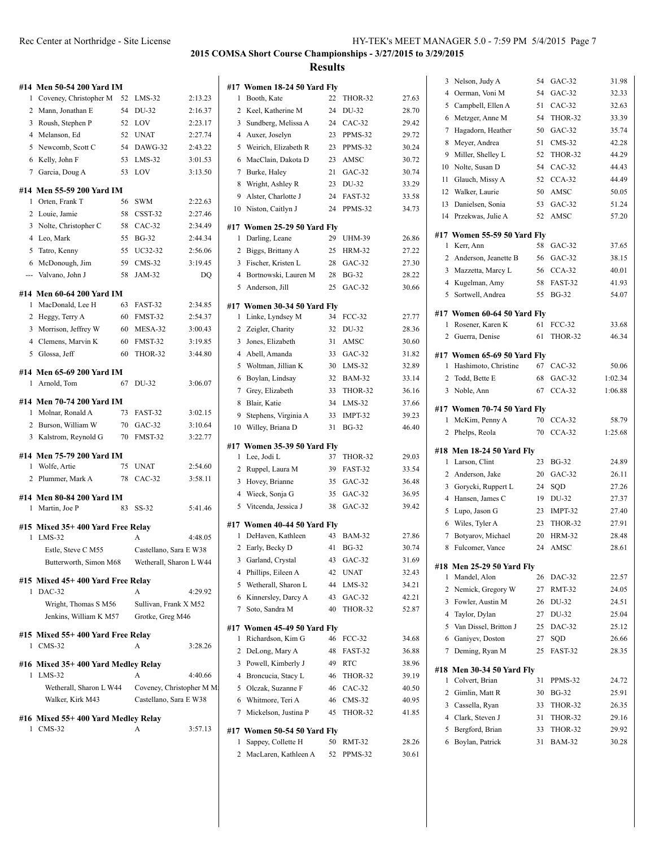|   | #14 Men 50-54 200 Yard IM                      |          |                                                     |                    |
|---|------------------------------------------------|----------|-----------------------------------------------------|--------------------|
| 1 | Coveney, Christopher M                         | 52       | $LMS-32$                                            | 2:13.23            |
| 2 | Mann, Jonathan E                               | 54       | DU-32                                               | 2:16.37            |
| 3 | Roush, Stephen P                               | 52       | LOV                                                 | 2:23.17            |
|   | 4 Melanson, Ed                                 | 52       | <b>UNAT</b>                                         | 2:27.74            |
|   | 5 Newcomb, Scott C                             | 54       | DAWG-32                                             | 2:43.22            |
|   | 6 Kelly, John F                                | 53       | $LMS-32$                                            | 3:01.53            |
|   | 7 Garcia, Doug A                               | 53       | LOV                                                 | 3:13.50            |
|   |                                                |          |                                                     |                    |
| 1 | #14 Men 55-59 200 Yard IM<br>Orten, Frank T    | 56       | SWM                                                 | 2:22.63            |
| 2 | Louie, Jamie                                   | 58       | CSST-32                                             | 2:27.46            |
| 3 | Nolte, Christopher C                           | 58       | CAC-32                                              | 2:34.49            |
|   | 4 Leo, Mark                                    | 55       | <b>BG-32</b>                                        | 2:44.34            |
| 5 | Tatro, Kenny                                   | 55       | UC32-32                                             | 2:56.06            |
|   | 6 McDonough, Jim                               | 59       | $CMS-32$                                            | 3:19.45            |
|   | --- Valvano, John J                            | 58       | JAM-32                                              | DO                 |
|   |                                                |          |                                                     |                    |
|   | #14 Men 60-64 200 Yard IM                      |          |                                                     |                    |
| 1 | MacDonald, Lee H                               | 63       | FAST-32                                             | 2:34.85            |
|   | 2 Heggy, Terry A                               | 60       | FMST-32<br>MESA-32                                  | 2:54.37<br>3:00.43 |
|   | 3 Morrison, Jeffrey W<br>4 Clemens, Marvin K   | 60<br>60 | FMST-32                                             | 3:19.85            |
|   | 5 Glossa, Jeff                                 | 60       | THOR-32                                             | 3:44.80            |
|   |                                                |          |                                                     |                    |
|   | #14 Men 65-69 200 Yard IM                      |          |                                                     |                    |
|   | 1 Arnold, Tom                                  | 67       | DU-32                                               | 3:06.07            |
|   | #14 Men 70-74 200 Yard IM                      |          |                                                     |                    |
|   | 1 Molnar, Ronald A                             | 73       | FAST-32                                             | 3:02.15            |
|   | 2 Burson, William W                            |          | 70 GAC-32                                           | 3:10.64            |
|   | 3 Kalstrom, Reynold G                          | 70       | FMST-32                                             | 3:22.77            |
|   | #14 Men 75-79 200 Yard IM                      |          |                                                     |                    |
|   | 1 Wolfe, Artie                                 | 75       | <b>UNAT</b>                                         | 2:54.60            |
|   | 2 Plummer, Mark A                              | 78       | $CAC-32$                                            | 3:58.11            |
|   |                                                |          |                                                     |                    |
|   | #14 Men 80-84 200 Yard IM                      | 83       |                                                     | 5:41.46            |
|   | 1 Martin, Joe P                                |          | SS-32                                               |                    |
|   | #15 Mixed 35+400 Yard Free Relay               |          |                                                     |                    |
| 1 | $LMS-32$                                       |          | А                                                   | 4:48.05            |
|   | Estle, Steve C M55                             |          | Castellano, Sara E W38                              |                    |
|   | Butterworth, Simon M68 Wetherall, Sharon L W44 |          |                                                     |                    |
|   | #15 Mixed 45+400 Yard Free Relay               |          |                                                     |                    |
|   | 1 DAC-32                                       |          | A                                                   | 4:29.92            |
|   | Wright, Thomas S M56                           |          | Sullivan, Frank X M52                               |                    |
|   | Jenkins, William K M57                         |          | Grotke, Greg M46                                    |                    |
|   | #15 Mixed 55+400 Yard Free Relay               |          |                                                     |                    |
| 1 | CMS-32                                         |          | A                                                   | 3:28.26            |
|   |                                                |          |                                                     |                    |
|   | #16 Mixed 35+400 Yard Medley Relay             |          |                                                     |                    |
| 1 | $LMS-32$                                       |          | A                                                   | 4:40.66            |
|   | Wetherall, Sharon L W44<br>Walker, Kirk M43    |          | Coveney, Christopher M M.<br>Castellano, Sara E W38 |                    |
|   |                                                |          |                                                     |                    |
|   | #16 Mixed 55+ 400 Yard Medley Relay            |          |                                                     |                    |
|   | 1 CMS-32                                       |          | А                                                   | 3:57.13            |
|   |                                                |          |                                                     |                    |
|   |                                                |          |                                                     |                    |

|                | #17 Women 18-24 50 Yard Fly |    |               |       |
|----------------|-----------------------------|----|---------------|-------|
| 1              | Booth, Kate                 | 22 | THOR-32       | 27.63 |
| 2              | Keel, Katherine M           | 24 | DU-32         | 28.70 |
| 3              | Sundberg, Melissa A         | 24 | $CAC-32$      | 29.42 |
| 4              | Auxer, Joselyn              | 23 | PPMS-32       | 29.72 |
| 5              | Weirich, Elizabeth R        | 23 | PPMS-32       | 30.24 |
| 6              | MacClain, Dakota D          | 23 | AMSC          | 30.72 |
| 7              | Burke, Haley                | 21 | $GAC-32$      | 30.74 |
| 8              | Wright, Ashley R            | 23 | DU-32         | 33.29 |
| 9              | Alster, Charlotte J         | 24 | FAST-32       | 33.58 |
| 10             | Niston, Caitlyn J           | 24 | PPMS-32       | 34.73 |
|                | #17 Women 25-29 50 Yard Fly |    |               |       |
| 1              | Darling, Leane              | 29 | <b>UHM-39</b> | 26.86 |
| 2              | Biggs, Brittany A           | 25 | HRM-32        | 27.22 |
| 3              | Fischer, Kristen L          | 28 | $GAC-32$      | 27.30 |
| $\overline{4}$ | Bortnowski, Lauren M        | 28 | <b>BG-32</b>  | 28.22 |
| 5              | Anderson, Jill              | 25 | $GAC-32$      | 30.66 |
|                | #17 Women 30-34 50 Yard Fly |    |               |       |
| 1              | Linke, Lyndsey M            | 34 | $FCC-32$      | 27.77 |
| 2              | Zeigler, Charity            | 32 | DU-32         | 28.36 |
| 3              | Jones, Elizabeth            | 31 | AMSC          | 30.60 |
| 4              | Abell, Amanda               | 33 | $GAC-32$      | 31.82 |
| 5              | Woltman, Jillian K          | 30 | $LMS-32$      | 32.89 |
| 6              | Boylan, Lindsay             | 32 | <b>BAM-32</b> | 33.14 |
| 7              | Grey, Elizabeth             | 33 | THOR-32       | 36.16 |
| 8              | Blair, Katie                | 34 | $LMS-32$      | 37.66 |
| 9              | Stephens, Virginia A        | 33 | IMPT-32       | 39.23 |
| 10             | Willey, Briana D            | 31 | <b>BG-32</b>  | 46.40 |
|                | #17 Women 35-39 50 Yard Fly |    |               |       |
| 1              | Lee, Jodi L                 | 37 | THOR-32       | 29.03 |
| 2              | Ruppel, Laura M             | 39 | FAST-32       | 33.54 |
| 3              | Hovey, Brianne              | 35 | $GAC-32$      | 36.48 |
| $\overline{4}$ | Wieck, Sonja G              | 35 | $GAC-32$      | 36.95 |
| 5              | Vitcenda, Jessica J         | 38 | $GAC-32$      | 39.42 |
|                | #17 Women 40-44 50 Yard Fly |    |               |       |
| 1              | DeHaven, Kathleen           | 43 | <b>BAM-32</b> | 27.86 |
| 2              | Early, Becky D              | 41 | <b>BG-32</b>  | 30.74 |
|                | 3 Garland, Crystal          | 43 | GAC-32        | 31.69 |
|                | 4 Phillips, Eileen A        | 42 | <b>UNAT</b>   | 32.43 |
| 5              | Wetherall, Sharon L         | 44 | $LMS-32$      | 34.21 |
| 6              | Kinnersley, Darcy A         | 43 | $GAC-32$      | 42.21 |
| 7              | Soto, Sandra M              | 40 | THOR-32       | 52.87 |
|                | #17 Women 45-49 50 Yard Fly |    |               |       |
| 1              | Richardson, Kim G           | 46 | FCC-32        | 34.68 |
| $\mathbf{2}$   | DeLong, Mary A              | 48 | FAST-32       | 36.88 |
| 3              | Powell, Kimberly J          | 49 | <b>RTC</b>    | 38.96 |
|                | 4 Broncucia, Stacy L        |    | 46 THOR-32    | 39.19 |
| 5              | Olczak, Suzanne F           |    | 46 CAC-32     | 40.50 |
| 6              | Whitmore, Teri A            | 46 | $CMS-32$      | 40.95 |
| 7              | Mickelson, Justina P        | 45 | THOR-32       | 41.85 |
|                | #17 Women 50-54 50 Yard Fly |    |               |       |
| 1              | Sappey, Collette H          | 50 | RMT-32        | 28.26 |
| 2              | MacLaren, Kathleen A        | 52 | PPMS-32       | 30.61 |
|                |                             |    |               |       |

| 3              | Nelson, Judy A              | 54 | GAC-32        | 31.98   |
|----------------|-----------------------------|----|---------------|---------|
| 4              | Oerman, Voni M              | 54 | GAC-32        | 32.33   |
| 5              | Campbell, Ellen A           | 51 | $CAC-32$      | 32.63   |
| 6              | Metzger, Anne M             | 54 | THOR-32       | 33.39   |
| 7              | Hagadorn, Heather           | 50 | $GAC-32$      | 35.74   |
| 8              | Meyer, Andrea               | 51 | $CMS-32$      | 42.28   |
| 9              | Miller, Shelley L           | 52 | THOR-32       | 44.29   |
| 10             | Nolte, Susan D              | 54 | $CAC-32$      | 44.43   |
| 11             | Glauch, Missy A             | 52 | $CCA-32$      | 44.49   |
|                | 12 Walker, Laurie           | 50 | AMSC          | 50.05   |
| 13             | Danielsen, Sonia            | 53 | $GAC-32$      | 51.24   |
| 14             | Przekwas, Julie A           | 52 | <b>AMSC</b>   | 57.20   |
|                |                             |    |               |         |
|                | #17 Women 55-59 50 Yard Fly | 58 |               |         |
| 1              | Kerr, Ann                   |    | $GAC-32$      | 37.65   |
| 2              | Anderson, Jeanette B        | 56 | $GAC-32$      | 38.15   |
| 3<br>4         | Mazzetta, Marcy L           | 56 | $CCA-32$      | 40.01   |
|                | Kugelman, Amy               | 58 | FAST-32       | 41.93   |
| 5              | Sortwell, Andrea            | 55 | <b>BG-32</b>  | 54.07   |
|                | #17 Women 60-64 50 Yard Fly |    |               |         |
| 1              | Rosener, Karen K            | 61 | <b>FCC-32</b> | 33.68   |
| 2              | Guerra, Denise              | 61 | THOR-32       | 46.34   |
|                | #17 Women 65-69 50 Yard Fly |    |               |         |
| 1              | Hashimoto, Christine        | 67 | $CAC-32$      | 50.06   |
| $\overline{2}$ | Todd, Bette E               | 68 | $GAC-32$      | 1:02.34 |
|                | 3 Noble, Ann                | 67 | $CCA-32$      | 1:06.88 |
|                |                             |    |               |         |
|                | #17 Women 70-74 50 Yard Fly |    |               |         |
| 1              | McKim, Penny A              | 70 | $CCA-32$      | 58.79   |
| 2              | Phelps, Reola               | 70 | $CCA-32$      | 1:25.68 |
|                | #18 Men 18-24 50 Yard Fly   |    |               |         |
| 1              | Larson, Clint               | 23 | <b>BG-32</b>  | 24.89   |
|                | 2 Anderson, Jake            | 20 | GAC-32        | 26.11   |
| 3              | Gorycki, Ruppert L          | 24 | SQD           | 27.26   |
| 4              | Hansen, James C             | 19 | DU-32         | 27.37   |
| 5              | Lupo, Jason G               | 23 | IMPT-32       | 27.40   |
| 6              | Wiles, Tyler A              | 23 | THOR-32       | 27.91   |
| 7              | Botvarov, Michael           | 20 | <b>HRM-32</b> | 28.48   |
| 8              | Fulcomer, Vance             | 24 | AMSC          | 28.61   |
|                | #18 Men 25-29 50 Yard Fly   |    |               |         |
| 1              | Mandel, Alon                | 26 | DAC-32        | 22.57   |
| 2              | Nemick, Gregory W           | 27 | <b>RMT-32</b> | 24.05   |
| 3              |                             |    |               | 24.51   |
|                |                             |    |               |         |
|                | Fowler, Austin M            | 26 | DU-32         |         |
| 4              | Taylor, Dylan               | 27 | DU-32         | 25.04   |
| 5              | Van Dissel, Britton J       | 25 | DAC-32        | 25.12   |
| 6              | Ganiyev, Doston             | 27 | SQD           | 26.66   |
| 7              | Deming, Ryan M              | 25 | FAST-32       | 28.35   |
|                | #18 Men 30-34 50 Yard Fly   |    |               |         |
| 1              | Colvert, Brian              | 31 | PPMS-32       | 24.72   |
| 2              | Gimlin, Matt R              | 30 | <b>BG-32</b>  | 25.91   |
| 3              | Cassella, Ryan              | 33 | THOR-32       | 26.35   |
| 4              | Clark, Steven J             | 31 | THOR-32       | 29.16   |
| 5              | Bergford, Brian             | 33 | THOR-32       | 29.92   |
| 6              | Boylan, Patrick             | 31 | <b>BAM-32</b> | 30.28   |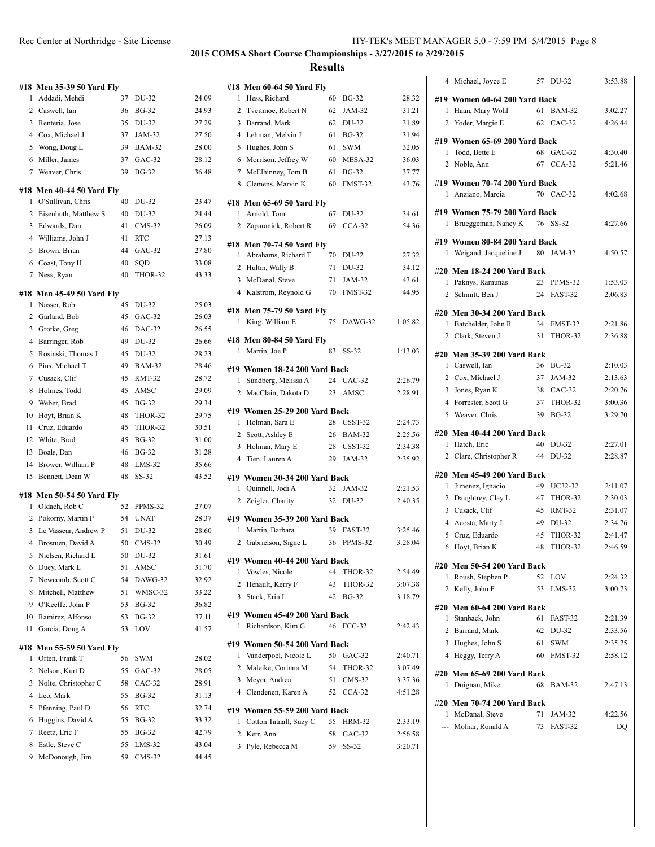| #18      | <b>Men 35-39 50 Yard Fly</b> |          |                              |                |
|----------|------------------------------|----------|------------------------------|----------------|
| 1        | Addadi, Mehdi                | 37       | DU-32                        | 24.09          |
| 2        | Caswell, Ian                 | 36       | <b>BG-32</b>                 | 24.93          |
| 3        | Renteria, Jose               | 35       | DU-32                        | 27.29          |
|          | 4 Cox, Michael J             | 37       | JAM-32                       | 27.50          |
|          | 5 Wong, Doug L               | 39       | <b>BAM-32</b>                | 28.00          |
| 6        | Miller, James                | 37       | $GAC-32$                     | 28.12          |
| 7        | Weaver, Chris                | 39       | <b>BG-32</b>                 | 36.48          |
|          | #18 Men 40-44 50 Yard Fly    |          |                              |                |
| 1        | O'Sullivan, Chris            | 40       | DU-32                        | 23.47          |
|          | 2 Eisenhuth, Matthew S       | 40       | DU-32                        | 24.44          |
|          | 3 Edwards, Dan               | 41       | $CMS-32$                     | 26.09          |
|          | 4 Williams, John J           | 41       | <b>RTC</b>                   | 27.13          |
| 5        | Brown, Brian                 | 44       | GAC-32                       | 27.80          |
| 6        | Coast, Tony H                | 40       | SQD                          | 33.08          |
| 7        | Ness, Ryan                   | 40       | THOR-32                      | 43.33          |
|          |                              |          |                              |                |
|          | #18 Men 45-49 50 Yard Fly    |          |                              |                |
| 1        | Nasser, Rob                  | 45       | DU-32                        | 25.03          |
|          | 2 Garland, Bob               | 45       | $GAC-32$<br>DAC-32           | 26.03          |
|          | 3 Grotke, Greg               | 46       |                              | 26.55          |
| 4        | Barringer, Rob               | 49       | DU-32                        | 26.66          |
| 5        | Rosinski, Thomas J           | 45       | DU-32                        | 28.23          |
| 6        | Pins, Michael T              | 49       | <b>BAM-32</b>                | 28.46          |
| 7        | Cusack, Clif                 | 45       | <b>RMT-32</b>                | 28.72          |
| 8        | Holmes, Todd                 | 45       | AMSC                         | 29.09          |
| 9        | Weber, Brad                  | 45       | <b>BG-32</b>                 | 29.34          |
| 10       | Hoyt, Brian K                | 48       | THOR-32                      | 29.75          |
| 11       | Cruz, Eduardo<br>White, Brad | 45<br>45 | THOR-32                      | 30.51<br>31.00 |
| 12<br>13 | Boals, Dan                   | 46       | <b>BG-32</b><br><b>BG-32</b> | 31.28          |
| 14       | Brower, William P            | 48       | $LMS-32$                     | 35.66          |
| 15       | Bennett, Dean W              | 48       | $SS-32$                      | 43.52          |
|          |                              |          |                              |                |
| #18      | <b>Men 50-54 50 Yard Fly</b> |          |                              |                |
| 1        | Oldach, Rob C                | 52       | PPMS-32                      | 27.07          |
| 2        | Pokorny, Martin P            | 54       | <b>UNAT</b>                  | 28.37          |
| 3        | Le Vasseur, Andrew P         | 51       | DU-32                        | 28.60          |
|          | 4 Brostuen, David A          | 50       | $CMS-32$                     | 30.49          |
|          | 5 Nielsen, Richard L         |          | 50 DU-32                     | 31.61          |
| 6        | Duey, Mark L                 | 51       | AMSC                         | 31.70          |
| 7        | Newcomb, Scott C             | 54       | DAWG-32                      | 32.92          |
| 8        | Mitchell, Matthew            | 51       | WMSC-32                      | 33.22          |
| 9        | O'Keeffe, John P             | 53       | <b>BG-32</b>                 | 36.82          |
| 10       | Ramirez, Alfonso             | 53       | <b>BG-32</b>                 | 37.11          |
| 11       | Garcia, Doug A               | 53       | LOV                          | 41.57          |
|          | #18 Men 55-59 50 Yard Fly    |          |                              |                |
| 1        | Orten, Frank T               | 56       | SWM                          | 28.02          |
| 2        | Nelson, Kurt D               | 55       | $GAC-32$                     | 28.05          |
| 3        | Nolte, Christopher C         | 58       | CAC-32                       | 28.91          |
| 4        | Leo, Mark                    | 55       | <b>BG-32</b>                 | 31.13          |
| 5        | Pfenning, Paul D             | 56       | <b>RTC</b>                   | 32.74          |
| 6        | Huggins, David A             | 55       | <b>BG-32</b>                 | 33.32          |
| 7        | Reetz, Eric F                | 55       | <b>BG-32</b>                 | 42.79          |
| 8        | Estle, Steve C               | 55       | $LMS-32$                     | 43.04          |
| 9        | McDonough, Jim               | 59       | CMS-32                       | 44.45          |
|          |                              |          |                              |                |

| #18 | <b>Men 60-64 50 Yard Fly</b>  |    |              |         |
|-----|-------------------------------|----|--------------|---------|
| 1   | Hess, Richard                 | 60 | <b>BG-32</b> | 28.32   |
|     | 2 Tveitmoe, Robert N          | 62 | JAM-32       | 31.21   |
|     | 3 Barrand, Mark               | 62 | DU-32        | 31.89   |
|     | 4 Lehman, Melvin J            | 61 | <b>BG-32</b> | 31.94   |
|     | 5 Hughes, John S              | 61 | <b>SWM</b>   | 32.05   |
|     | 6 Morrison, Jeffrey W         |    | 60 MESA-32   | 36.03   |
|     | 7 McElhinney, Tom B           | 61 | <b>BG-32</b> | 37.77   |
|     | 8 Clemens, Marvin K           | 60 | FMST-32      | 43.76   |
|     | #18 Men 65-69 50 Yard Fly     |    |              |         |
|     | 1 Arnold, Tom                 | 67 | DU-32        | 34.61   |
|     | 2 Zaparanick, Robert R        | 69 | CCA-32       | 54.36   |
|     | #18 Men 70-74 50 Yard Fly     |    |              |         |
|     | 1 Abrahams, Richard T         | 70 | DU-32        | 27.32   |
|     | 2 Hultin, Wally B             | 71 | DU-32        | 34.12   |
|     | 3 McDanal, Steve              | 71 | JAM-32       | 43.61   |
|     | 4 Kalstrom, Reynold G         | 70 | FMST-32      | 44.95   |
|     | #18 Men 75-79 50 Yard Fly     |    |              |         |
| 1   | King, William E               | 75 | DAWG-32      | 1:05.82 |
|     | #18 Men 80-84 50 Yard Fly     |    |              |         |
|     | 1 Martin, Joe P               | 83 | SS-32        | 1:13.03 |
|     | #19 Women 18-24 200 Yard Back |    |              |         |
| 1   | Sundberg, Melissa A           |    | 24 CAC-32    | 2:26.79 |
|     | 2 MacClain, Dakota D          | 23 | AMSC         | 2:28.91 |
|     | #19 Women 25-29 200 Yard Back |    |              |         |
|     | 1 Holman, Sara E              |    | 28 CSST-32   | 2:24.73 |
|     | 2 Scott, Ashley E             |    | 26 BAM-32    | 2:25.56 |
|     | 3 Holman, Mary E              |    | 28 CSST-32   | 2:34.38 |
|     | 4 Tien, Lauren A              |    | 29 JAM-32    | 2:35.92 |
|     | #19 Women 30-34 200 Yard Back |    |              |         |
| 1   | Quinnell, Jodi A              | 32 | JAM-32       | 2:21.53 |
|     | 2 Zeigler, Charity            | 32 | DU-32        | 2:40.35 |
|     | #19 Women 35-39 200 Yard Back |    |              |         |
| 1   | Martin, Barbara               | 39 | FAST-32      | 3:25.46 |
|     | 2 Gabrielson, Signe L         |    | 36 PPMS-32   | 3:28.04 |
|     | #19 Women 40-44 200 Yard Back |    |              |         |
| 1   | Vowles, Nicole                | 44 | THOR-32      | 2:54.49 |
| 2   | Henault, Kerry F              | 43 | THOR-32      | 3:07.38 |
| 3   | Stack, Erin L                 | 42 | <b>BG-32</b> | 3:18.79 |
|     | #19 Women 45-49 200 Yard Back |    |              |         |
| 1   | Richardson, Kim G             | 46 | $FCC-32$     | 2:42.43 |
|     | #19 Women 50-54 200 Yard Back |    |              |         |
| 1   | Vanderpoel, Nicole L          | 50 | GAC-32       | 2:40.71 |
|     | 2 Maleike, Corinna M          | 54 | THOR-32      | 3:07.49 |
|     | 3 Meyer, Andrea               | 51 | $CMS-32$     | 3:37.36 |
|     | 4 Clendenen, Karen A          | 52 | $CCA-32$     | 4:51.28 |
|     | #19 Women 55-59 200 Yard Back |    |              |         |
| 1   | Cotton Tatnall, Suzy C        |    | 55 HRM-32    | 2:33.19 |
|     | 2 Kerr, Ann                   |    | 58 GAC-32    | 2:56.58 |
|     | 3 Pyle, Rebecca M             | 59 | SS-32        | 3:20.71 |
|     |                               |    |              |         |

| 4                             | Michael, Joyce E                                | 57 | DU-32              | 3:53.88            |  |  |
|-------------------------------|-------------------------------------------------|----|--------------------|--------------------|--|--|
| #19 Women 60-64 200 Yard Back |                                                 |    |                    |                    |  |  |
| 1                             | Haan, Mary Wohl                                 | 61 | <b>BAM-32</b>      | 3:02.27            |  |  |
|                               | 2 Yoder, Margie E                               | 62 | $CAC-32$           | 4:26.44            |  |  |
|                               |                                                 |    |                    |                    |  |  |
| 1                             | #19 Women 65-69 200 Yard Back<br>Todd, Bette E  | 68 | $GAC-32$           | 4:30.40            |  |  |
| 2                             | Noble, Ann                                      | 67 | $CCA-32$           | 5:21.46            |  |  |
|                               |                                                 |    |                    |                    |  |  |
|                               | #19 Women 70-74 200 Yard Back                   |    |                    |                    |  |  |
| 1                             | Anziano, Marcia                                 |    | 70 CAC-32          | 4:02.68            |  |  |
|                               | #19 Women 75-79 200 Yard Back                   |    |                    |                    |  |  |
| 1                             | Brueggeman, Nancy K                             | 76 | SS-32              | 4:27.66            |  |  |
|                               | #19 Women 80-84 200 Yard Back                   |    |                    |                    |  |  |
| 1                             | Weigand, Jacqueline J                           |    | 80 JAM-32          | 4:50.57            |  |  |
|                               |                                                 |    |                    |                    |  |  |
|                               | #20 Men 18-24 200 Yard Back                     | 23 |                    |                    |  |  |
| 1<br>2                        | Paknys, Ramunas<br>Schmitt, Ben J               | 24 | PPMS-32<br>FAST-32 | 1:53.03<br>2:06.83 |  |  |
|                               |                                                 |    |                    |                    |  |  |
|                               | #20 Men 30-34 200 Yard Back                     |    |                    |                    |  |  |
|                               | 1 Batchelder, John R                            | 34 | FMST-32            | 2:21.86            |  |  |
|                               | 2 Clark, Steven J                               | 31 | THOR-32            | 2:36.88            |  |  |
|                               | #20 Men 35-39 200 Yard Back                     |    |                    |                    |  |  |
| 1                             | Caswell, Ian                                    | 36 | <b>BG-32</b>       | 2:10.03            |  |  |
|                               | 2 Cox, Michael J                                | 37 | JAM-32             | 2:13.63            |  |  |
|                               | 3 Jones, Ryan K                                 | 38 | $CAC-32$           | 2:20.76            |  |  |
|                               | 4 Forrester, Scott G                            | 37 | THOR-32            | 3:00.36            |  |  |
|                               | 5 Weaver, Chris                                 | 39 | <b>BG-32</b>       | 3:29.70            |  |  |
|                               | #20 Men 40-44 200 Yard Back                     |    |                    |                    |  |  |
| 1                             | Hatch, Eric                                     | 40 | DU-32              | 2:27.01            |  |  |
|                               | 2 Clare, Christopher R                          | 44 | DU-32              | 2:28.87            |  |  |
|                               | #20 Men 45-49 200 Yard Back                     |    |                    |                    |  |  |
| 1                             | Jimenez, Ignacio                                | 49 | UC32-32            | 2:11.07            |  |  |
| 2                             | Daughtrey, Clay L                               | 47 | THOR-32            | 2:30.03            |  |  |
| 3                             | Cusack, Clif                                    | 45 | <b>RMT-32</b>      | 2:31.07            |  |  |
|                               | 4 Acosta, Marty J                               | 49 | DU-32              | 2:34.76            |  |  |
| 5                             | Cruz, Eduardo                                   | 45 | THOR-32            | 2:41.47            |  |  |
| 6                             | Hoyt, Brian K                                   | 48 | THOR-32            | 2:46.59            |  |  |
|                               |                                                 |    |                    |                    |  |  |
| 1                             | #20 Men 50-54 200 Yard Back<br>Roush, Stephen P | 52 | LOV                | 2:24.32            |  |  |
| 2                             | Kelly, John F                                   | 53 | LMS-32             | 3:00.73            |  |  |
|                               |                                                 |    |                    |                    |  |  |
|                               | #20 Men 60-64 200 Yard Back                     |    |                    |                    |  |  |
| 1                             | Stanback, John                                  | 61 | FAST-32            | 2:21.39            |  |  |
|                               | 2 Barrand, Mark                                 | 62 | DU-32              | 2:33.56            |  |  |
|                               | 3 Hughes, John S                                | 60 | 61 SWM<br>FMST-32  | 2:35.75<br>2:58.12 |  |  |
|                               | 4 Heggy, Terry A                                |    |                    |                    |  |  |
|                               | #20 Men 65-69 200 Yard Back                     |    |                    |                    |  |  |
| 1                             | Duignan, Mike                                   | 68 | <b>BAM-32</b>      | 2:47.13            |  |  |
|                               | #20 Men 70-74 200 Yard Back                     |    |                    |                    |  |  |
| 1                             | McDanal, Steve                                  | 71 | JAM-32             | 4:22.56            |  |  |
|                               | --- Molnar, Ronald A                            | 73 | FAST-32            | DQ                 |  |  |
|                               |                                                 |    |                    |                    |  |  |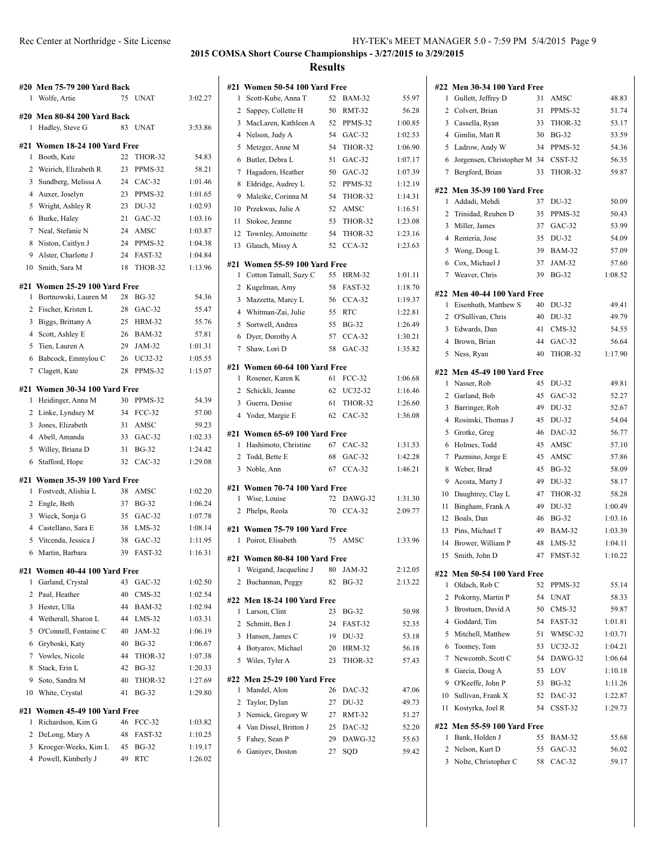|                | #20  Men 75-79 200 Yard Back                 |    |                    |         | #21 Wol          |
|----------------|----------------------------------------------|----|--------------------|---------|------------------|
| 1              | Wolfe, Artie                                 | 75 | <b>UNAT</b>        | 3:02.27 | Sco<br>1         |
|                | #20  Men 80-84 200 Yard Back                 |    |                    |         | 2<br>Sap         |
| 1              | Hadley, Steve G                              | 83 | <b>UNAT</b>        | 3:53.86 | Ma<br>3          |
|                |                                              |    |                    |         | Nel<br>4         |
| 1              | #21 Women 18-24 100 Yard Free<br>Booth, Kate | 22 | THOR-32            | 54.83   | 5<br>Me          |
| 2              | Weirich, Elizabeth R                         | 23 | PPMS-32            | 58.21   | 6<br>But         |
| 3              | Sundberg, Melissa A                          | 24 | $CAC-32$           | 1:01.46 | 7<br>Hag         |
| $\overline{4}$ | Auxer, Joselyn                               | 23 | PPMS-32            | 1:01.65 | Eld<br>8         |
| 5              | Wright, Ashley R                             | 23 | DU-32              | 1:02.93 | 9<br>Ma          |
| 6              | Burke, Haley                                 | 21 | $GAC-32$           | 1:03.16 | 10<br>Prz        |
| 7              | Neal, Stefanie N                             | 24 | AMSC               | 1:03.87 | 11<br>Sto.       |
| 8              | Niston, Caitlyn J                            | 24 | PPMS-32            | 1:04.38 | 12<br>Tov        |
| 9              | Alster, Charlotte J                          | 24 | FAST-32            | 1:04.84 | 13<br>Gla        |
| 10             | Smith, Sara M                                | 18 | THOR-32            | 1:13.96 | #21 Wol          |
|                |                                              |    |                    |         | 1<br>Cot         |
|                | #21  Women 25-29 100 Yard Free               |    |                    |         | 2<br>Kuş         |
| 1              | Bortnowski, Lauren M                         | 28 | <b>BG-32</b>       | 54.36   | 3<br>Ma          |
| 2              | Fischer, Kristen L                           | 28 | $GAC-32$           | 55.47   | 4<br>Wh          |
| 3              | Biggs, Brittany A                            | 25 | <b>HRM-32</b>      | 55.76   | 5<br>Sor         |
| $\overline{4}$ | Scott, Ashley E                              | 26 | <b>BAM-32</b>      | 57.81   | 6<br>Dye         |
| 5              | Tien, Lauren A                               | 29 | JAM-32             | 1:01.31 | 7<br>Sha         |
| 6              | Babcock, Emmylou C                           | 26 | UC32-32            | 1:05.55 | #21 Wol          |
| 7              | Clagett, Kate                                | 28 | PPMS-32            | 1:15.07 | 1<br>Ros         |
| #21            | Women 30-34 100 Yard Free                    |    |                    |         | 2<br>Sch         |
| 1              | Heidinger, Anna M                            | 30 | PPMS-32            | 54.39   | 3<br>Gue         |
|                | 2 Linke, Lyndsey M                           | 34 | FCC-32             | 57.00   | 4<br>Yoc         |
| 3              | Jones, Elizabeth                             | 31 | AMSC               | 59.23   |                  |
| $\overline{4}$ | Abell, Amanda                                | 33 | $GAC-32$           | 1:02.33 | #21 Wol          |
| 5              | Willey, Briana D                             | 31 | <b>BG-32</b>       | 1:24.42 | 1<br>Has         |
| 6              | Stafford, Hope                               | 32 | $CAC-32$           | 1:29.08 | 2<br>Tod         |
|                |                                              |    |                    |         | Nol<br>3         |
| #21<br>1       | <b>Women 35-39 100 Yard Free</b>             | 38 | AMSC               |         | #21 Wol          |
|                | Fostvedt, Alishia L                          | 37 |                    | 1:02.20 | Wis<br>1         |
| 2<br>3         | Engle, Beth                                  | 35 | <b>BG-32</b>       | 1:06.24 | Phe<br>2         |
| 4              | Wieck, Sonja G<br>Castellano, Sara E         | 38 | GAC-32<br>$LMS-32$ | 1:07.78 |                  |
|                |                                              |    | $GAC-32$           | 1:08.14 | #21<br><b>Wo</b> |
|                | 5 Vitcenda, Jessica J                        | 38 |                    | 1:11.95 | Poi<br>1         |
| 6              | Martin, Barbara                              |    | 39 FAST-32         | 1:16.31 | #21 Wol          |
| #21            | Women 40-44 100 Yard Free                    |    |                    |         | 1<br>We          |
| 1              | Garland, Crystal                             | 43 | $GAC-32$           | 1:02.50 | 2<br>Buc         |
| 2              | Paul, Heather                                | 40 | $CMS-32$           | 1:02.54 | #22 Mei          |
| 3              | Hester, Ulla                                 | 44 | <b>BAM-32</b>      | 1:02.94 | 1<br>Lar         |
| 4              | Wetherall, Sharon L                          | 44 | $LMS-32$           | 1:03.31 | 2<br>Sch         |
| 5              | O'Connell, Fontaine C                        | 40 | JAM-32             | 1:06.19 | 3<br>Har         |
| 6              | Gryboski, Katy                               | 40 | <b>BG-32</b>       | 1:06.67 | 4<br>Bot         |
|                | 7 Vowles, Nicole                             | 44 | THOR-32            | 1:07.38 | 5<br>Wil         |
| 8              | Stack, Erin L                                | 42 | <b>BG-32</b>       | 1:20.33 |                  |
| 9              | Soto, Sandra M                               | 40 | THOR-32            | 1:27.69 | #22 Mel          |
| 10             | White, Crystal                               | 41 | <b>BG-32</b>       | 1:29.80 | Ma<br>1          |
|                | #21  Women 45-49 100 Yard Free               |    |                    |         | 2<br>Tay         |
| 1              | Richardson, Kim G                            | 46 | FCC-32             | 1:03.82 | 3<br>Ner         |
| 2              | DeLong, Mary A                               | 48 | FAST-32            | 1:10.25 | 4<br>Van         |
| 3              | Kroeger-Weeks, Kim L                         | 45 | <b>BG-32</b>       | 1:19.17 | 5<br>Fah         |
| 4              | Powell, Kimberly J                           | 49 | RTC                | 1:26.02 | Gar<br>6         |
|                |                                              |    |                    |         |                  |

|                | Women 50-54 100 Yard Free                          |    |               |         |
|----------------|----------------------------------------------------|----|---------------|---------|
| #21<br>1       | Scott-Kube, Anna T                                 | 52 | <b>BAM-32</b> | 55.97   |
| 2              | Sappey, Collette H                                 | 50 | <b>RMT-32</b> | 56.28   |
| 3              | MacLaren, Kathleen A                               | 52 | PPMS-32       | 1:00.85 |
| 4              | Nelson, Judy A                                     | 54 | $GAC-32$      | 1:02.53 |
| 5              | Metzger, Anne M                                    | 54 | THOR-32       | 1:06.90 |
| 6              | Butler, Debra L                                    | 51 | $GAC-32$      | 1:07.17 |
| 7              | Hagadorn, Heather                                  | 50 | GAC-32        | 1:07.39 |
| 8              | Eldridge, Audrey L                                 | 52 | PPMS-32       | 1:12.19 |
| 9              | Maleike, Corinna M                                 | 54 | THOR-32       | 1:14.31 |
| 10             | Przekwas, Julie A                                  | 52 | AMSC          | 1:16.51 |
| 11             | Stokoe, Jeanne                                     | 53 | THOR-32       | 1:23.08 |
| 12             | Townley, Antoinette                                | 54 | THOR-32       | 1:23.16 |
| 13             | Glauch, Missy A                                    | 52 | $CCA-32$      | 1:23.63 |
|                |                                                    |    |               |         |
| #21            | Women 55-59 100 Yard Free                          |    |               |         |
| 1              | Cotton Tatnall, Suzy C                             | 55 | <b>HRM-32</b> | 1:01.11 |
| 2              | Kugelman, Amy                                      | 58 | FAST-32       | 1:18.70 |
| 3              | Mazzetta, Marcy L                                  | 56 | $CCA-32$      | 1:19.37 |
| 4              | Whitman-Zai, Julie                                 | 55 | RTC           | 1:22.81 |
| 5              | Sortwell, Andrea                                   | 55 | <b>BG-32</b>  | 1:26.49 |
| 6              | Dyer, Dorothy A                                    | 57 | $CCA-32$      | 1:30.21 |
| 7              | Shaw, Lori D                                       | 58 | $GAC-32$      | 1:35.82 |
| #21            | Women 60-64 100 Yard Free                          |    |               |         |
| 1              | Rosener, Karen K                                   | 61 | <b>FCC-32</b> | 1:06.68 |
|                | 2 Schickli, Jeanne                                 | 62 | UC32-32       | 1:16.46 |
|                | 3 Guerra, Denise                                   | 61 | THOR-32       | 1:26.60 |
| $\overline{4}$ | Yoder, Margie E                                    | 62 | $CAC-32$      | 1:36.08 |
|                |                                                    |    |               |         |
|                |                                                    |    |               |         |
|                | #21  Women 65-69 100 Yard Free                     |    |               |         |
| 1              | Hashimoto, Christine                               | 67 | $CAC-32$      | 1:31.53 |
|                | 2 Todd, Bette E                                    | 68 | GAC-32        | 1:42.28 |
| 3              | Noble, Ann                                         | 67 | $CCA-32$      | 1:46.21 |
| #21            | Women 70-74 100 Yard Free                          |    |               |         |
| 1              | Wise, Louise                                       | 72 | DAWG-32       | 1:31.30 |
| 2              | Phelps, Reola                                      | 70 | $CCA-32$      | 2:09.77 |
|                |                                                    |    |               |         |
| 1              | #21 Women 75-79 100 Yard Free<br>Poirot, Elisabeth | 75 | AMSC          | 1:33.96 |
|                |                                                    |    |               |         |
|                | #21 Women 80-84 100 Yard Free                      |    |               |         |
| $\mathbf{1}$   | Weigand, Jacqueline J                              | 80 | JAM-32        | 2:12.05 |
| 2              | Buchannan, Peggy                                   | 82 | BG-32         | 2:13.22 |
|                | #22 Men 18-24 100 Yard Free                        |    |               |         |
| 1              | Larson, Clint                                      | 23 | <b>BG-32</b>  | 50.98   |
|                | 2 Schmitt, Ben J                                   | 24 | FAST-32       | 52.35   |
|                | 3 Hansen, James C                                  | 19 | DU-32         | 53.18   |
|                | 4 Botyarov, Michael                                | 20 | <b>HRM-32</b> | 56.18   |
| 5              | Wiles, Tyler A                                     | 23 | THOR-32       | 57.43   |
|                |                                                    |    |               |         |
| 1              | #22 Men 25-29 100 Yard Free<br>Mandel, Alon        | 26 | DAC-32        | 47.06   |
|                | 2 Taylor, Dylan                                    |    | 27 DU-32      | 49.73   |
|                | 3 Nemick, Gregory W                                |    | 27 RMT-32     | 51.27   |
|                | 4 Van Dissel, Britton J                            | 25 | DAC-32        | 52.20   |
| 5              | Fahey, Sean P                                      |    | 29 DAWG-32    | 55.63   |
| 6              | Ganiyev, Doston                                    | 27 | SQD           | 59.42   |

| #22            | <b>Men 30-34 100 Yard Free</b>               |    |               |         |
|----------------|----------------------------------------------|----|---------------|---------|
| 1              | Gullett, Jeffrey D                           | 31 | AMSC          | 48.83   |
| 2              | Colvert, Brian                               | 31 | PPMS-32       | 51.74   |
| 3              | Cassella, Ryan                               | 33 | THOR-32       | 53.17   |
| 4              | Gimlin, Matt R                               | 30 | <b>BG-32</b>  | 53.59   |
| 5              | Ladrow, Andy W                               | 34 | PPMS-32       | 54.36   |
| 6              | Jorgensen, Christopher M 34                  |    | CSST-32       | 56.35   |
| 7              | Bergford, Brian                              | 33 | THOR-32       | 59.87   |
|                |                                              |    |               |         |
| 1              | #22 Men 35-39 100 Yard Free<br>Addadi, Mehdi | 37 |               |         |
| 2              |                                              |    | DU-32         | 50.09   |
|                | Trinidad, Reuben D                           | 35 | PPMS-32       | 50.43   |
| 3              | Miller, James                                | 37 | $GAC-32$      | 53.99   |
| 4              | Renteria, Jose                               | 35 | DU-32         | 54.09   |
| 5              | Wong, Doug L                                 | 39 | <b>BAM-32</b> | 57.09   |
| 6              | Cox, Michael J                               | 37 | JAM-32        | 57.60   |
| $\tau$         | Weaver, Chris                                | 39 | <b>BG-32</b>  | 1:08.52 |
|                | #22 Men 40-44 100 Yard Free                  |    |               |         |
| 1              | Eisenhuth, Matthew S                         | 40 | DU-32         | 49.41   |
|                | 2 O'Sullivan, Chris                          | 40 | DU-32         | 49.79   |
| 3              | Edwards, Dan                                 | 41 | $CMS-32$      | 54.55   |
| $\overline{4}$ | Brown, Brian                                 | 44 | $GAC-32$      | 56.64   |
| 5              | Ness, Ryan                                   | 40 | THOR-32       | 1:17.90 |
|                |                                              |    |               |         |
| 1              | #22 Men 45-49 100 Yard Free<br>Nasser, Rob   | 45 | DU-32         | 49.81   |
| 2              | Garland, Bob                                 | 45 | $GAC-32$      | 52.27   |
|                |                                              |    | DU-32         | 52.67   |
| 3              | Barringer, Rob                               | 49 |               |         |
| 4              | Rosinski, Thomas J                           | 45 | DU-32         | 54.04   |
| 5              | Grotke, Greg                                 | 46 | DAC-32        | 56.77   |
| 6              | Holmes, Todd                                 | 45 | AMSC          | 57.10   |
| 7              | Pazmino, Jorge E                             | 45 | AMSC          | 57.86   |
| 8              | Weber, Brad                                  | 45 | <b>BG-32</b>  | 58.09   |
| 9              | Acosta, Marty J                              | 49 | DU-32         | 58.17   |
| 10             | Daughtrey, Clay L                            | 47 | THOR-32       | 58.28   |
| 11             | Bingham, Frank A                             | 49 | DU-32         | 1:00.49 |
| 12             | Boals, Dan                                   | 46 | <b>BG-32</b>  | 1:03.16 |
| 13             | Pins, Michael T                              | 49 | <b>BAM-32</b> | 1:03.39 |
| 14             | Brower, William P                            | 48 | $LMS-32$      | 1:04.11 |
| 15             | Smith, John D                                | 47 | FMST-32       | 1:10.22 |
| #22            | <b>Men 50-54 100 Yard Free</b>               |    |               |         |
| 1              | Oldach, Rob C                                | 52 | PPMS-32       | 55.14   |
| 2              | Pokorny, Martin P                            | 54 | UNAT          | 58.33   |
| 3              | Brostuen, David A                            | 50 | $CMS-32$      | 59.87   |
| 4              | Goddard, Tim                                 | 54 | FAST-32       | 1:01.81 |
| 5              | Mitchell, Matthew                            | 51 | WMSC-32       | 1:03.71 |
| 6              | Toomey, Tom                                  | 53 | UC32-32       | 1:04.21 |
| 7              | Newcomb, Scott C                             | 54 | DAWG-32       | 1:06.64 |
| 8              | Garcia, Doug A                               | 53 | LOV           | 1:10.18 |
| 9.             | O'Keeffe, John P                             | 53 | <b>BG-32</b>  | 1:11.26 |
| 10             | Sullivan, Frank X                            | 52 | $DAC-32$      | 1:22.87 |
| 11             | Kostyrka, Joel R                             | 54 | CSST-32       | 1:29.73 |
|                |                                              |    |               |         |
|                | #22 Men 55-59 100 Yard Free                  |    |               |         |
| 1              | Bank, Holden J                               | 55 | <b>BAM-32</b> | 55.68   |
| 2              | Nelson, Kurt D                               | 55 | $GAC-32$      | 56.02   |
| 3              | Nolte, Christopher C                         | 58 | $CAC-32$      | 59.17   |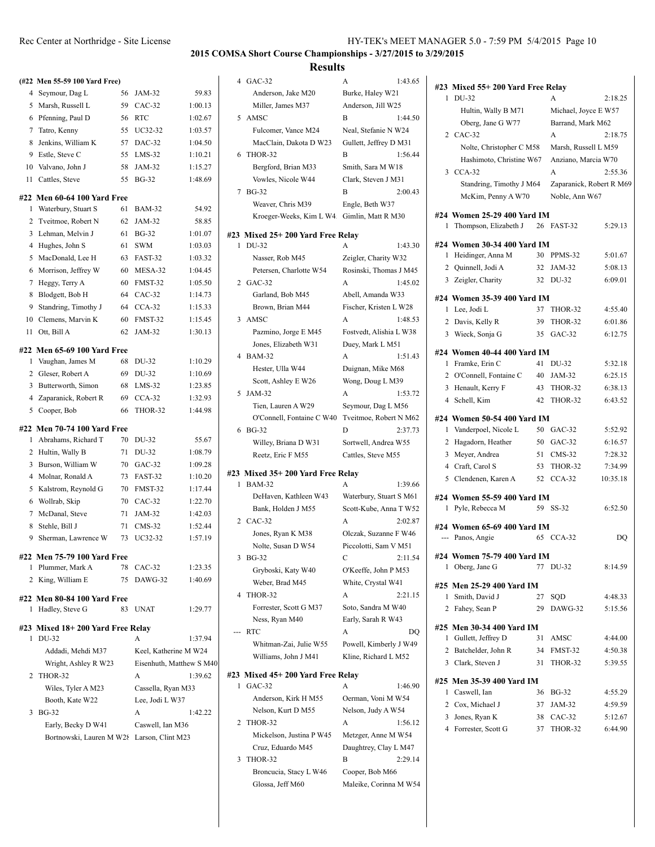|                | (#22 Men 55-59 100 Yard Free)              |    |                          |         |
|----------------|--------------------------------------------|----|--------------------------|---------|
| 4              | Seymour, Dag L                             | 56 | JAM-32                   | 59.83   |
| 5              | Marsh, Russell L                           | 59 | $CAC-32$                 | 1:00.13 |
| 6              | Pfenning, Paul D                           | 56 | RTC                      | 1:02.67 |
| 7              | Tatro, Kenny                               | 55 | UC32-32                  | 1:03.57 |
| 8              | Jenkins, William K                         | 57 | $DAC-32$                 | 1:04.50 |
| 9              | Estle, Steve C                             | 55 | $LMS-32$                 | 1:10.21 |
| 10             | Valvano, John J                            | 58 | JAM-32                   | 1:15.27 |
| 11             | Cattles, Steve                             | 55 | <b>BG-32</b>             | 1:48.69 |
|                | #22 Men 60-64 100 Yard Free                |    |                          |         |
| 1              | Waterbury, Stuart S                        | 61 | <b>BAM-32</b>            | 54.92   |
| 2              | Tveitmoe, Robert N                         | 62 | JAM-32                   | 58.85   |
| 3              | Lehman, Melvin J                           | 61 | <b>BG-32</b>             | 1:01.07 |
| 4              | Hughes, John S                             | 61 | SWM                      | 1:03.03 |
| 5              | MacDonald, Lee H                           | 63 | FAST-32                  | 1:03.32 |
| 6              | Morrison, Jeffrey W                        | 60 | MESA-32                  | 1:04.45 |
| 7              | Heggy, Terry A                             | 60 | FMST-32                  | 1:05.50 |
| 8              | Blodgett, Bob H                            | 64 | $CAC-32$                 | 1:14.73 |
| 9              | Standring, Timothy J                       | 64 | $CCA-32$                 | 1:15.33 |
| 10             | Clemens, Marvin K                          | 60 | FMST-32                  | 1:15.45 |
| 11             | Ott, Bill A                                | 62 | JAM-32                   | 1:30.13 |
|                | #22 Men 65-69 100 Yard Free                |    |                          |         |
| 1              | Vaughan, James M                           | 68 | DU-32                    | 1:10.29 |
| 2              | Gleser, Robert A                           | 69 | DU-32                    | 1:10.69 |
| 3              | Butterworth, Simon                         | 68 | $LMS-32$                 | 1:23.85 |
| $\overline{4}$ | Zaparanick, Robert R                       | 69 | $CCA-32$                 | 1:32.93 |
| 5              | Cooper, Bob                                | 66 | THOR-32                  | 1:44.98 |
|                |                                            |    |                          |         |
|                |                                            |    |                          |         |
|                | #22 Men 70-74 100 Yard Free                |    |                          |         |
| 1              | Abrahams, Richard T                        | 70 | DU-32                    | 55.67   |
| 2              | Hultin, Wally B                            | 71 | DU-32                    | 1:08.79 |
| 3              | Burson, William W                          | 70 | $GAC-32$                 | 1:09.28 |
| 4              | Molnar, Ronald A                           | 73 | FAST-32                  | 1:10.20 |
| 5              | Kalstrom, Reynold G                        | 70 | FMST-32                  | 1:17.44 |
| 6              | Wollrab, Skip                              | 70 | $CAC-32$                 | 1:22.70 |
| 7              | McDanal, Steve                             | 71 | JAM-32                   | 1:42.03 |
| 8              | Stehle, Bill J                             | 71 | $CMS-32$                 | 1:52.44 |
| 9              | Sherman, Lawrence W                        | 73 | UC32-32                  | 1:57.19 |
|                | #22 Men 75-79 100 Yard Free                |    |                          |         |
|                | 1 Plummer, Mark A                          | 78 | CAC-32                   | 1:23.35 |
|                | 2 King, William E                          | 75 | DAWG-32                  | 1:40.69 |
|                | #22 Men 80-84 100 Yard Free                |    |                          |         |
| 1              | Hadley, Steve G                            | 83 | <b>UNAT</b>              | 1:29.77 |
|                |                                            |    |                          |         |
| 1              | #23 Mixed 18+200 Yard Free Relay<br>DU-32  |    | А                        | 1:37.94 |
|                | Addadi, Mehdi M37                          |    | Keel, Katherine M W24    |         |
|                | Wright, Ashley R W23                       |    | Eisenhuth, Matthew S M40 |         |
| 2              | THOR-32                                    |    | А                        | 1:39.62 |
|                | Wiles, Tyler A M23                         |    | Cassella, Ryan M33       |         |
|                | Booth, Kate W22                            |    | Lee, Jodi L W37          |         |
| 3              | <b>BG-32</b>                               |    | А                        | 1:42.22 |
|                | Early, Becky D W41                         |    | Caswell, Ian M36         |         |
|                | Bortnowski, Lauren M W28 Larson, Clint M23 |    |                          |         |

| 4 | $GAC-32$                                  | А<br>1:43.65            |
|---|-------------------------------------------|-------------------------|
|   | Anderson, Jake M20                        | Burke, Haley W21        |
|   | Miller, James M37                         | Anderson, Jill W25      |
| 5 | AMSC                                      | В<br>1:44.50            |
|   | Fulcomer, Vance M24                       | Neal, Stefanie N W24    |
|   | MacClain, Dakota D W23                    | Gullett, Jeffrey D M31  |
| 6 | THOR-32                                   | В<br>1:56.44            |
|   |                                           |                         |
|   | Bergford, Brian M33                       | Smith, Sara M W18       |
|   | Vowles, Nicole W44                        | Clark, Steven J M31     |
| 7 | <b>BG-32</b>                              | В<br>2:00.43            |
|   | Weaver, Chris M39                         | Engle, Beth W37         |
|   | Kroeger-Weeks, Kim L W4                   | Gimlin, Matt R M30      |
|   | #23 Mixed 25+ 200 Yard Free Relay         |                         |
| 1 | DU-32                                     | A<br>1:43.30            |
|   | Nasser, Rob M45                           | Zeigler, Charity W32    |
|   | Petersen, Charlotte W54                   | Rosinski, Thomas J M45  |
| 2 | $GAC-32$                                  | A<br>1:45.02            |
|   | Garland, Bob M45                          | Abell, Amanda W33       |
|   |                                           |                         |
|   | Brown, Brian M44                          | Fischer, Kristen L W28  |
| 3 | AMSC                                      | A<br>1:48.53            |
|   | Pazmino, Jorge E M45                      | Fostvedt, Alishia L W38 |
|   | Jones, Elizabeth W31                      | Duey, Mark L M51        |
| 4 | <b>BAM-32</b>                             | A<br>1:51.43            |
|   | Hester, Ulla W44                          | Duignan, Mike M68       |
|   | Scott, Ashley E W26                       | Wong, Doug L M39        |
| 5 | JAM-32                                    | A<br>1:53.72            |
|   | Tien, Lauren A W29                        | Seymour, Dag L M56      |
|   | O'Connell, Fontaine C W40                 | Tveitmoe, Robert N M62  |
| 6 | $BG-32$                                   | D<br>2:37.73            |
|   |                                           |                         |
|   |                                           | Sortwell, Andrea W55    |
|   | Willey, Briana D W31<br>Reetz, Eric F M55 | Cattles, Steve M55      |
|   |                                           |                         |
|   | #23 Mixed 35+ 200 Yard Free Relay         |                         |
| 1 | <b>BAM-32</b>                             | A<br>1:39.66            |
|   | DeHaven, Kathleen W43                     | Waterbury, Stuart S M61 |
|   | Bank, Holden J M55                        | Scott-Kube, Anna T W52  |
|   | 2 CAC-32                                  | А<br>2.02.87            |
|   | Jones, Ryan K M38                         | Olczak, Suzanne F W46   |
|   | Nolte, Susan D W54                        | Piccolotti, Sam V M51   |
| 3 | BG-32                                     | С<br>2:11.54            |
|   | Gryboski, Katy W40                        | O'Keeffe, John P M53    |
|   | Weber, Brad M45                           | White, Crystal W41      |
| 4 | THOR-32                                   | 2:21.15<br>А            |
|   | Forrester, Scott G M37                    | Soto, Sandra M W40      |
|   | Ness, Ryan M40                            | Early, Sarah R W43      |
|   | RTC                                       | А<br>DQ                 |
|   | Whitman-Zai, Julie W55                    | Powell, Kimberly J W49  |
|   | Williams, John J M41                      | Kline, Richard L M52    |
|   |                                           |                         |
|   | #23 Mixed 45+ 200 Yard Free Relay         |                         |
| 1 | $GAC-32$                                  | A<br>1:46.90            |
|   | Anderson, Kirk H M55                      | Oerman, Voni M W54      |
|   | Nelson, Kurt D M55                        | Nelson, Judy A W54      |
| 2 | THOR-32                                   | А<br>1:56.12            |
|   | Mickelson, Justina P W45                  | Metzger, Anne M W54     |
|   | Cruz, Eduardo M45                         | Daughtrey, Clay L M47   |
| 3 | THOR-32                                   | В<br>2:29.14            |
|   | Broncucia, Stacy L W46                    | Cooper, Bob M66         |

|                | #23 Mixed 55+200 Yard Free Relay |    |                          |          |
|----------------|----------------------------------|----|--------------------------|----------|
| 1              | DU-32                            |    |                          | 2:18.25  |
|                | Hultin, Wally B M71              |    | Michael, Joyce E W57     |          |
|                | Oberg, Jane G W77                |    | Barrand, Mark M62        |          |
| 2              | $CAC-32$                         |    | A                        | 2:18.75  |
|                | Nolte, Christopher C M58         |    | Marsh, Russell L M59     |          |
|                | Hashimoto, Christine W67         |    | Anziano, Marcia W70      |          |
| 3              | $CCA-32$                         |    | A                        | 2:55.36  |
|                | Standring, Timothy J M64         |    | Zaparanick, Robert R M69 |          |
|                | McKim, Penny A W70               |    | Noble, Ann W67           |          |
|                | #24 Women 25-29 400 Yard IM      |    |                          |          |
| 1              | Thompson, Elizabeth J            | 26 | FAST-32                  | 5:29.13  |
|                |                                  |    |                          |          |
|                | #24 Women 30-34 400 Yard IM      |    |                          |          |
| 1              | Heidinger, Anna M                | 30 | PPMS-32                  | 5:01.67  |
|                | 2 Quinnell, Jodi A               | 32 | JAM-32                   | 5:08.13  |
|                | 3 Zeigler, Charity               | 32 | DU-32                    | 6:09.01  |
|                | #24 Women 35-39 400 Yard IM      |    |                          |          |
| 1              | Lee, Jodi L                      | 37 | THOR-32                  | 4:55.40  |
|                | 2 Davis, Kelly R                 | 39 | THOR-32                  | 6:01.86  |
| 3              | Wieck, Sonja G                   | 35 | $GAC-32$                 | 6:12.75  |
|                |                                  |    |                          |          |
|                | #24 Women 40-44 400 Yard IM      |    |                          |          |
| 1              | Framke, Erin C                   | 41 | DU-32                    | 5:32.18  |
|                | 2 O'Connell, Fontaine C          | 40 | JAM-32                   | 6:25.15  |
|                | 3 Henault, Kerry F               | 43 | THOR-32                  | 6:38.13  |
| $\overline{4}$ | Schell, Kim                      | 42 | THOR-32                  | 6:43.52  |
|                | #24 Women 50-54 400 Yard IM      |    |                          |          |
| 1              | Vanderpoel, Nicole L             | 50 | $GAC-32$                 | 5:52.92  |
| 2              | Hagadorn, Heather                | 50 | $GAC-32$                 | 6:16.57  |
| 3              | Meyer, Andrea                    | 51 | $CMS-32$                 | 7:28.32  |
|                | 4 Craft, Carol S                 | 53 | THOR-32                  | 7:34.99  |
|                | 5 Clendenen, Karen A             | 52 | $CCA-32$                 | 10:35.18 |
|                | #24 Women 55-59 400 Yard IM      |    |                          |          |
| 1              | Pyle, Rebecca M                  |    | 59 SS-32                 | 6:52.50  |
|                |                                  |    |                          |          |
|                | #24 Women 65-69 400 Yard IM      |    |                          |          |
| ---            | Panos, Angie                     |    | 65 CCA-32                | DO       |
|                | #24 Women 75-79 400 Yard IM      |    |                          |          |
|                | 1 Oberg, Jane G                  | 77 | DU-32                    | 8:14.59  |
|                | #25 Men 25-29 400 Yard IM        |    |                          |          |
| 1              | Smith, David J                   | 27 | SQD                      | 4:48.33  |
|                | 2 Fahev, Sean P                  | 29 | DAWG-32                  | 5:15.56  |
|                |                                  |    |                          |          |
|                | #25 Men 30-34 400 Yard IM        |    |                          |          |
| 1              | Gullett, Jeffrey D               | 31 | AMSC                     | 4:44.00  |
|                | 2 Batchelder, John R             | 34 | FMST-32                  | 4:50.38  |
|                | 3 Clark, Steven J                | 31 | THOR-32                  | 5:39.55  |
|                | #25 Men 35-39 400 Yard IM        |    |                          |          |
| 1              | Caswell, Ian                     | 36 | <b>BG-32</b>             | 4:55.29  |
|                | 2 Cox, Michael J                 | 37 | JAM-32                   | 4:59.59  |
|                | 3 Jones, Ryan K                  | 38 | CAC-32                   | 5:12.67  |
|                |                                  |    |                          |          |
|                | 4 Forrester, Scott G             | 37 | THOR-32                  | 6:44.90  |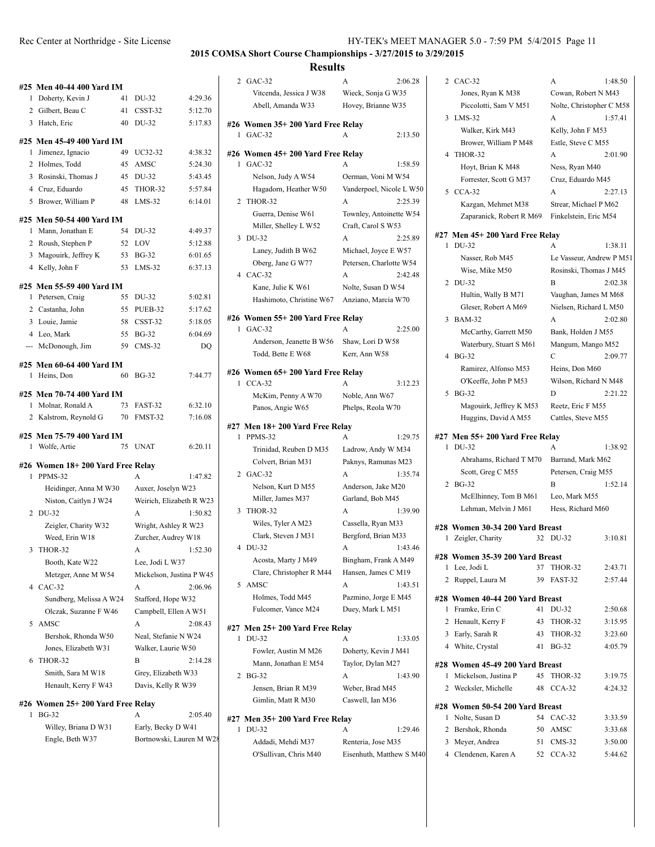|                           | #25 Men 40-44 400 Yard IM          |    |                          |         |  |  |  |
|---------------------------|------------------------------------|----|--------------------------|---------|--|--|--|
| 1                         | Doherty, Kevin J                   | 41 | DU-32                    | 4:29.36 |  |  |  |
|                           | 2 Gilbert, Beau C                  | 41 | $CSST-32$                | 5:12.70 |  |  |  |
|                           | 3 Hatch, Eric                      | 40 | DU-32                    | 5:17.83 |  |  |  |
| #25 Men 45-49 400 Yard IM |                                    |    |                          |         |  |  |  |
| 1                         | Jimenez, Ignacio                   | 49 | UC32-32                  | 4:38.32 |  |  |  |
|                           | 2 Holmes, Todd                     | 45 | AMSC                     | 5:24.30 |  |  |  |
| 3                         | Rosinski, Thomas J                 | 45 | DU-32                    | 5:43.45 |  |  |  |
|                           | 4 Cruz, Eduardo                    | 45 | THOR-32                  | 5:57.84 |  |  |  |
| 5                         | Brower, William P                  | 48 | $LMS-32$                 | 6:14.01 |  |  |  |
|                           | #25 Men 50-54 400 Yard IM          |    |                          |         |  |  |  |
| 1                         | Mann, Jonathan E                   | 54 | DU-32                    | 4:49.37 |  |  |  |
|                           | 2 Roush, Stephen P                 | 52 | LOV                      | 5:12.88 |  |  |  |
| 3                         | Magouirk, Jeffrey K                | 53 | <b>BG-32</b>             | 6:01.65 |  |  |  |
| 4                         | Kelly, John F                      | 53 | $LMS-32$                 | 6:37.13 |  |  |  |
|                           |                                    |    |                          |         |  |  |  |
| 1                         | #25 Men 55-59 400 Yard IM          | 55 | DU-32                    | 5:02.81 |  |  |  |
| 2                         | Petersen, Craig<br>Castanha, John  | 55 |                          | 5:17.62 |  |  |  |
|                           | 3 Louie, Jamie                     | 58 | PUEB-32<br>CSST-32       | 5:18.05 |  |  |  |
|                           | 4 Leo, Mark                        | 55 | <b>BG-32</b>             | 6:04.69 |  |  |  |
|                           | McDonough, Jim                     | 59 | $CMS-32$                 |         |  |  |  |
| ---                       |                                    |    |                          | DQ      |  |  |  |
|                           | #25 Men 60-64 400 Yard IM          |    |                          |         |  |  |  |
| 1                         | Heins, Don                         | 60 | <b>BG-32</b>             | 7:44.77 |  |  |  |
|                           | #25 Men 70-74 400 Yard IM          |    |                          |         |  |  |  |
| 1                         | Molnar, Ronald A                   | 73 | FAST-32                  | 6:32.10 |  |  |  |
| $\overline{2}$            | Kalstrom, Reynold G                | 70 | FMST-32                  | 7:16.08 |  |  |  |
|                           | #25 Men 75-79 400 Yard IM          |    |                          |         |  |  |  |
| 1                         | Wolfe, Artie                       | 75 | <b>UNAT</b>              | 6:20.11 |  |  |  |
|                           |                                    |    |                          |         |  |  |  |
|                           | #26 Women 18+ 200 Yard Free Relay  |    |                          |         |  |  |  |
| 1                         | PPMS-32                            |    | A                        | 1:47.82 |  |  |  |
|                           | Heidinger, Anna M W30              |    | Auxer, Joselyn W23       |         |  |  |  |
|                           | Niston, Caitlyn J W24              |    | Weirich, Elizabeth R W23 |         |  |  |  |
| 2                         | DU-32                              |    | A                        | 1:50.82 |  |  |  |
|                           | Zeigler, Charity W32               |    | Wright, Ashley R W23     |         |  |  |  |
|                           | Weed, Erin W18                     |    | Zurcher, Audrey W18      |         |  |  |  |
| 3                         | THOR-32                            |    | A                        | 1:52.30 |  |  |  |
|                           | Booth, Kate W22                    |    | Lee, Jodi L W37          |         |  |  |  |
|                           | Metzger, Anne M W54                |    | Mickelson, Justina P W45 |         |  |  |  |
| 4                         | CAC-32                             |    | A                        | 2:06.96 |  |  |  |
|                           | Sundberg, Melissa A W24            |    | Stafford, Hope W32       |         |  |  |  |
|                           | Olczak, Suzanne F W46              |    | Campbell, Ellen A W51    |         |  |  |  |
| 5                         | AMSC                               |    | A                        | 2:08.43 |  |  |  |
|                           | Bershok, Rhonda W50                |    | Neal, Stefanie N W24     |         |  |  |  |
|                           | Jones, Elizabeth W31               |    | Walker, Laurie W50       |         |  |  |  |
| 6                         | THOR-32                            |    | В                        | 2:14.28 |  |  |  |
|                           | Smith, Sara M W18                  |    | Grey, Elizabeth W33      |         |  |  |  |
|                           | Henault, Kerry F W43               |    | Davis, Kelly R W39       |         |  |  |  |
|                           | #26  Women 25+ 200 Yard Free Relay |    |                          |         |  |  |  |
| 1                         | <b>BG-32</b>                       |    | А                        | 2:05.40 |  |  |  |

Willey, Briana D W31 Early, Becky D W41 Engle, Beth W37 Bortnowski, Lauren M W28

|                | <b>Results</b>                                 |                          |         |
|----------------|------------------------------------------------|--------------------------|---------|
| $\overline{2}$ | GAC-32                                         | A                        | 2:06.28 |
|                | Vitcenda, Jessica J W38                        | Wieck, Sonja G W35       |         |
|                | Abell, Amanda W33                              | Hovey, Brianne W35       |         |
|                |                                                |                          |         |
| 1              | #26 Women 35+ 200 Yard Free Relav<br>$GAC-32$  | A                        | 2:13.50 |
|                |                                                |                          |         |
| 1              | #26  Women 45+ 200 Yard Free Relay<br>$GAC-32$ | A                        | 1:58.59 |
|                | Nelson, Judy A W54                             | Oerman, Voni M W54       |         |
|                |                                                |                          |         |
|                | Hagadorn, Heather W50                          | Vanderpoel, Nicole L W50 |         |
| 2              | THOR-32                                        | A                        | 2:25.39 |
|                | Guerra, Denise W61                             | Townley, Antoinette W54  |         |
|                | Miller, Shelley L W52                          | Craft, Carol S W53       |         |
| 3              | DU-32                                          | A                        | 2:25.89 |
|                | Laney, Judith B W62                            | Michael, Joyce E W57     |         |
|                | Oberg, Jane G W77                              | Petersen, Charlotte W54  |         |
| 4              | $CAC-32$                                       | A                        | 2:42.48 |
|                | Kane, Julie K W61                              | Nolte, Susan D W54       |         |
|                | Hashimoto, Christine W67                       | Anziano, Marcia W70      |         |
|                | #26 Women 55+200 Yard Free Relay               |                          |         |
| 1              | $GAC-32$                                       | A                        | 2:25.00 |
|                | Anderson, Jeanette B W56                       | Shaw, Lori D W58         |         |
|                | Todd, Bette E W68                              | Kerr, Ann W58            |         |
|                |                                                |                          |         |
| 1              | #26 Women 65+200 Yard Free Relay<br>$CCA-32$   | A                        | 3:12.23 |
|                |                                                |                          |         |
|                | McKim, Penny A W70                             | Noble, Ann W67           |         |
|                | Panos, Angie W65                               | Phelps, Reola W70        |         |
|                | #27 Men 18+ 200 Yard Free Relay                |                          |         |
| 1              | PPMS-32                                        | A                        | 1:29.75 |
|                | Trinidad, Reuben D M35                         | Ladrow, Andy W M34       |         |
|                | Colvert, Brian M31                             | Paknys, Ramunas M23      |         |
| 2              | $GAC-32$                                       | A                        | 1:35.74 |
|                | Nelson, Kurt D M55                             | Anderson, Jake M20       |         |
|                | Miller, James M37                              | Garland, Bob M45         |         |
| 3              | THOR-32                                        | A                        | 1:39.90 |
|                | Wiles, Tyler A M23                             | Cassella, Ryan M33       |         |
|                | Clark, Steven J M31                            | Bergford, Brian M33      |         |
| 4              | DU-32                                          | А                        | 1:43.46 |
|                | Acosta, Marty J M49                            | Bingham, Frank A M49     |         |
|                | Clare, Christopher R M44                       | Hansen, James C M19      |         |
| 5              | AMSC                                           | A                        | 1:43.51 |
|                | Holmes, Todd M45                               | Pazmino, Jorge E M45     |         |
|                | Fulcomer, Vance M24                            | Duey, Mark L M51         |         |
|                |                                                |                          |         |
|                | #27 Men 25+ 200 Yard Free Relay                |                          |         |
| 1              | DU-32                                          | A                        | 1:33.05 |
|                | Fowler, Austin M M26                           | Doherty, Kevin J M41     |         |
|                | Mann, Jonathan E M54                           | Taylor, Dylan M27        |         |
| 2              | <b>BG-32</b>                                   | A                        | 1:43.90 |
|                | Jensen, Brian R M39                            | Weber, Brad M45          |         |
|                | Gimlin, Matt R M30                             | Caswell, Ian M36         |         |
|                | #27 Men 35+ 200 Yard Free Relay                |                          |         |
| 1              | DU-32                                          | А                        | 1:29.46 |
|                | Addadi, Mehdi M37                              | Renteria, Jose M35       |         |
|                | O'Sullivan, Chris M40                          | Eisenhuth, Matthew S M40 |         |
|                |                                                |                          |         |
|                |                                                |                          |         |

|          | 2 CAC-32                                          |    | А                        | 1:48.50 |
|----------|---------------------------------------------------|----|--------------------------|---------|
|          | Jones, Ryan K M38                                 |    | Cowan, Robert N M43      |         |
|          | Piccolotti, Sam V M51                             |    | Nolte, Christopher C M58 |         |
| 3        | $LMS-32$                                          |    | A                        | 1:57.41 |
|          | Walker, Kirk M43                                  |    | Kelly, John F M53        |         |
|          | Brower, William P M48                             |    | Estle, Steve C M55       |         |
| 4        | THOR-32                                           |    | A                        | 2:01.90 |
|          | Hoyt, Brian K M48                                 |    | Ness, Ryan M40           |         |
|          | Forrester, Scott G M37                            |    | Cruz, Eduardo M45        |         |
| 5        | $CCA-32$                                          |    | A                        | 2:27.13 |
|          | Kazgan, Mehmet M38                                |    | Strear, Michael P M62    |         |
|          | Zaparanick, Robert R M69                          |    | Finkelstein, Eric M54    |         |
|          |                                                   |    |                          |         |
|          | #27 Men 45+ 200 Yard Free Relay                   |    |                          |         |
| 1        | DU-32                                             |    | А                        | 1:38.11 |
|          | Nasser, Rob M45                                   |    | Le Vasseur, Andrew P M51 |         |
|          | Wise, Mike M50                                    |    | Rosinski, Thomas J M45   |         |
| 2        | DU-32                                             |    | B                        | 2:02.38 |
|          | Hultin, Wally B M71                               |    | Vaughan, James M M68     |         |
|          | Gleser, Robert A M69                              |    | Nielsen, Richard L M50   |         |
| 3        | <b>BAM-32</b>                                     |    | A                        | 2:02.80 |
|          | McCarthy, Garrett M50                             |    | Bank, Holden J M55       |         |
|          | Waterbury, Stuart S M61                           |    | Mangum, Mango M52        |         |
| 4        | <b>BG-32</b>                                      |    | C                        | 2:09.77 |
|          | Ramirez, Alfonso M53                              |    | Heins, Don M60           |         |
|          | O'Keeffe, John P M53                              |    | Wilson, Richard N M48    |         |
| 5        | <b>BG-32</b>                                      |    | D                        | 2:21.22 |
|          | Magouirk, Jeffrey K M53                           |    | Reetz, Eric F M55        |         |
|          | Huggins, David A M55                              |    | Cattles, Steve M55       |         |
|          | #27 Men 55+ 200 Yard Free Relay                   |    |                          |         |
| 1        | DU-32                                             |    | A                        | 1:38.92 |
|          | Abrahams, Richard T M70                           |    | Barrand, Mark M62        |         |
|          | Scott, Greg C M55                                 |    | Petersen, Craig M55      |         |
| 2        | <b>BG-32</b>                                      |    | B                        | 1:52.14 |
|          | McElhinney, Tom B M61                             |    | Leo, Mark M55            |         |
|          | Lehman, Melvin J M61                              |    | Hess, Richard M60        |         |
|          | #28 Women 30-34 200 Yard Breast                   |    |                          |         |
| 1        | Zeigler, Charity                                  | 32 | DU-32                    | 3:10.81 |
|          |                                                   |    |                          |         |
| #28<br>1 | Women 35-39 200 Yard Breast<br>Lee, Jodi L        | 37 | THOR-32                  | 2:43.71 |
| 2        | Ruppel, Laura M                                   | 39 | FAST-32                  | 2:57.44 |
|          |                                                   |    |                          |         |
|          | #28 Women 40-44 200 Yard Breast                   |    |                          |         |
| 1        | Framke, Erin C                                    | 41 | DU-32                    | 2:50.68 |
|          | 2 Henault, Kerry F                                | 43 | THOR-32                  | 3:15.95 |
|          | 3 Early, Sarah R                                  | 43 | THOR-32                  | 3:23.60 |
|          | 4 White, Crystal                                  | 41 | <b>BG-32</b>             | 4:05.79 |
|          | #28 Women 45-49 200 Yard Breast                   |    |                          |         |
| 1        | Mickelson, Justina P                              | 45 | THOR-32                  | 3:19.75 |
|          | 2 Wecksler, Michelle                              | 48 | $CCA-32$                 | 4:24.32 |
|          |                                                   |    |                          |         |
| 1        | #28 Women 50-54 200 Yard Breast<br>Nolte, Susan D | 54 | $CAC-32$                 | 3:33.59 |
|          | 2 Bershok, Rhonda                                 | 50 | AMSC                     | 3:33.68 |
| 3        | Meyer, Andrea                                     | 51 | $CMS-32$                 | 3:50.00 |
|          | 4 Clendenen, Karen A                              | 52 | $CCA-32$                 | 5:44.62 |
|          |                                                   |    |                          |         |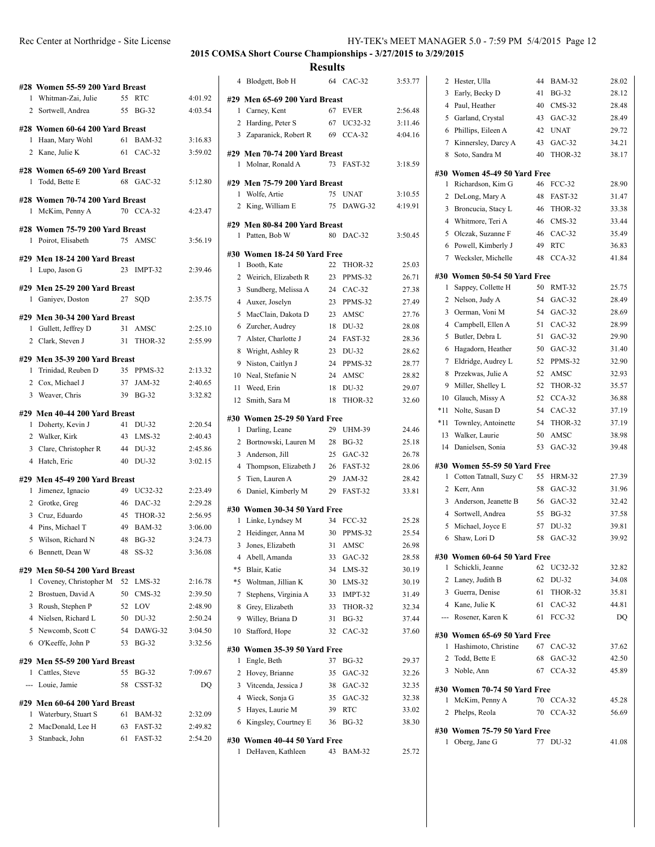|     | #28 Women 55-59 200 Yard Breast                         |          |                      |                    |
|-----|---------------------------------------------------------|----------|----------------------|--------------------|
|     | 1 Whitman-Zai, Julie                                    | 55       | <b>RTC</b>           | 4:01.92            |
|     | 2 Sortwell, Andrea                                      |          | 55 BG-32             | 4:03.54            |
|     | #28 Women 60-64 200 Yard Breast                         |          |                      |                    |
| 1.  | Haan, Mary Wohl                                         | 61       | <b>BAM-32</b>        | 3:16.83            |
|     | 2 Kane, Julie K                                         |          | 61 CAC-32            | 3:59.02            |
|     | #28 Women 65-69 200 Yard Breast                         |          |                      |                    |
| 1   | Todd, Bette E                                           |          | 68 GAC-32            | 5:12.80            |
|     |                                                         |          |                      |                    |
|     | #28 Women 70-74 200 Yard Breast<br>1 McKim, Penny A     |          | 70 CCA-32            | 4:23.47            |
|     |                                                         |          |                      |                    |
|     | #28 Women 75-79 200 Yard Breast                         |          |                      |                    |
| 1   | Poirot, Elisabeth                                       |          | 75 AMSC              | 3:56.19            |
|     | #29 Men 18-24 200 Yard Breast                           |          |                      |                    |
| 1   | Lupo, Jason G                                           | 23       | IMPT-32              | 2:39.46            |
|     | #29 Men 25-29 200 Yard Breast                           |          |                      |                    |
|     | 1 Ganiyev, Doston                                       |          | 27 SOD               | 2:35.75            |
|     | #29 Men 30-34 200 Yard Breast                           |          |                      |                    |
|     | 1 Gullett, Jeffrey D                                    | 31       | AMSC                 | 2:25.10            |
|     | 2 Clark, Steven J                                       | 31       | THOR-32              | 2:55.99            |
|     | #29 Men 35-39 200 Yard Breast                           |          |                      |                    |
| 1   | Trinidad, Reuben D                                      |          | 35 PPMS-32           | 2:13.32            |
|     | 2 Cox, Michael J                                        | 37       | JAM-32               | 2:40.65            |
|     | 3 Weaver, Chris                                         |          | 39 BG-32             | 3:32.82            |
|     |                                                         |          |                      |                    |
|     |                                                         |          |                      |                    |
|     | #29 Men 40-44 200 Yard Breast                           |          |                      |                    |
|     | 1 Doherty, Kevin J                                      | 41<br>43 | DU-32<br>$LMS-32$    | 2:20.54<br>2:40.43 |
| 3   | 2 Walker, Kirk<br>Clare, Christopher R                  |          | 44 DU-32             | 2:45.86            |
|     | 4 Hatch, Eric                                           |          | 40 DU-32             | 3:02.15            |
|     |                                                         |          |                      |                    |
| 1   | #29 Men 45-49 200 Yard Breast                           | 49       |                      |                    |
|     | Jimenez, Ignacio<br>2 Grotke, Greg                      |          | UC32-32<br>46 DAC-32 | 2:23.49<br>2:29.28 |
|     | 3 Cruz, Eduardo                                         | 45       | THOR-32              | 2:56.95            |
|     | 4 Pins, Michael T                                       |          | 49 BAM-32            | 3:06.00            |
| 5   | Wilson, Richard N                                       | 48       | <b>BG-32</b>         | 3:24.73            |
| 6   | Bennett, Dean W                                         | 48       | SS-32                | 3:36.08            |
|     |                                                         |          |                      |                    |
| 1   | #29 Men 50-54 200 Yard Breast<br>Coveney, Christopher M | 52       | $LMS-32$             | 2:16.78            |
| 2   | Brostuen, David A                                       | 50       | $CMS-32$             | 2:39.50            |
| 3   | Roush, Stephen P                                        | 52       | LOV                  | 2:48.90            |
|     | 4 Nielsen, Richard L                                    | 50       | DU-32                | 2:50.24            |
|     | 5 Newcomb, Scott C                                      | 54       | DAWG-32              | 3:04.50            |
| 6   | O'Keeffe, John P                                        | 53       | $BG-32$              | 3:32.56            |
|     | #29 Men 55-59 200 Yard Breast                           |          |                      |                    |
| 1   | Cattles, Steve                                          | 55       | <b>BG-32</b>         | 7:09.67            |
| --- | Louie, Jamie                                            | 58       | CSST-32              | DQ                 |
|     |                                                         |          |                      |                    |
| 1   | #29 Men 60-64 200 Yard Breast                           | 61       | <b>BAM-32</b>        | 2:32.09            |
| 2   | Waterbury, Stuart S<br>MacDonald, Lee H                 | 63       | FAST-32              | 2:49.82            |

|                | 4 Blodgett, Bob H                                   |    | 64 CAC-32     | 3:53.77 |
|----------------|-----------------------------------------------------|----|---------------|---------|
|                | #29 Men 65-69 200 Yard Breast                       |    |               |         |
| 1              | Carney, Kent                                        | 67 | <b>EVER</b>   | 2:56.48 |
|                | 2 Harding, Peter S                                  |    | 67 UC32-32    | 3:11.46 |
|                | 3 Zaparanick, Robert R                              |    | 69 CCA-32     | 4:04.16 |
|                | #29 Men 70-74 200 Yard Breast                       |    |               |         |
| 1              | Molnar, Ronald A                                    |    | 73 FAST-32    | 3:18.59 |
|                | #29 Men 75-79 200 Yard Breast                       |    |               |         |
| 1              | Wolfe, Artie                                        | 75 | <b>UNAT</b>   | 3:10.55 |
|                | 2 King, William E                                   |    | 75 DAWG-32    | 4:19.91 |
|                | #29 Men 80-84 200 Yard Breast                       |    |               |         |
| $\mathbf{1}$   | Patten, Bob W                                       |    | 80 DAC-32     | 3:50.45 |
|                | #30 Women 18-24 50 Yard Free                        |    |               |         |
| 1              | Booth, Kate                                         | 22 | THOR-32       | 25.03   |
| 2              | Weirich, Elizabeth R                                | 23 | PPMS-32       | 26.71   |
| 3              | Sundberg, Melissa A                                 | 24 | $CAC-32$      | 27.38   |
| $\overline{4}$ | Auxer, Joselyn                                      | 23 | PPMS-32       | 27.49   |
| 5              | MacClain, Dakota D                                  | 23 | AMSC          | 27.76   |
| 6              | Zurcher, Audrey                                     | 18 | DU-32         | 28.08   |
| $\tau$         | Alster, Charlotte J                                 | 24 | FAST-32       | 28.36   |
|                | 8 Wright, Ashley R                                  | 23 | DU-32         | 28.62   |
| 9              | Niston, Caitlyn J                                   | 24 | PPMS-32       | 28.77   |
|                | 10 Neal, Stefanie N                                 | 24 | AMSC          | 28.82   |
| 11             | Weed, Erin                                          | 18 | DU-32         | 29.07   |
|                | 12 Smith, Sara M                                    | 18 | THOR-32       | 32.60   |
|                |                                                     |    |               |         |
|                | #30 Women 25-29 50 Yard Free                        |    |               |         |
| 1              | Darling, Leane                                      | 29 | <b>UHM-39</b> | 24.46   |
| 2              | Bortnowski, Lauren M                                | 28 | <b>BG-32</b>  | 25.18   |
| 3              | Anderson, Jill                                      | 25 | $GAC-32$      | 26.78   |
| 4              | Thompson, Elizabeth J                               | 26 | FAST-32       | 28.06   |
| 5              | Tien, Lauren A                                      | 29 | JAM-32        | 28.42   |
|                | 6 Daniel, Kimberly M                                | 29 | FAST-32       | 33.81   |
|                | #30 Women 30-34 50 Yard Free                        |    |               |         |
| 1              | Linke, Lyndsey M                                    | 34 | <b>FCC-32</b> | 25.28   |
| 2              | Heidinger, Anna M                                   |    | 30 PPMS-32    | 25.54   |
| 3              | Jones, Elizabeth                                    | 31 | AMSC          | 26.98   |
| 4              | Abell, Amanda                                       | 33 | $GAC-32$      | 28.58   |
| *5             | Blair, Katie                                        | 34 | LMS-32        | 30.19   |
| *5             | Woltman, Jillian K                                  | 30 | $LMS-32$      | 30.19   |
| 7              | Stephens, Virginia A                                | 33 | IMPT-32       | 31.49   |
|                | 8 Grey, Elizabeth                                   | 33 | THOR-32       | 32.34   |
| 9              | Willey, Briana D                                    | 31 | <b>BG-32</b>  | 37.44   |
| 10             | Stafford, Hope                                      | 32 | $CAC-32$      | 37.60   |
|                | #30 Women 35-39 50 Yard Free                        |    |               |         |
| 1              | Engle, Beth                                         | 37 | BG-32         | 29.37   |
| 2              | Hovey, Brianne                                      | 35 | $GAC-32$      | 32.26   |
| 3              | Vitcenda, Jessica J                                 | 38 | $GAC-32$      | 32.35   |
|                | 4 Wieck, Sonja G                                    | 35 | $GAC-32$      | 32.38   |
| 5              | Hayes, Laurie M                                     | 39 | <b>RTC</b>    | 33.02   |
|                | 6 Kingsley, Courtney E                              | 36 | BG-32         | 38.30   |
|                |                                                     |    |               |         |
|                | #30 Women 40-44 50 Yard Free<br>1 DeHaven, Kathleen |    | 43 BAM-32     | 25.72   |
|                |                                                     |    |               |         |

| 2   | Hester, Ulla                    | 44 | <b>BAM-32</b> | 28.02          |
|-----|---------------------------------|----|---------------|----------------|
|     |                                 |    |               |                |
| 3   | Early, Becky D                  | 41 | <b>BG-32</b>  | 28.12          |
| 4   | Paul, Heather                   | 40 | $CMS-32$      | 28.48          |
| 5   | Garland, Crystal                | 43 | $GAC-32$      | 28.49          |
| 6   | Phillips, Eileen A              | 42 | <b>UNAT</b>   | 29.72          |
| 7   | Kinnersley, Darcy A             | 43 | $GAC-32$      | 34.21          |
| 8   | Soto, Sandra M                  | 40 | THOR-32       | 38.17          |
|     | #30 Women 45-49 50 Yard Free    |    |               |                |
| 1   | Richardson, Kim G               | 46 | <b>FCC-32</b> | 28.90          |
| 2   | DeLong, Mary A                  | 48 | FAST-32       | 31.47          |
| 3   | Broncucia, Stacy L              | 46 | THOR-32       | 33.38          |
| 4   | Whitmore, Teri A                | 46 | $CMS-32$      | 33.44          |
| 5   | Olczak, Suzanne F               | 46 | $CAC-32$      | 35.49          |
| 6   | Powell, Kimberly J              | 49 | <b>RTC</b>    | 36.83          |
| 7   | Wecksler, Michelle              | 48 | $CCA-32$      | 41.84          |
|     |                                 |    |               |                |
|     | #30 Women 50-54 50 Yard Free    |    |               |                |
| 1   | Sappey, Collette H              | 50 | RMT-32        | 25.75          |
| 2   | Nelson, Judy A                  | 54 | $GAC-32$      | 28.49          |
| 3   | Oerman, Voni M                  | 54 | $GAC-32$      | 28.69          |
| 4   | Campbell, Ellen A               | 51 | $CAC-32$      | 28.99          |
| 5   | Butler, Debra L                 | 51 | $GAC-32$      | 29.90          |
| 6   | Hagadorn, Heather               | 50 | $GAC-32$      | 31.40          |
| 7   | Eldridge, Audrey L              | 52 | PPMS-32       | 32.90          |
| 8   | Przekwas, Julie A               | 52 | AMSC          | 32.93          |
| 9   | Miller, Shelley L               | 52 | THOR-32       | 35.57          |
| 10  | Glauch, Missy A                 | 52 | $CCA-32$      | 36.88          |
| *11 | Nolte, Susan D                  | 54 | $CAC-32$      | 37.19          |
| *11 | Townley, Antoinette             | 54 | THOR-32       | 37.19          |
| 13  | Walker, Laurie                  | 50 | AMSC          | 38.98          |
| 14  | Danielsen, Sonia                | 53 | GAC-32        | 39.48          |
|     | #30 Women 55-59 50 Yard Free    |    |               |                |
| 1   | Cotton Tatnall, Suzy C          | 55 | <b>HRM-32</b> | 27.39          |
| 2   | Kerr, Ann                       | 58 | $GAC-32$      | 31.96          |
| 3   | Anderson, Jeanette B            | 56 | $GAC-32$      | 32.42          |
| 4   | Sortwell, Andrea                | 55 | <b>BG-32</b>  | 37.58          |
| 5   | Michael, Joyce E                | 57 | DU-32         | 39.81          |
| 6   | Shaw, Lori D                    | 58 | $GAC-32$      | 39.92          |
|     |                                 |    |               |                |
|     | #30 Women 60-64 50 Yard Free    |    |               |                |
| 1   | Schickli, Jeanne                |    | 62 UC32-32    | 32.82          |
| 2   | Laney, Judith B                 | 62 | DU-32         | 34.08          |
| 3   | Guerra, Denise                  | 61 | THOR-32       | 35.81          |
|     | 4 Kane, Julie K                 | 61 | $CAC-32$      | 44.81          |
|     | --- Rosener, Karen K            | 61 | <b>FCC-32</b> | DQ             |
|     | #30 Women 65-69 50 Yard Free    |    |               |                |
| 1   | Hashimoto, Christine            |    | 67 CAC-32     | 37.62          |
|     | 2 Todd, Bette E                 | 68 | $GAC-32$      | 42.50          |
| 3   | Noble, Ann                      | 67 | $CCA-32$      | 45.89          |
|     |                                 |    |               |                |
| 1   | #30 Women 70-74 50 Yard Free    | 70 | $CCA-32$      |                |
| 2   | McKim, Penny A<br>Phelps, Reola | 70 | $CCA-32$      | 45.28<br>56.69 |
|     |                                 |    |               |                |
|     | #30 Women 75-79 50 Yard Free    |    |               |                |
| 1   | Oberg, Jane G                   | 77 | DU-32         | 41.08          |
|     |                                 |    |               |                |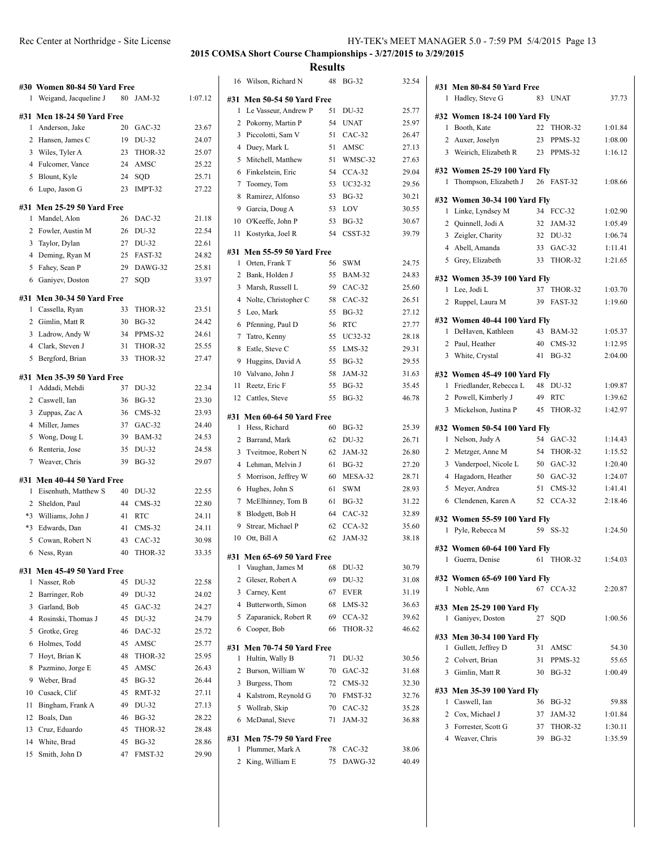| HY-TEK's MEET MANAGER 5.0 - 7:59 PM 5/4/2015 Page 13 |  |  |  |
|------------------------------------------------------|--|--|--|
|                                                      |  |  |  |

|                | #30 Women 80-84 50 Yard Free       |          |                       |                |
|----------------|------------------------------------|----------|-----------------------|----------------|
| 1              | Weigand, Jacqueline J              | 80       | JAM-32                | 1:07.12        |
| #31            | Men 18-24 50 Yard Free             |          |                       |                |
| 1              | Anderson, Jake                     | 20       | $GAC-32$              | 23.67          |
|                | 2 Hansen, James C                  | 19       | DU-32                 | 24.07          |
|                | 3 Wiles, Tyler A                   | 23       | THOR-32               | 25.07          |
| $\overline{4}$ | Fulcomer, Vance                    | 24       | AMSC                  | 25.22          |
| 5              | Blount, Kyle                       | 24       | SQD                   | 25.71          |
| 6              | Lupo, Jason G                      | 23       | IMPT-32               | 27.22          |
|                |                                    |          |                       |                |
| #31<br>1       | <b>Men 25-29 50 Yard Free</b>      | 26       |                       |                |
|                | Mandel, Alon<br>2 Fowler, Austin M |          | DAC-32                | 21.18<br>22.54 |
|                |                                    | 26       | DU-32                 |                |
|                | 3 Taylor, Dylan                    | 27       | DU-32                 | 22.61          |
| 5              | 4 Deming, Ryan M<br>Fahey, Sean P  | 25<br>29 | FAST-32<br>DAWG-32    | 24.82          |
|                |                                    |          |                       | 25.81          |
| 6              | Ganiyev, Doston                    | 27       | SQD                   | 33.97          |
| #31            | Men 30-34 50 Yard Free             |          |                       |                |
| 1              | Cassella, Ryan                     | 33       | THOR-32               | 23.51          |
|                | 2 Gimlin, Matt R                   | 30       | $BG-32$               | 24.42          |
|                | 3 Ladrow, Andy W                   | 34       | PPMS-32               | 24.61          |
|                | 4 Clark, Steven J                  | 31       | THOR-32               | 25.55          |
| 5              | Bergford, Brian                    | 33       | THOR-32               | 27.47          |
| #31            | <b>Men 35-39 50 Yard Free</b>      |          |                       |                |
| 1              | Addadi, Mehdi                      | 37       | DU-32                 | 22.34          |
|                | 2 Caswell, Ian                     | 36       | <b>BG-32</b>          | 23.30          |
|                | 3 Zuppas, Zac A                    | 36       | $CMS-32$              | 23.93          |
|                | 4 Miller, James                    | 37       | $GAC-32$              | 24.40          |
| 5              | Wong, Doug L                       | 39       | <b>BAM-32</b>         | 24.53          |
| 6              | Renteria, Jose                     | 35       | DU-32                 | 24.58          |
| 7              | Weaver, Chris                      | 39       | <b>BG-32</b>          | 29.07          |
| #31            | Men 40-44 50 Yard Free             |          |                       |                |
| 1              | Eisenhuth, Matthew S               | 40       | DU-32                 | 22.55          |
| 2              | Sheldon, Paul                      | 44       | $CMS-32$              | 22.80          |
| $*3$           | Williams, John J                   | 41       | <b>RTC</b>            | 24.11          |
| $*3$           | Edwards, Dan                       | 41       | $CMS-32$              | 24.11          |
| 5              | Cowan, Robert N                    | 43       | $CAC-32$              | 30.98          |
| 6              | Ness, Ryan                         | 40       | THOR-32               | 33.35          |
|                |                                    |          |                       |                |
| #31            | <b>Men 45-49 50 Yard Free</b>      |          |                       |                |
| 1              | Nasser, Rob                        | 45       | DU-32                 | 22.58          |
| 2              | Barringer, Rob                     | 49       | DU-32                 | 24.02          |
| 3              | Garland, Bob                       | 45       | $GAC-32$              | 24.27          |
| 4              | Rosinski, Thomas J                 | 45       | DU-32                 | 24.79          |
| 5              | Grotke, Greg                       | 46       | DAC-32                | 25.72          |
| 6              | Holmes, Todd                       | 45       | AMSC<br>THOR-32       | 25.77          |
| 7              | Hoyt, Brian K                      | 48       |                       | 25.95          |
| 8              | Pazmino, Jorge E                   | 45       | AMSC                  | 26.43          |
| 9              | Weber, Brad                        | 45       | <b>BG-32</b>          | 26.44          |
| 10             | Cusack, Clif                       | 45<br>49 | <b>RMT-32</b>         | 27.11          |
| 11<br>12       | Bingham, Frank A<br>Boals, Dan     | 46       | DU-32<br><b>BG-32</b> | 27.13<br>28.22 |
| 13             | Cruz, Eduardo                      | 45       | THOR-32               | 28.48          |
| 14             | White, Brad                        | 45       | <b>BG-32</b>          | 28.86          |
| 15             | Smith, John D                      | 47       |                       |                |
|                |                                    |          | FMST-32               | 29.90          |

| 16  | Wilson, Richard N             | 48 | <b>BG-32</b> | 32.54 |
|-----|-------------------------------|----|--------------|-------|
|     | #31 Men 50-54 50 Yard Free    |    |              |       |
| 1   | Le Vasseur, Andrew P          | 51 | DU-32        | 25.77 |
|     | 2 Pokorny, Martin P           | 54 | UNAT         | 25.97 |
|     | 3 Piccolotti, Sam V           | 51 | $CAC-32$     | 26.47 |
|     | 4 Duey, Mark L                | 51 | AMSC         | 27.13 |
| 5   | Mitchell, Matthew             | 51 | WMSC-32      | 27.63 |
| 6   | Finkelstein, Eric             | 54 | $CCA-32$     | 29.04 |
| 7   | Toomey, Tom                   | 53 | UC32-32      | 29.56 |
| 8   | Ramirez, Alfonso              | 53 | <b>BG-32</b> | 30.21 |
| 9   | Garcia, Doug A                | 53 | LOV          | 30.55 |
|     | 10 O'Keeffe, John P           | 53 | <b>BG-32</b> | 30.67 |
| 11  | Kostyrka, Joel R              | 54 | CSST-32      | 39.79 |
|     |                               |    |              |       |
| #31 | <b>Men 55-59 50 Yard Free</b> |    |              |       |
| 1   | Orten, Frank T                | 56 | <b>SWM</b>   | 24.75 |
|     | 2 Bank, Holden J              | 55 | BAM-32       | 24.83 |
|     | 3 Marsh, Russell L            |    | 59 CAC-32    | 25.60 |
|     | 4 Nolte, Christopher C        | 58 | CAC-32       | 26.51 |
| 5   | Leo, Mark                     | 55 | <b>BG-32</b> | 27.12 |
| 6   | Pfenning, Paul D              | 56 | <b>RTC</b>   | 27.77 |
|     | 7 Tatro, Kenny                | 55 | UC32-32      | 28.18 |
| 8   | Estle, Steve C                | 55 | $LMS-32$     | 29.31 |
| 9   | Huggins, David A              | 55 | <b>BG-32</b> | 29.55 |
| 10  | Valvano, John J               | 58 | JAM-32       | 31.63 |
| 11  | Reetz, Eric F                 | 55 | <b>BG-32</b> | 35.45 |
| 12  | Cattles, Steve                | 55 | <b>BG-32</b> | 46.78 |
|     |                               |    |              |       |
| #31 | Men 60-64 50 Yard Free        |    |              |       |
| 1   | Hess, Richard                 | 60 | <b>BG-32</b> | 25.39 |
|     | 2 Barrand, Mark               | 62 | DU-32        | 26.71 |
| 3   | Tveitmoe, Robert N            | 62 | JAM-32       | 26.80 |
| 4   | Lehman, Melvin J              | 61 | <b>BG-32</b> | 27.20 |
| 5   | Morrison, Jeffrey W           | 60 | MESA-32      | 28.71 |
| 6   | Hughes, John S                | 61 | <b>SWM</b>   | 28.93 |
| 7   | McElhinney, Tom B             | 61 | <b>BG-32</b> | 31.22 |
| 8   | Blodgett, Bob H               | 64 | CAC-32       | 32.89 |
| 9   | Strear, Michael P             | 62 | $CCA-32$     | 35.60 |
| 10  | Ott, Bill A                   | 62 | JAM-32       | 38.18 |
| #31 | <b>Men 65-69 50 Yard Free</b> |    |              |       |
| 1   | Vaughan, James M              | 68 | DU-32        | 30.79 |
| 2   | Gleser, Robert A              | 69 | DU-32        | 31.08 |
|     | 3 Carney, Kent                | 67 | EVER         | 31.19 |
|     | 4 Butterworth, Simon          | 68 | LMS-32       | 36.63 |
|     | 5 Zaparanick, Robert R        | 69 | $CCA-32$     | 39.62 |
|     | 6 Cooper, Bob                 | 66 | THOR-32      | 46.62 |
|     |                               |    |              |       |
| #31 | <b>Men 70-74 50 Yard Free</b> |    |              |       |
| 1   | Hultin, Wally B               | 71 | DU-32        | 30.56 |
|     | 2 Burson, William W           | 70 | $GAC-32$     | 31.68 |
| 3   | Burgess, Thom                 | 72 | $CMS-32$     | 32.30 |
|     | 4 Kalstrom, Reynold G         | 70 | FMST-32      | 32.76 |
|     | 5 Wollrab, Skip               | 70 | $CAC-32$     | 35.28 |
| 6   | McDanal, Steve                | 71 | JAM-32       | 36.88 |
| #31 | <b>Men 75-79 50 Yard Free</b> |    |              |       |
| 1   | Plummer, Mark A               | 78 | $CAC-32$     | 38.06 |
| 2   | King, William E               | 75 | DAWG-32      | 40.49 |
|     |                               |    |              |       |

|   | #31 Men 80-84 50 Yard Free                  |    |               |         |
|---|---------------------------------------------|----|---------------|---------|
| 1 | Hadley, Steve G                             | 83 | <b>UNAT</b>   | 37.73   |
|   |                                             |    |               |         |
| 1 | #32 Women 18-24 100 Yard Fly<br>Booth, Kate | 22 | THOR-32       | 1:01.84 |
| 2 | Auxer, Joselyn                              | 23 | PPMS-32       | 1:08.00 |
|   | 3 Weirich, Elizabeth R                      | 23 | PPMS-32       | 1:16.12 |
|   |                                             |    |               |         |
|   | #32 Women 25-29 100 Yard Fly                |    |               |         |
| 1 | Thompson, Elizabeth J                       |    | 26 FAST-32    | 1:08.66 |
|   | #32 Women 30-34 100 Yard Fly                |    |               |         |
| 1 | Linke, Lyndsey M                            | 34 | <b>FCC-32</b> | 1:02.90 |
|   | 2 Quinnell, Jodi A                          | 32 | JAM-32        | 1:05.49 |
|   | 3 Zeigler, Charity                          |    | 32 DU-32      | 1:06.74 |
|   | 4 Abell, Amanda                             | 33 | $GAC-32$      | 1:11.41 |
| 5 | Grey, Elizabeth                             | 33 | THOR-32       | 1:21.65 |
|   |                                             |    |               |         |
|   | #32 Women 35-39 100 Yard Fly                |    |               |         |
| 1 | Lee, Jodi L                                 | 37 | THOR-32       | 1:03.70 |
| 2 | Ruppel, Laura M                             | 39 | FAST-32       | 1:19.60 |
|   | #32 Women 40-44 100 Yard Fly                |    |               |         |
|   | 1 DeHaven, Kathleen                         | 43 | <b>BAM-32</b> | 1:05.37 |
| 2 | Paul, Heather                               | 40 | $CMS-32$      | 1:12.95 |
| 3 | White, Crystal                              | 41 | <b>BG-32</b>  | 2:04.00 |
|   |                                             |    |               |         |
|   | #32 Women 45-49 100 Yard Flv                |    |               |         |
| 1 | Friedlander, Rebecca L                      | 48 | DU-32         | 1:09.87 |
|   | 2 Powell, Kimberly J                        | 49 | RTC           | 1:39.62 |
|   | 3 Mickelson, Justina P                      | 45 | THOR-32       | 1:42.97 |
|   |                                             |    |               |         |
|   | #32 Women 50-54 100 Yard Fly                |    |               |         |
| 1 | Nelson, Judy A                              |    | 54 GAC-32     | 1:14.43 |
| 2 | Metzger, Anne M                             | 54 | THOR-32       | 1:15.52 |
| 3 | Vanderpoel, Nicole L                        | 50 | $GAC-32$      | 1:20.40 |
|   | 4 Hagadorn, Heather                         | 50 | $GAC-32$      | 1:24.07 |
| 5 | Meyer, Andrea                               | 51 | $CMS-32$      | 1:41.41 |
|   | 6 Clendenen, Karen A                        | 52 | $CCA-32$      | 2:18.46 |
|   |                                             |    |               |         |
|   | #32 Women 55-59 100 Yard Fly                |    |               |         |
| 1 | Pyle, Rebecca M                             | 59 | SS-32         | 1:24.50 |
|   | #32 Women 60-64 100 Yard Fly                |    |               |         |
|   | 1 Guerra, Denise                            |    | 61 THOR-32    | 1:54.03 |
|   |                                             |    |               |         |
| 1 | #32 Women 65-69 100 Yard Fly                |    | 67 CCA-32     | 2:20.87 |
|   | Noble, Ann                                  |    |               |         |
|   | #33 Men 25-29 100 Yard Fly                  |    |               |         |
| 1 | Ganiyev, Doston                             | 27 | SQD           | 1:00.56 |
|   | #33 Men 30-34 100 Yard Fly                  |    |               |         |
|   | 1 Gullett, Jeffrey D                        | 31 | AMSC          | 54.30   |
|   | 2 Colvert, Brian                            | 31 | PPMS-32       | 55.65   |
|   | 3 Gimlin, Matt R                            | 30 | <b>BG-32</b>  | 1:00.49 |
|   |                                             |    |               |         |
|   | #33 Men 35-39 100 Yard Fly                  |    |               |         |
|   | 1 Caswell, Ian                              |    | 36 BG-32      | 59.88   |
|   | 2 Cox, Michael J                            |    | 37 JAM-32     | 1:01.84 |
|   | 3 Forrester, Scott G                        |    | 37 THOR-32    | 1:30.11 |
|   | 4 Weaver, Chris                             |    | 39 BG-32      | 1:35.59 |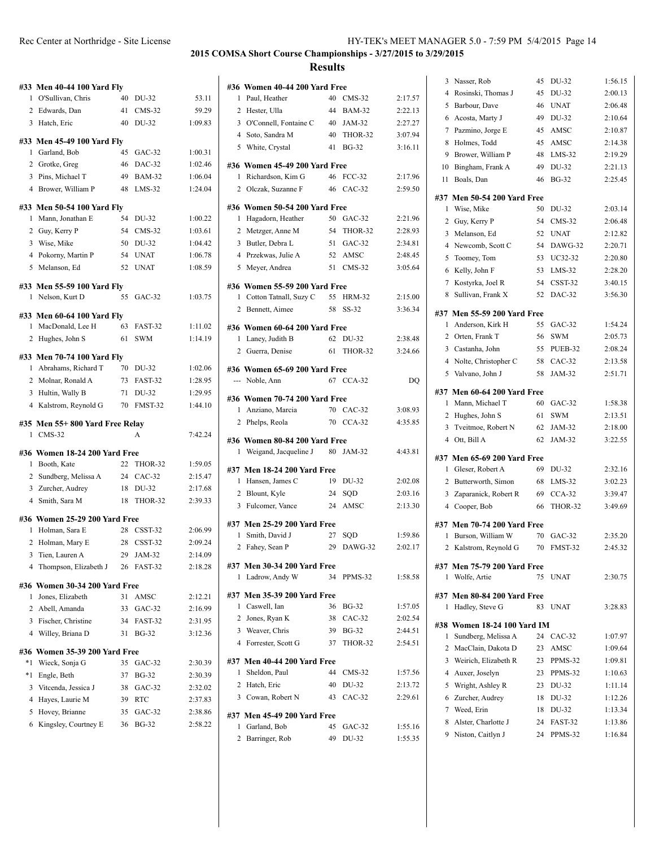|                | #33 Men 40-44 100 Yard Fly              |    |                  |                    |
|----------------|-----------------------------------------|----|------------------|--------------------|
| 1              | O'Sullivan, Chris                       | 40 | DU-32            | 53.11              |
| 2              | Edwards, Dan                            | 41 | $CMS-32$         | 59.29              |
|                | 3 Hatch, Eric                           | 40 | DU-32            | 1:09.83            |
|                | #33 Men 45-49 100 Yard Fly              |    |                  |                    |
| 1              | Garland, Bob                            | 45 | $GAC-32$         | 1:00.31            |
|                | 2 Grotke, Greg                          | 46 | DAC-32           | 1:02.46            |
|                | 3 Pins, Michael T                       | 49 | <b>BAM-32</b>    | 1:06.04            |
|                | 4 Brower, William P                     | 48 | $LMS-32$         | 1:24.04            |
|                | #33 Men 50-54 100 Yard Fly              |    |                  |                    |
| 1              | Mann, Jonathan E                        | 54 | DU-32            | 1:00.22            |
|                | 2 Guy, Kerry P                          | 54 | $CMS-32$         | 1:03.61            |
| 3              | Wise, Mike                              | 50 | DU-32            | 1:04.42            |
|                | 4 Pokorny, Martin P                     | 54 | <b>UNAT</b>      | 1:06.78            |
|                | 5 Melanson, Ed                          | 52 | <b>UNAT</b>      | 1:08.59            |
|                | #33 Men 55-59 100 Yard Fly              |    |                  |                    |
| 1              | Nelson, Kurt D                          | 55 | $GAC-32$         | 1:03.75            |
|                | #33 Men 60-64 100 Yard Fly              |    |                  |                    |
| 1              | MacDonald, Lee H                        | 63 | FAST-32          | 1:11.02            |
| $\overline{c}$ | Hughes, John S                          | 61 | <b>SWM</b>       | 1:14.19            |
|                |                                         |    |                  |                    |
| 1              | #33 Men 70-74 100 Yard Flv              | 70 |                  |                    |
| 2              | Abrahams, Richard T<br>Molnar, Ronald A | 73 | DU-32<br>FAST-32 | 1:02.06<br>1:28.95 |
| 3              | Hultin, Wally B                         | 71 | DU-32            | 1:29.95            |
| 4              | Kalstrom, Reynold G                     | 70 | FMST-32          | 1:44.10            |
|                |                                         |    |                  |                    |
|                |                                         |    |                  |                    |
|                | #35 Men 55+800 Yard Free Relay          |    |                  |                    |
| 1              | CMS-32                                  |    | A                | 7:42.24            |
|                | #36 Women 18-24 200 Yard Free           |    |                  |                    |
| 1              | Booth, Kate                             | 22 | THOR-32          | 1:59.05            |
|                | 2 Sundberg, Melissa A                   | 24 | $CAC-32$         | 2:15.47            |
| 3              | Zurcher, Audrey                         | 18 | DU-32            | 2:17.68            |
|                | 4 Smith, Sara M                         | 18 | THOR-32          | 2:39.33            |
|                | #36 Women 25-29 200 Yard Free           |    |                  |                    |
| 1              | Holman, Sara E                          | 28 | CSST-32          | 2:06.99            |
| $\overline{c}$ | Holman, Mary E                          | 28 | CSST-32          | 2:09.24            |
| 3              | Tien, Lauren A                          | 29 | JAM-32           | 2:14.09            |
| 4              | Thompson, Elizabeth J                   | 26 | FAST-32          | 2:18.28            |
|                | #36 Women 30-34 200 Yard Free           |    |                  |                    |
| 1              | Jones, Elizabeth                        | 31 | AMSC             | 2:12.21            |
| 2              | Abell, Amanda                           | 33 | $GAC-32$         | 2:16.99            |
| 3              | Fischer, Christine                      | 34 | FAST-32          | 2:31.95            |
|                | 4 Willey, Briana D                      | 31 | <b>BG-32</b>     | 3:12.36            |
|                | #36 Women 35-39 200 Yard Free           |    |                  |                    |
| *1             | Wieck, Sonja G                          | 35 | $GAC-32$         | 2:30.39            |
| $*1$           | Engle, Beth                             | 37 | <b>BG-32</b>     | 2:30.39            |
| 3              | Vitcenda, Jessica J                     | 38 | $GAC-32$         | 2:32.02            |
| 4              | Hayes, Laurie M                         |    | 39 RTC           | 2:37.83            |
| 5              | Hovey, Brianne                          | 35 | $GAC-32$         | 2:38.86            |
| 6              | Kingsley, Courtney E                    | 36 | <b>BG-32</b>     | 2:58.22            |

|                | #36 Women 40-44 200 Yard Free                 |          |                       |         |
|----------------|-----------------------------------------------|----------|-----------------------|---------|
| 1              | Paul, Heather                                 | 40       | $CMS-32$              | 2:17.57 |
| 2              | Hester, Ulla                                  |          | 44 BAM-32             | 2:22.13 |
|                | 3 O'Connell, Fontaine C                       |          | 40 JAM-32             | 2:27.27 |
|                | 4 Soto, Sandra M                              |          | 40 THOR-32            | 3:07.94 |
|                | 5 White, Crystal                              | 41       | $BG-32$               | 3:16.11 |
|                | #36 Women 45-49 200 Yard Free                 |          |                       |         |
| 1.             | Richardson, Kim G                             | 46       | <b>FCC-32</b>         | 2:17.96 |
|                | 2 Olczak, Suzanne F                           | 46       | $CAC-32$              | 2:59.50 |
|                | #36 Women 50-54 200 Yard Free                 |          |                       |         |
| 1              | Hagadorn, Heather                             |          | 50 GAC-32             | 2:21.96 |
| 2              | Metzger, Anne M                               |          | 54 THOR-32            | 2:28.93 |
| 3              | Butler, Debra L                               |          | 51 GAC-32             | 2:34.81 |
|                | 4 Przekwas, Julie A                           |          | 52 AMSC               | 2:48.45 |
|                | 5 Meyer, Andrea                               |          | 51 CMS-32             | 3:05.64 |
|                | #36 Women 55-59 200 Yard Free                 |          |                       |         |
| 1              | Cotton Tatnall, Suzy C                        | 55       | HRM-32                | 2:15.00 |
|                | 2 Bennett, Aimee                              | 58       | SS-32                 | 3:36.34 |
|                | #36 Women 60-64 200 Yard Free                 |          |                       |         |
| 1              | Laney, Judith B                               | 62       | DU-32                 | 2:38.48 |
|                | 2 Guerra, Denise                              | 61       | THOR-32               | 3:24.66 |
|                |                                               |          |                       |         |
|                | #36 Women 65-69 200 Yard Free                 |          | 67 CCA-32             |         |
|                | --- Noble, Ann                                |          |                       | DQ      |
|                | #36 Women 70-74 200 Yard Free                 |          |                       |         |
| 1              | Anziano, Marcia                               |          | 70 CAC-32             | 3:08.93 |
|                | 2 Phelps, Reola                               |          | 70 CCA-32             | 4:35.85 |
|                | #36 Women 80-84 200 Yard Free                 |          |                       |         |
| 1              | Weigand, Jacqueline J                         | 80       | JAM-32                | 4:43.81 |
|                | #37 Men 18-24 200 Yard Free                   |          |                       |         |
|                | 1 Hansen, James C                             | 19       | DU-32                 | 2:02.08 |
|                | 2 Blount, Kyle                                | 24       | SOD                   | 2:03.16 |
| 3              | Fulcomer, Vance                               | 24       | AMSC                  | 2:13.30 |
|                |                                               |          |                       |         |
| 1              | #37 Men 25-29 200 Yard Free<br>Smith, David J |          |                       | 1:59.86 |
| $\overline{2}$ |                                               | 27<br>29 | <b>SQD</b><br>DAWG-32 | 2:02.17 |
|                | Fahey, Sean P                                 |          |                       |         |
|                | #37 Men 30-34 200 Yard Free                   |          |                       |         |
| 1              | Ladrow, Andy W                                | 34       | PPMS-32               | 1:58.58 |
|                | #37 Men 35-39 200 Yard Free                   |          |                       |         |
| 1              | Caswell, Ian                                  | 36       | BG-32                 | 1:57.05 |
| 2              | Jones, Ryan K                                 | 38       | $CAC-32$              | 2:02.54 |
| 3              | Weaver, Chris                                 | 39       | <b>BG-32</b>          | 2:44.51 |
|                | 4 Forrester, Scott G                          | 37       | THOR-32               | 2:54.51 |
|                | #37 Men 40-44 200 Yard Free                   |          |                       |         |
| 1              | Sheldon, Paul                                 | 44       | $CMS-32$              | 1:57.56 |
| $\overline{2}$ | Hatch, Eric                                   | 40       | DU-32                 | 2:13.72 |
| 3              | Cowan, Robert N                               | 43       | $CAC-32$              | 2:29.61 |
|                |                                               |          |                       |         |
|                | #37 Men 45-49 200 Yard Free                   |          |                       |         |
| 1              | Garland, Bob                                  | 45       | $GAC-32$              | 1:55.16 |
| 2              | Barringer, Rob                                | 49       | DU-32                 | 1:55.35 |

| 3      | Nasser, Rob                    | 45 | DU-32               | 1:56.15            |
|--------|--------------------------------|----|---------------------|--------------------|
| 4      | Rosinski, Thomas J             | 45 | DU-32               | 2:00.13            |
| 5      | Barbour, Dave                  | 46 | <b>UNAT</b>         | 2:06.48            |
| 6      | Acosta, Marty J                | 49 | DU-32               | 2:10.64            |
| 7      | Pazmino, Jorge E               | 45 | AMSC                | 2:10.87            |
| 8      | Holmes, Todd                   | 45 | AMSC                | 2:14.38            |
| 9      | Brower, William P              | 48 | $LMS-32$            | 2:19.29            |
| 10     | Bingham, Frank A               | 49 | DU-32               | 2:21.13            |
| 11     | Boals, Dan                     | 46 | <b>BG-32</b>        | 2:25.45            |
| #37    | <b>Men 50-54 200 Yard Free</b> |    |                     |                    |
| 1      | Wise, Mike                     | 50 | DU-32               | 2:03.14            |
| 2      | Guy, Kerry P                   | 54 | $CMS-32$            | 2:06.48            |
| 3      | Melanson, Ed                   | 52 | <b>UNAT</b>         | 2:12.82            |
| 4      | Newcomb, Scott C               | 54 | DAWG-32             | 2:20.71            |
| 5      | Toomey, Tom                    | 53 | UC32-32             | 2:20.80            |
| 6      | Kelly, John F                  | 53 | $LMS-32$            | 2:28.20            |
| 7      | Kostyrka, Joel R               | 54 | CSST-32             | 3:40.15            |
| 8      | Sullivan, Frank X              | 52 | DAC-32              | 3:56.30            |
|        |                                |    |                     |                    |
|        | #37 Men 55-59 200 Yard Free    | 55 |                     |                    |
| 1      | Anderson, Kirk H               | 56 | $GAC-32$            | 1:54.24            |
|        | 2 Orten, Frank T               |    | <b>SWM</b>          | 2:05.73<br>2:08.24 |
| 3<br>4 | Castanha, John                 | 55 | PUEB-32<br>$CAC-32$ |                    |
|        | Nolte, Christopher C           | 58 | JAM-32              | 2:13.58<br>2:51.71 |
| 5      | Valvano, John J                | 58 |                     |                    |
|        | #37 Men 60-64 200 Yard Free    |    |                     |                    |
| 1      | Mann, Michael T                | 60 | $GAC-32$            | 1:58.38            |
| 2      | Hughes, John S                 | 61 | SWM                 | 2:13.51            |
| 3      | Tveitmoe, Robert N             | 62 | JAM-32              | 2:18.00            |
| 4      | Ott, Bill A                    | 62 | JAM-32              | 3:22.55            |
|        | #37 Men 65-69 200 Yard Free    |    |                     |                    |
| 1      | Gleser, Robert A               | 69 | DU-32               | 2:32.16            |
| 2      | Butterworth, Simon             | 68 | LMS-32              | 3:02.23            |
| 3      | Zaparanick, Robert R           | 69 | $CCA-32$            | 3:39.47            |
| 4      | Cooper, Bob                    | 66 | THOR-32             | 3:49.69            |
|        | #37 Men 70-74 200 Yard Free    |    |                     |                    |
| 1      | Burson, William W              | 70 | $GAC-32$            | 2:35.20            |
| 2      | Kalstrom, Reynold G            | 70 | FMST-32             | 2:45.32            |
| #37    | <b>Men 75-79 200 Yard Free</b> |    |                     |                    |
| 1      | Wolfe, Artie                   | 75 | <b>UNAT</b>         | 2:30.75            |
|        |                                |    |                     |                    |
| 1      | #37 Men 80-84 200 Yard Free    | 83 |                     |                    |
|        | Hadley, Steve G                |    | <b>UNAT</b>         | 3:28.83            |
|        | #38 Women 18-24 100 Yard IM    |    |                     |                    |
| 1      | Sundberg, Melissa A            | 24 | $CAC-32$            | 1:07.97            |
| 2      | MacClain, Dakota D             | 23 | AMSC                | 1:09.64            |
| 3      | Weirich, Elizabeth R           | 23 | PPMS-32             | 1:09.81            |
| 4      | Auxer, Joselyn                 | 23 | PPMS-32             | 1:10.63            |
| 5      | Wright, Ashley R               | 23 | DU-32               | 1:11.14            |
| 6      | Zurcher, Audrey                | 18 | DU-32               | 1:12.26            |
| 7      | Weed, Erin                     | 18 | DU-32               | 1:13.34            |
| 8      | Alster, Charlotte J            | 24 | FAST-32             | 1:13.86            |
| 9      | Niston, Caitlyn J              | 24 | PPMS-32             | 1:16.84            |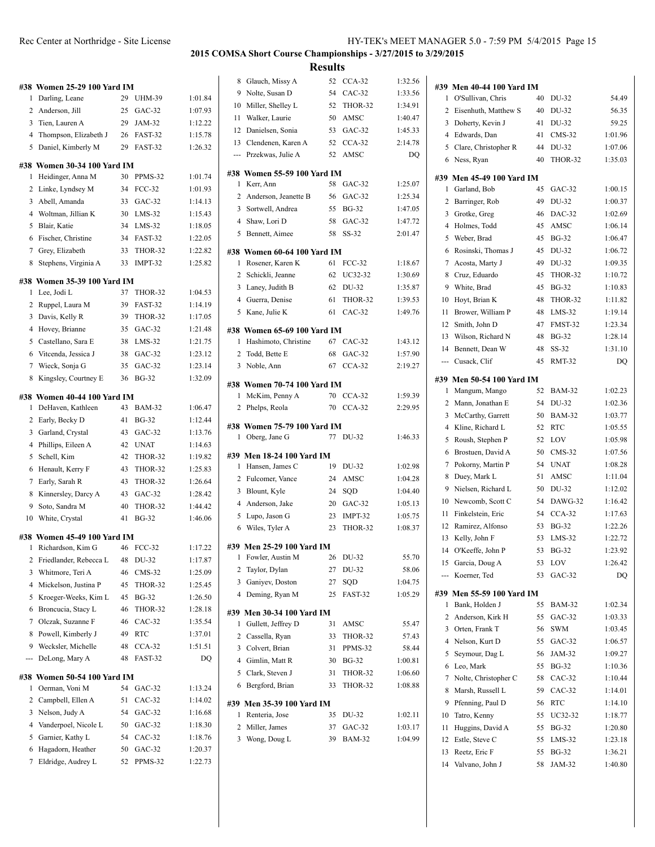| #38 Women 25-29 100 Yard IM |    |           |  |
|-----------------------------|----|-----------|--|
| 1 Darling, Leane            | 29 | UHM-39    |  |
| 2 Anderson, Jill            |    | 25 GAC-32 |  |
| 3 Tien. Lauren A            | 29 | $JAM-32$  |  |

 Thompson, Elizabeth J 26 FAST-32 1:15.78 Daniel, Kimberly M 29 FAST-32 1:26.32

 $1:01.84$ 1:07.93  $1:12.22$ 

#### **#38 Women 30-34 100 Yard IM**

| 77 U   | лиси ју-ј <del>у</del> тоу таги ј                | LLV 1.   |                         |                    |
|--------|--------------------------------------------------|----------|-------------------------|--------------------|
| 1      | Heidinger, Anna M                                | 30       | PPMS-32                 | 1:01.74            |
| 2      | Linke, Lyndsey M                                 | 34       | <b>FCC-32</b>           | 1:01.93            |
| 3      | Abell, Amanda                                    | 33       | GAC-32                  | 1:14.13            |
| 4      | Woltman, Jillian K                               | 30       | $LMS-32$                | 1:15.43            |
| 5      | Blair, Katie                                     | 34       | $LMS-32$                | 1:18.05            |
| 6      | Fischer, Christine                               | 34       | FAST-32                 | 1:22.05            |
| 7      | Grey, Elizabeth                                  | 33       | THOR-32                 | 1:22.82            |
| 8      | Stephens, Virginia A                             | 33       | IMPT-32                 | 1:25.82            |
|        | #38 Women 35-39 100 Yard IM                      |          |                         |                    |
| 1      | Lee, Jodi L                                      | 37       | THOR-32                 | 1:04.53            |
| 2      | Ruppel, Laura M                                  | 39       | FAST-32                 | 1:14.19            |
| 3      | Davis, Kelly R                                   | 39       | THOR-32                 | 1:17.05            |
| 4      | Hovey, Brianne                                   | 35       | GAC-32                  | 1:21.48            |
| 5      | Castellano, Sara E                               | 38       | $LMS-32$                | 1:21.75            |
| 6      | Vitcenda, Jessica J                              | 38       | GAC-32                  | 1:23.12            |
| 7      | Wieck, Sonja G                                   | 35       | GAC-32                  | 1:23.14            |
| 8      | Kingsley, Courtney E                             | 36       | <b>BG-32</b>            | 1:32.09            |
|        |                                                  |          |                         |                    |
| 1      | #38 Women 40-44 100 Yard IM<br>DeHaven, Kathleen | 43       | <b>BAM-32</b>           | 1:06.47            |
| 2      |                                                  | 41       | <b>BG-32</b>            |                    |
|        | Early, Becky D                                   |          | GAC-32                  | 1:12.44            |
| 3<br>4 | Garland, Crystal                                 | 43       | <b>UNAT</b>             | 1:13.76            |
|        | Phillips, Eileen A                               | 42       |                         | 1:14.63            |
| 5      | Schell, Kim                                      | 42       | THOR-32                 | 1:19.82            |
| 6      | Henault, Kerry F                                 | 43       | THOR-32                 | 1:25.83            |
| 7      | Early, Sarah R                                   | 43       | THOR-32                 | 1:26.64            |
| 8      | Kinnersley, Darcy A                              | 43       | $GAC-32$                | 1:28.42            |
| 9      | Soto, Sandra M<br>White, Crystal                 | 40<br>41 | THOR-32<br><b>BG-32</b> | 1:44.42<br>1:46.06 |
| 10     |                                                  |          |                         |                    |
|        | #38 Women 45-49 100 Yard IM                      |          |                         |                    |
| 1      | Richardson, Kim G                                | 46       | <b>FCC-32</b>           | 1:17.22            |
| 2      | Friedlander, Rebecca L                           | 48       | DU-32                   | 1:17.87            |
| 3      | Whitmore, Teri A                                 | 46       | $CMS-32$                | 1:25.09            |
| 4      | Mickelson, Justina P                             | 45       | THOR-32                 | 1:25.45            |
| 5      | Kroeger-Weeks, Kim L                             | 45       | <b>BG-32</b>            | 1:26.50            |
| 6      | Broncucia, Stacy L                               | 46       | THOR-32                 | 1:28.18            |
| 7      | Olczak, Suzanne F                                | 46       | $CAC-32$                | 1:35.54            |
| 8      | Powell, Kimberly J                               | 49       | <b>RTC</b>              | 1:37.01            |
|        | 9 Wecksler, Michelle                             |          | 48 CCA-32               | 1:51.51            |
|        | --- DeLong, Mary A                               | 48       | FAST-32                 | DQ                 |
|        | #38 Women 50-54 100 Yard IM                      |          |                         |                    |
| 1      | Oerman, Voni M                                   | 54       | GAC-32                  | 1:13.24            |
| 2      | Campbell, Ellen A                                | 51       | $CAC-32$                | 1:14.02            |
| 3      | Nelson, Judy A                                   | 54       | $GAC-32$                | 1:16.68            |
| 4      | Vanderpoel, Nicole L                             | 50       | $GAC-32$                | 1:18.30            |
| 5      | Garnier, Kathy L                                 | 54       | $CAC-32$                | 1:18.76            |
| 6      | Hagadorn, Heather                                | 50       | GAC-32                  | 1:20.37            |
| 7      | Eldridge, Audrey L                               | 52       | PPMS-32                 | 1:22.73            |

|                    |                | 2015 COMSA Short Course Championships - 3/27/2015 to 3/29/2015 |                |               |                    |                          |
|--------------------|----------------|----------------------------------------------------------------|----------------|---------------|--------------------|--------------------------|
|                    |                |                                                                | <b>Results</b> |               |                    |                          |
|                    | 8              | Glauch, Missy A                                                | 52             | $CCA-32$      | 1:32.56            |                          |
|                    | 9              | Nolte, Susan D                                                 | 54             | $CAC-32$      | 1:33.56            | #39 Mei<br>1             |
| 1:01.84            | 10             | Miller, Shelley L                                              | 52             | THOR-32       | 1:34.91            | O'S<br>2                 |
| 1:07.93<br>1:12.22 | 11             | Walker, Laurie                                                 | 50             | AMSC          | 1:40.47            | Eis<br>3<br>Dol          |
| 1:15.78            |                | 12 Danielsen, Sonia                                            |                | 53 GAC-32     | 1:45.33            | 4<br>Edv                 |
| 1:26.32            |                | 13 Clendenen, Karen A                                          |                | 52 CCA-32     | 2:14.78            | 5<br>Cla                 |
|                    | $\cdots$       | Przekwas, Julie A                                              | 52             | AMSC          | DQ                 | 6 Nes                    |
| 1:01.74            |                | #38 Women 55-59 100 Yard IM                                    |                |               |                    | #39 Mei                  |
| 1:01.93            | 1              | Kerr, Ann                                                      | 58             | $GAC-32$      | 1:25.07            | 1<br>Gar                 |
| 1:14.13            | 2              | Anderson, Jeanette B                                           | 56             | $GAC-32$      | 1:25.34            | $\overline{c}$<br>Bar    |
| 1:15.43            | 3              | Sortwell, Andrea                                               | 55             | <b>BG-32</b>  | 1:47.05            | 3<br>Grc                 |
| 1:18.05            |                | 4 Shaw, Lori D                                                 | 58             | $GAC-32$      | 1:47.72            | 4<br>Hol                 |
| 1:22.05            |                | 5 Bennett, Aimee                                               | 58             | $SS-32$       | 2:01.47            | 5<br>We                  |
| 1:22.82            |                | #38 Women 60-64 100 Yard IM                                    |                |               |                    | 6<br><b>Ros</b>          |
| 1:25.82            | 1              | Rosener, Karen K                                               | 61             | <b>FCC-32</b> | 1:18.67            | 7<br>Aco                 |
|                    | $\mathbf{2}$   | Schickli, Jeanne                                               | 62             | UC32-32       | 1:30.69            | 8<br>Cru                 |
|                    | 3              | Laney, Judith B                                                | 62             | DU-32         | 1:35.87            | 9<br>Wh                  |
| 1:04.53<br>1:14.19 |                | 4 Guerra, Denise                                               | 61             | THOR-32       | 1:39.53            | 10<br>Hoy                |
|                    |                | 5 Kane, Julie K                                                | 61             | $CAC-32$      | 1:49.76            | 11<br>Bro                |
| 1:17.05<br>1:21.48 |                |                                                                |                |               |                    | 12<br>Sm                 |
| 1:21.75            |                | #38 Women 65-69 100 Yard IM<br>1 Hashimoto, Christine          |                | 67 CAC-32     | 1:43.12            | Wil<br>13                |
| 1:23.12            | 2              | Todd, Bette E                                                  | 68             | $GAC-32$      | 1:57.90            | 14<br>Ber                |
| 1:23.14            | 3              | Noble, Ann                                                     | 67             | $CCA-32$      | 2:19.27            | Cus<br>---               |
| 1:32.09            |                |                                                                |                |               |                    |                          |
|                    |                | #38 Women 70-74 100 Yard IM                                    |                |               |                    | #39 Mei<br>1<br>Ma       |
|                    | $\mathbf{1}$   | McKim, Penny A                                                 |                | 70 CCA-32     | 1:59.39            | 2<br>Ma                  |
| 1:06.47            | 2              | Phelps, Reola                                                  | 70             | $CCA-32$      | 2:29.95            | 3<br>Mc                  |
| 1:12.44            |                | #38 Women 75-79 100 Yard IM                                    |                |               |                    | 4<br>Kli                 |
| 1:13.76            | 1              | Oberg, Jane G                                                  |                | 77 DU-32      | 1:46.33            | 5<br>Rot                 |
| 1:14.63            |                |                                                                |                |               |                    | 6<br><b>Bro</b>          |
| 1:19.82            |                | #39 Men 18-24 100 Yard IM                                      |                |               |                    | 7<br>Pok                 |
| 1:25.83            |                | 1 Hansen, James C                                              | 19             | DU-32         | 1:02.98            | 8<br>Du                  |
| 1:26.64            | 3              | 2 Fulcomer, Vance                                              | 24<br>24       | AMSC          | 1:04.28<br>1:04.40 | 9<br>Nie                 |
| 1:28.42            |                | Blount, Kyle<br>4 Anderson, Jake                               | 20             | SQD<br>GAC-32 | 1:05.13            | 10<br>Ney                |
| 1:44.42            |                | 5 Lupo, Jason G                                                | 23             | IMPT-32       | 1:05.75            | 11<br>Fin                |
| 1:46.06            |                | 6 Wiles, Tyler A                                               |                | 23 THOR-32    | 1:08.37            | 12<br>Rar                |
|                    |                |                                                                |                |               |                    | Kel<br>13                |
| 1:17.22            |                | #39 Men 25-29 100 Yard IM                                      |                |               |                    | O'K<br>14                |
| 1:17.87            |                | 1 Fowler, Austin M                                             | 26             | DU-32         | 55.70              | 15<br>Gar                |
| 1:25.09            | 2              | Taylor, Dylan                                                  | 27             | DU-32         | 58.06              | $\overline{a}$<br>Ko     |
| 1:25.45            |                | 3 Ganiyev, Doston                                              | 27             | SQD           | 1:04.75            |                          |
| 1:26.50            |                | 4 Deming, Ryan M                                               | 25             | FAST-32       | 1:05.29            | #39 Mei                  |
| 1:28.18            |                | #39 Men 30-34 100 Yard IM                                      |                |               |                    | 1<br>Bar                 |
| 1:35.54            | 1              | Gullett, Jeffrey D                                             | 31             | AMSC          | 55.47              | 2<br>Ano                 |
| 1:37.01            | $\overline{2}$ | Cassella, Ryan                                                 | 33             | THOR-32       | 57.43              | 3<br>Ort                 |
| 1:51.51            | 3              | Colvert, Brian                                                 | 31             | PPMS-32       | 58.44              | 4<br>Nel                 |
| DQ                 | $\overline{4}$ | Gimlin, Matt R                                                 | 30             | <b>BG-32</b>  | 1:00.81            | 5<br>Sey                 |
|                    | 5              | Clark, Steven J                                                | 31             | THOR-32       | 1:06.60            | 6<br>Lec<br>$N_{\alpha}$ |

#### **#39 Men 35-39 100 Yard IM**

| 1 Renteria, Jose | 35 DU-32  | 1:02.11 |
|------------------|-----------|---------|
| 2 Miller, James  | 37 GAC-32 | 1:03.17 |
| 3 Wong, Doug L   | 39 BAM-32 | 1:04.99 |

Bergford, Brian 33 THOR-32 1:08.88

# Rec Center at Northridge - Site License HY-TEK's MEET MANAGER 5.0 - 7:59 PM 5/4/2015 Page 15

| #39 Men 40-44 100 Yard IM |                                           |    |               |         |
|---------------------------|-------------------------------------------|----|---------------|---------|
| 1                         | O'Sullivan, Chris                         | 40 | DU-32         | 54.49   |
| 2                         | Eisenhuth, Matthew S                      | 40 | DU-32         | 56.35   |
| 3                         | Doherty, Kevin J                          | 41 | DU-32         | 59.25   |
| 4                         | Edwards, Dan                              | 41 | $CMS-32$      | 1:01.96 |
| 5                         | Clare, Christopher R                      | 44 | DU-32         | 1:07.06 |
| 6                         | Ness, Ryan                                | 40 | THOR-32       | 1:35.03 |
|                           |                                           |    |               |         |
| 1                         | #39 Men 45-49 100 Yard IM<br>Garland, Bob | 45 | GAC-32        | 1:00.15 |
| 2                         | Barringer, Rob                            | 49 | DU-32         | 1:00.37 |
| 3                         | Grotke, Greg                              | 46 | DAC-32        | 1:02.69 |
| 4                         | Holmes, Todd                              | 45 | AMSC          | 1:06.14 |
| 5                         | Weber, Brad                               | 45 | <b>BG-32</b>  | 1:06.47 |
| 6                         | Rosinski, Thomas J                        | 45 | DU-32         | 1:06.72 |
| 7                         | Acosta, Marty J                           | 49 | DU-32         | 1:09.35 |
| 8                         | Cruz, Eduardo                             | 45 | THOR-32       | 1:10.72 |
| 9                         | White, Brad                               | 45 | <b>BG-32</b>  | 1:10.83 |
| 10                        | Hoyt, Brian K                             | 48 | THOR-32       | 1:11.82 |
| 11                        | Brower, William P                         | 48 | $LMS-32$      | 1:19.14 |
| 12                        | Smith, John D                             | 47 | FMST-32       | 1:23.34 |
| 13                        | Wilson, Richard N                         | 48 | <b>BG-32</b>  | 1:28.14 |
| 14                        | Bennett, Dean W                           | 48 | $SS-32$       | 1:31.10 |
| ---                       | Cusack, Clif                              | 45 | RMT-32        | DQ      |
|                           |                                           |    |               |         |
|                           | #39 Men 50-54 100 Yard IM                 |    |               |         |
| 1                         | Mangum, Mango                             | 52 | <b>BAM-32</b> | 1:02.23 |
| 2                         | Mann, Jonathan E                          | 54 | DU-32         | 1:02.36 |
| 3                         | McCarthy, Garrett                         | 50 | <b>BAM-32</b> | 1:03.77 |
| 4                         | Kline, Richard L                          | 52 | <b>RTC</b>    | 1:05.55 |
| 5                         | Roush, Stephen P                          | 52 | LOV           | 1:05.98 |
| 6                         | Brostuen, David A                         | 50 | $CMS-32$      | 1:07.56 |
| 7                         | Pokorny, Martin P                         | 54 | <b>UNAT</b>   | 1:08.28 |
| 8                         | Duey, Mark L                              | 51 | AMSC          | 1:11.04 |
| 9                         | Nielsen, Richard L                        | 50 | DU-32         | 1:12.02 |
| 10                        | Newcomb, Scott C                          | 54 | DAWG-32       | 1:16.42 |
| 11                        | Finkelstein, Eric                         | 54 | $CCA-32$      | 1:17.63 |
| 12                        | Ramirez, Alfonso                          | 53 | BG-32         | 1:22.26 |
| 13                        | Kelly, John F                             | 53 | $LMS-32$      | 1:22.72 |
| 14                        | O'Keeffe, John P                          | 53 | <b>BG-32</b>  | 1:23.92 |
| 15                        | Garcia, Doug A                            | 53 | LOV           | 1:26.42 |
|                           | Koerner, Ted                              | 53 | GAC-32        | DQ      |
|                           | #39 Men 55-59 100 Yard IM                 |    |               |         |
| 1                         | Bank, Holden J                            | 55 | <b>BAM-32</b> | 1:02.34 |
| 2                         | Anderson, Kirk H                          | 55 | $GAC-32$      | 1:03.33 |
| 3                         | Orten, Frank T                            | 56 | SWM           | 1:03.45 |
| 4                         | Nelson, Kurt D                            | 55 | GAC-32        | 1:06.57 |
| 5                         | Seymour, Dag L                            | 56 | JAM-32        | 1:09.27 |
| 6                         | Leo, Mark                                 | 55 | <b>BG-32</b>  | 1:10.36 |
| 7                         | Nolte, Christopher C                      | 58 | $CAC-32$      | 1:10.44 |
| 8                         | Marsh, Russell L                          | 59 | $CAC-32$      | 1:14.01 |
| 9                         | Pfenning, Paul D                          | 56 | RTC           | 1:14.10 |
| 10                        | Tatro, Kenny                              | 55 | UC32-32       | 1:18.77 |
| 11                        | Huggins, David A                          | 55 | <b>BG-32</b>  | 1:20.80 |
| 12                        | Estle, Steve C                            | 55 | LMS-32        | 1:23.18 |
| 13                        | Reetz, Eric F                             | 55 | BG-32         | 1:36.21 |
| 14                        | Valvano, John J                           | 58 | JAM-32        | 1:40.80 |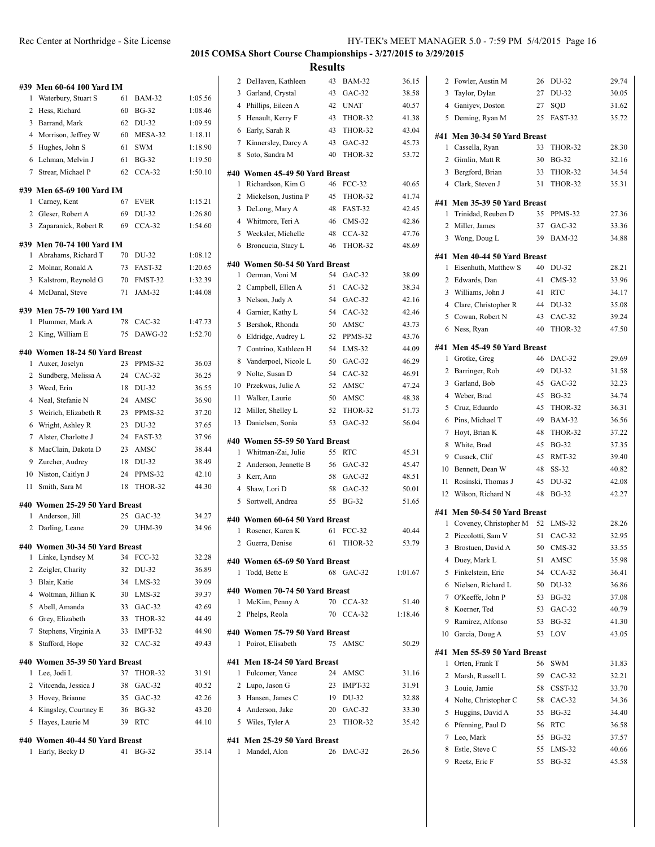|    | #39 Men 60-64 100 Yard IM      |    |                             |         |
|----|--------------------------------|----|-----------------------------|---------|
| 1  | Waterbury, Stuart S            | 61 | <b>BAM-32</b>               | 1:05.56 |
| 2  | Hess, Richard                  | 60 | <b>BG-32</b>                | 1:08.46 |
| 3  | Barrand, Mark                  | 62 | DU-32                       | 1:09.59 |
| 4  | Morrison, Jeffrey W            | 60 | MESA-32                     | 1:18.11 |
| 5  | Hughes, John S                 | 61 | <b>SWM</b>                  | 1:18.90 |
| 6  | Lehman, Melvin J               | 61 | <b>BG-32</b>                | 1:19.50 |
| 7  | Strear, Michael P              | 62 | $CCA-32$                    | 1:50.10 |
|    | #39 Men 65-69 100 Yard IM      |    |                             |         |
| 1  | Carney, Kent                   | 67 | <b>EVER</b>                 | 1:15.21 |
|    | 2 Gleser, Robert A             | 69 | DU-32                       | 1:26.80 |
|    | 3 Zaparanick, Robert R         | 69 | $CCA-32$                    | 1:54.60 |
|    | #39 Men 70-74 100 Yard IM      |    |                             |         |
| 1  | Abrahams, Richard T            | 70 | DU-32                       | 1:08.12 |
| 2  | Molnar, Ronald A               | 73 | FAST-32                     | 1:20.65 |
| 3  | Kalstrom, Reynold G            | 70 | FMST-32                     | 1:32.39 |
|    | 4 McDanal, Steve               | 71 | JAM-32                      | 1:44.08 |
|    |                                |    |                             |         |
| 1  | #39 Men 75-79 100 Yard IM      | 78 |                             | 1:47.73 |
|    | Plummer, Mark A                | 75 | $CAC-32$<br>DAWG-32         | 1:52.70 |
|    | 2 King, William E              |    |                             |         |
|    | #40 Women 18-24 50 Yard Breast |    |                             |         |
| 1  | Auxer, Joselyn                 | 23 | PPMS-32                     | 36.03   |
| 2  | Sundberg, Melissa A            |    | 24 CAC-32                   | 36.25   |
| 3  | Weed, Erin                     | 18 | DU-32                       | 36.55   |
| 4  | Neal, Stefanie N               | 24 | AMSC                        | 36.90   |
| 5  | Weirich, Elizabeth R           | 23 | PPMS-32                     | 37.20   |
| 6  | Wright, Ashley R               | 23 | DU-32                       | 37.65   |
| 7  | Alster, Charlotte J            | 24 | FAST-32                     | 37.96   |
| 8  | MacClain, Dakota D             | 23 | AMSC                        | 38.44   |
| 9  | Zurcher, Audrey                | 18 | DU-32                       | 38.49   |
| 10 | Niston, Caitlyn J              | 24 | PPMS-32                     | 42.10   |
| 11 | Smith, Sara M                  | 18 | THOR-32                     | 44.30   |
|    | #40 Women 25-29 50 Yard Breast |    |                             |         |
| 1  | Anderson, Jill                 | 25 | $GAC-32$                    | 34.27   |
| 2  | Darling, Leane                 | 29 | <b>UHM-39</b>               | 34.96   |
|    | #40 Women 30-34 50 Yard Breast |    |                             |         |
| 1  | Linke, Lyndsey M               | 34 | FCC-32                      | 32.28   |
| 2  | Zeigler, Charity               | 32 | DU-32                       | 36.89   |
| 3  | Blair, Katie                   | 34 | $LMS-32$                    | 39.09   |
|    | 4 Woltman, Jillian K           | 30 | $LMS-32$                    | 39.37   |
| 5  | Abell, Amanda                  | 33 | GAC-32                      | 42.69   |
| 6  | Grey, Elizabeth                | 33 | THOR-32                     | 44.49   |
| 7  | Stephens, Virginia A           | 33 | IMPT-32                     | 44.90   |
| 8  | Stafford, Hope                 | 32 | $CAC-32$                    | 49.43   |
|    | #40 Women 35-39 50 Yard Breast |    |                             |         |
| 1  | Lee, Jodi L                    | 37 | THOR-32                     | 31.91   |
| 2  | Vitcenda, Jessica J            | 38 | GAC-32                      | 40.52   |
| 3  | Hovey, Brianne                 | 35 | GAC-32                      | 42.26   |
|    | 4 Kingsley, Courtney E         | 36 | $\mathbf{B} \mathbf{G}$ -32 | 43.20   |
|    | 5 Hayes, Laurie M              | 39 | <b>RTC</b>                  | 44.10   |
|    |                                |    |                             |         |
|    | #40 Women 40-44 50 Yard Breast | 41 |                             |         |
|    | 1 Early, Becky D               |    | <b>BG-32</b>                | 35.14   |

| <b>Results</b> |                                                     |    |               |         |   |
|----------------|-----------------------------------------------------|----|---------------|---------|---|
|                | 2 DeHaven, Kathleen                                 | 43 | <b>BAM-32</b> | 36.15   |   |
|                | 3 Garland, Crystal                                  | 43 | $GAC-32$      | 38.58   |   |
|                | 4 Phillips, Eileen A                                | 42 | <b>UNAT</b>   | 40.57   |   |
|                | 5 Henault, Kerry F                                  | 43 | THOR-32       | 41.38   |   |
| 6              | Early, Sarah R                                      | 43 | THOR-32       | 43.04   |   |
|                | 7 Kinnersley, Darcy A                               | 43 | GAC-32        | 45.73   | # |
|                | 8 Soto, Sandra M                                    | 40 | THOR-32       | 53.72   |   |
|                |                                                     |    |               |         |   |
|                | #40 Women 45-49 50 Yard Breast<br>Richardson, Kim G | 46 | <b>FCC-32</b> | 40.65   |   |
| 1              |                                                     | 45 | THOR-32       | 41.74   |   |
|                | 2 Mickelson, Justina P                              | 48 |               | 42.45   | # |
|                | 3 DeLong, Mary A                                    | 46 | FAST-32       |         |   |
|                | 4 Whitmore, Teri A                                  |    | $CMS-32$      | 42.86   |   |
|                | 5 Wecksler, Michelle                                |    | 48 CCA-32     | 47.76   |   |
|                | 6 Broncucia, Stacy L                                | 46 | THOR-32       | 48.69   | # |
|                | #40 Women 50-54 50 Yard Breast                      |    |               |         |   |
| 1              | Oerman, Voni M                                      | 54 | $GAC-32$      | 38.09   |   |
|                | 2 Campbell, Ellen A                                 | 51 | CAC-32        | 38.34   |   |
|                | 3 Nelson, Judy A                                    |    | 54 GAC-32     | 42.16   |   |
|                | 4 Garnier, Kathy L                                  | 54 | CAC-32        | 42.46   |   |
| 5              | Bershok, Rhonda                                     | 50 | AMSC          | 43.73   |   |
|                | 6 Eldridge, Audrey L                                |    | 52 PPMS-32    | 43.76   |   |
|                | 7 Contrino, Kathleen H                              |    | 54 LMS-32     | 44.09   | # |
|                | 8 Vanderpoel, Nicole L                              |    | 50 GAC-32     | 46.29   |   |
|                | 9 Nolte, Susan D                                    |    | 54 CAC-32     | 46.91   |   |
|                | 10 Przekwas, Julie A                                | 52 | AMSC          | 47.24   |   |
|                | 11 Walker, Laurie                                   | 50 | AMSC          | 48.38   |   |
|                | 12 Miller, Shelley L                                | 52 | THOR-32       | 51.73   |   |
|                | 13 Danielsen, Sonia                                 | 53 | $GAC-32$      | 56.04   |   |
|                | #40 Women 55-59 50 Yard Breast                      |    |               |         |   |
| $\mathbf{1}$   | Whitman-Zai, Julie                                  | 55 | RTC           | 45.31   |   |
|                | 2 Anderson, Jeanette B                              |    | 56 GAC-32     | 45.47   |   |
|                | 3 Kerr, Ann                                         | 58 | GAC-32        | 48.51   |   |
|                | 4 Shaw, Lori D                                      | 58 | $GAC-32$      | 50.01   |   |
|                | 5 Sortwell, Andrea                                  | 55 | <b>BG-32</b>  | 51.65   |   |
|                |                                                     |    |               |         | # |
|                | #40 Women 60-64 50 Yard Breast                      |    |               |         |   |
| 1              | Rosener, Karen K                                    | 61 | <b>FCC-32</b> | 40.44   |   |
|                | 2 Guerra, Denise                                    | 61 | THOR-32       | 53.79   |   |
|                | #40 Women 65-69 50 Yard Breast                      |    |               |         |   |
| 1              | Todd, Bette E                                       |    | 68 GAC-32     | 1:01.67 |   |
|                |                                                     |    |               |         |   |
| 1              | #40 Women 70-74 50 Yard Breast<br>McKim, Penny A    | 70 | $CCA-32$      | 51.40   |   |
| 2              | Phelps, Reola                                       | 70 | $CCA-32$      | 1:18.46 |   |
|                |                                                     |    |               |         |   |

**#40 Women 75-79 50 Yard Breast**

**#41 Men 18-24 50 Yard Breast**

**#41 Men 25-29 50 Yard Breast**

1 Poirot, Elisabeth 75 AMSC 50.29

 Fulcomer, Vance 24 AMSC 31.16 Lupo, Jason G 23 IMPT-32 31.91 Hansen, James C 19 DU-32 32.88 Anderson, Jake 20 GAC-32 33.30 Wiles, Tyler A 23 THOR-32 35.42

Mandel, Alon 26 DAC-32 26.56

#### Rec Center at Northridge - Site License HY-TEK's MEET MANAGER 5.0 - 7:59 PM 5/4/2015 Page 16 **2015 COMSA Short Course Championships - 3/27/2015 to 3/29/2015**

| 2       | Fowler, Austin M                   | 26       | DU-32               | 29.74          |
|---------|------------------------------------|----------|---------------------|----------------|
| 3       | Taylor, Dylan                      | 27       | DU-32               | 30.05          |
|         | 4 Ganiyev, Doston                  | 27       | SQD                 | 31.62          |
|         | 5 Deming, Ryan M                   | 25       | FAST-32             | 35.72          |
|         | #41 Men 30-34 50 Yard Breast       |          |                     |                |
| 1       | Cassella, Ryan                     | 33       | THOR-32             | 28.30          |
|         | 2 Gimlin, Matt R                   | 30       |                     |                |
|         |                                    |          | <b>BG-32</b>        | 32.16          |
| 3       | Bergford, Brian                    | 33       | THOR-32             | 34.54          |
|         | 4 Clark, Steven J                  | 31       | THOR-32             | 35.31          |
|         | #41 Men 35-39 50 Yard Breast       |          |                     |                |
| 1       | Trinidad, Reuben D                 | 35       | PPMS-32             | 27.36          |
|         | 2 Miller, James                    | 37       | GAC-32              | 33.36          |
|         | 3 Wong, Doug L                     | 39       | <b>BAM-32</b>       | 34.88          |
|         | #41 Men 40-44 50 Yard Breast       |          |                     |                |
| 1       | Eisenhuth, Matthew S               | 40       | DU-32               | 28.21          |
| 2       | Edwards, Dan                       | 41       | $CMS-32$            | 33.96          |
|         | 3 Williams, John J                 | 41       | <b>RTC</b>          | 34.17          |
|         | 4 Clare, Christopher R             | 44       | DU-32               | 35.08          |
|         | 5 Cowan, Robert N                  | 43       | $CAC-32$            | 39.24          |
| 6       | Ness, Ryan                         | 40       | THOR-32             | 47.50          |
|         |                                    |          |                     |                |
|         | #41 Men 45-49 50 Yard Breast       |          |                     |                |
| 1       | Grotke, Greg                       | 46       | DAC-32              | 29.69          |
| 2       | Barringer, Rob                     | 49       | DU-32               | 31.58          |
| 3       | Garland, Bob                       | 45       | $GAC-32$            | 32.23          |
|         | 4 Weber, Brad                      | 45       | <b>BG-32</b>        | 34.74          |
| 5       | Cruz, Eduardo                      | 45       | THOR-32             | 36.31          |
| 6       | Pins, Michael T                    | 49       | <b>BAM-32</b>       | 36.56          |
| 7       | Hoyt, Brian K                      | 48       | THOR-32             | 37.22          |
| 8       | White, Brad                        | 45       | BG-32               | 37.35          |
| 9       | Cusack, Clif                       | 45       | <b>RMT-32</b>       | 39.40          |
| 10      | Bennett, Dean W                    | 48       | $SS-32$             | 40.82          |
| 11      | Rosinski, Thomas J                 | 45       | DU-32               | 42.08          |
|         | 12 Wilson, Richard N               | 48       | $BG-32$             | 42.27          |
|         | #41 Men 50-54 50 Yard Breast       |          |                     |                |
|         | 1 Coveney, Christopher M 52        |          | $LMS-32$            | 28.26          |
|         | 2 Piccolotti, Sam V                | 51       | $CAC-32$            | 32.95          |
| 3       | Brostuen, David A                  | 50       | $CMS-32$            | 33.55          |
| 4       | Duey, Mark L                       | 51       | AMSC                | 35.98          |
| 5       | Finkelstein, Eric                  | 54       | $CCA-32$            | 36.41          |
| 6       | Nielsen, Richard L                 | 50       | DU-32               | 36.86          |
| 7       | O'Keeffe, John P                   | 53       | <b>BG-32</b>        | 37.08          |
| 8       | Koerner, Ted                       |          |                     | 40.79          |
|         |                                    | 53       | $GAC-32$            |                |
| 9<br>10 | Ramirez, Alfonso<br>Garcia, Doug A | 53<br>53 | <b>BG-32</b><br>LOV | 41.30<br>43.05 |
|         |                                    |          |                     |                |
|         | #41 Men 55-59 50 Yard Breast       |          |                     |                |
| 1       | Orten, Frank T                     | 56       | SWM                 | 31.83          |
| 2       | Marsh, Russell L                   | 59       | CAC-32              | 32.21          |
| 3       | Louie, Jamie                       | 58       | CSST-32             | 33.70          |
| 4       | Nolte, Christopher C               | 58       | $CAC-32$            | 34.36          |
| 5       | Huggins, David A                   | 55       | <b>BG-32</b>        | 34.40          |
| 6       | Pfenning, Paul D                   | 56       | <b>RTC</b>          | 36.58          |
| 7       | Leo, Mark                          | 55       | <b>BG-32</b>        | 37.57          |
| 8       | Estle, Steve C                     | 55       | LMS-32              | 40.66          |
| 9       | Reetz, Eric F                      | 55       | <b>BG-32</b>        | 45.58          |
|         |                                    |          |                     |                |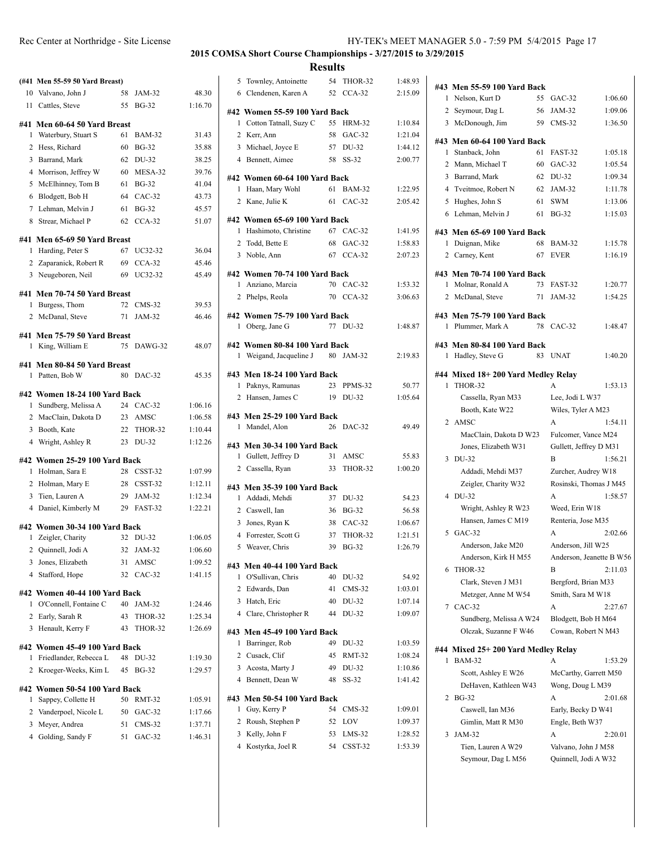| License |                                     |  |  |
|---------|-------------------------------------|--|--|
|         | <b>2015 COMSA Short Course Chai</b> |  |  |

**(#41 Men 55-59 50 Yard Breast)** 10 Valvano, John J 58 JAM-32 48.30 11 Cattles, Steve 55 BG-32 1:16.70 **#41 Men 60-64 50 Yard Breast** 1 Waterbury, Stuart S 61 BAM-32 31.43 2 Hess, Richard 60 BG-32 35.88 3 Barrand, Mark 62 DU-32 38.25 4 Morrison, Jeffrey W 60 MESA-32 39.76 5 McElhinney, Tom B 61 BG-32 41.04 6 Blodgett, Bob H 64 CAC-32 43.73 7 Lehman, Melvin J 61 BG-32 45.57 8 Strear, Michael P 62 CCA-32 51.07 **#41 Men 65-69 50 Yard Breast** 1 Harding, Peter S 67 UC32-32 36.04 2 Zaparanick, Robert R 69 CCA-32 45.46 3 Neugeboren, Neil 69 UC32-32 45.49 **#41 Men 70-74 50 Yard Breast** 1 Burgess, Thom 72 CMS-32 39.53 2 McDanal, Steve 71 JAM-32 46.46 **#41 Men 75-79 50 Yard Breast** 1 King, William E 75 DAWG-32 48.07 **#41 Men 80-84 50 Yard Breast** 1 Patten, Bob W 80 DAC-32 45.35 **#42 Women 18-24 100 Yard Back** 1 Sundberg, Melissa A 24 CAC-32 1:06.16 2 MacClain, Dakota D 23 AMSC 1:06.58 3 Booth, Kate 22 THOR-32 1:10.44 4 Wright, Ashley R 23 DU-32 1:12.26 **#42 Women 25-29 100 Yard Back** 1 Holman, Sara E 28 CSST-32 1:07.99 2 Holman, Mary E 28 CSST-32 1:12.11 3 Tien, Lauren A 29 JAM-32 1:12.34 4 Daniel, Kimberly M 29 FAST-32 1:22.21 **#42 Women 30-34 100 Yard Back** 1 Zeigler, Charity 32 DU-32 1:06.05 2 Quinnell, Jodi A 32 JAM-32 1:06.60 3 Jones, Elizabeth 31 AMSC 1:09.52 4 Stafford, Hope 32 CAC-32 1:41.15 **#42 Women 40-44 100 Yard Back** 1 O'Connell, Fontaine C 40 JAM-32 1:24.46 2 Early, Sarah R 43 THOR-32 1:25.34 3 Henault, Kerry F 43 THOR-32 1:26.69 **#42 Women 45-49 100 Yard Back** 1 Friedlander, Rebecca L 48 DU-32 1:19.30 2 Kroeger-Weeks, Kim L 45 BG-32 1:29.57 **#42 Women 50-54 100 Yard Back** 1 Sappey, Collette H 50 RMT-32 1:05.91 2 Vanderpoel, Nicole L 50 GAC-32 1:17.66 3 Meyer, Andrea 51 CMS-32 1:37.71 4 Golding, Sandy F 51 GAC-32 1:46.31

#### **2015 COMSA Short Course Championships - 3/27/2015 to 3/29/2015 Results**

|                                                             | results |                    |                    |
|-------------------------------------------------------------|---------|--------------------|--------------------|
| 5 Townley, Antoinette                                       |         | 54 THOR-32         | 1:48.93            |
| Clendenen, Karen A<br>6                                     | 52      | $CCA-32$           | 2:15.09            |
|                                                             |         |                    |                    |
| #42 Women 55-59 100 Yard Back                               |         |                    |                    |
| Cotton Tatnall, Suzy C<br>1                                 | 58      | 55 HRM-32          | 1:10.84<br>1:21.04 |
| 2 Kerr, Ann                                                 |         | $GAC-32$           |                    |
| 3 Michael, Joyce E                                          |         | 57 DU-32           | 1:44.12            |
| 4 Bennett, Aimee                                            | 58      | $SS-32$            | 2:00.77            |
| #42 Women 60-64 100 Yard Back                               |         |                    |                    |
| Haan, Mary Wohl<br>1                                        |         | 61 BAM-32          | 1:22.95            |
| 2 Kane, Julie K                                             |         | 61 CAC-32          | 2:05.42            |
| #42 Women 65-69 100 Yard Back                               |         |                    |                    |
| Hashimoto, Christine<br>1                                   |         | 67 CAC-32          | 1:41.95            |
| 2 Todd, Bette E                                             | 68      | $GAC-32$           | 1:58.83            |
| 3 Noble, Ann                                                |         | 67 CCA-32          | 2:07.23            |
|                                                             |         |                    |                    |
| #42 Women 70-74 100 Yard Back                               |         |                    |                    |
| Anziano, Marcia<br>1                                        |         | 70 CAC-32          | 1:53.32            |
| 2 Phelps, Reola                                             |         | 70 CCA-32          | 3:06.63            |
| #42 Women 75-79 100 Yard Back                               |         |                    |                    |
| 1 Oberg, Jane G                                             | 77      | DU-32              | 1:48.87            |
|                                                             |         |                    |                    |
| #42 Women 80-84 100 Yard Back<br>Weigand, Jacqueline J<br>1 |         | 80 JAM-32          | 2:19.83            |
|                                                             |         |                    |                    |
| #43 Men 18-24 100 Yard Back                                 |         |                    |                    |
| Paknys, Ramunas<br>1                                        | 23      | PPMS-32            | 50.77              |
| 2 Hansen, James C                                           | 19      | DU-32              | 1:05.64            |
| #43 Men 25-29 100 Yard Back                                 |         |                    |                    |
| 1 Mandel, Alon                                              | 26      | DAC-32             | 49.49              |
|                                                             |         |                    |                    |
| #43 Men 30-34 100 Yard Back                                 |         |                    |                    |
| 1 Gullett, Jeffrey D                                        | 33      | 31 AMSC<br>THOR-32 | 55.83              |
| 2 Cassella, Ryan                                            |         |                    | 1:00.20            |
| #43 Men 35-39 100 Yard Back                                 |         |                    |                    |
| 1 Addadi, Mehdi                                             | 37      | DU-32              | 54.23              |
| 2 Caswell, Ian                                              | 36      | $BG-32$            | 56.58              |
| 3 Jones, Ryan K                                             | 38      | $CAC-32$           | 1:06.67            |
| 4 Forrester, Scott G                                        | 37      | THOR-32            | 1:21.51            |
| 5 Weaver, Chris                                             |         | 39 BG-32           | 1:26.79            |
| #43 Men 40-44 100 Yard Back                                 |         |                    |                    |
| O'Sullivan, Chris<br>1                                      | 40      | DU-32              | 54.92              |
| 2 Edwards, Dan                                              | 41      | $CMS-32$           | 1:03.01            |
| 3 Hatch, Eric                                               | 40      | DU-32              | 1:07.14            |
| 4 Clare, Christopher R                                      | 44      | DU-32              | 1:09.07            |
|                                                             |         |                    |                    |
| #43 Men 45-49 100 Yard Back                                 |         |                    |                    |
| 1<br>Barringer, Rob                                         | 49      | DU-32              | 1:03.59            |
| 2 Cusack, Clif                                              | 45      | <b>RMT-32</b>      | 1:08.24            |
| 3 Acosta, Marty J                                           | 49      | DU-32              | 1:10.86            |
| 4 Bennett, Dean W                                           | 48      | $SS-32$            | 1:41.42            |
| #43 Men 50-54 100 Yard Back                                 |         |                    |                    |
| 1<br>Guy, Kerry P                                           | 54      | $CMS-32$           | 1:09.01            |
| 2<br>Roush, Stephen P                                       | 52      | LOV                | 1:09.37            |
| 3 Kelly, John F                                             | 53      | LMS-32             | 1:28.52            |
| 4 Kostyrka, Joel R                                          | 54      | CSST-32            | 1:53.39            |
|                                                             |         |                    |                    |

| #43 Men 55-59 100 Yard Back<br>Nelson, Kurt D<br>1 | 55 | $GAC-32$                    | 1:06.60                  |
|----------------------------------------------------|----|-----------------------------|--------------------------|
| 2 Seymour, Dag L                                   | 56 | JAM-32                      |                          |
|                                                    | 59 | $CMS-32$                    | 1:09.06                  |
| 3 McDonough, Jim                                   |    |                             | 1:36.50                  |
| #43 Men 60-64 100 Yard Back                        |    |                             |                          |
| Stanback, John<br>1                                | 61 | FAST-32                     | 1:05.18                  |
| 2<br>Mann, Michael T                               | 60 | $GAC-32$                    | 1:05.54                  |
| 3<br>Barrand, Mark                                 | 62 | DU-32                       | 1:09.34                  |
| 4 Tveitmoe, Robert N                               | 62 | JAM-32                      | 1:11.78                  |
| Hughes, John S<br>5                                | 61 | <b>SWM</b>                  | 1:13.06                  |
| 6 Lehman, Melvin J                                 | 61 | <b>BG-32</b>                | 1:15.03                  |
| #43 Men 65-69 100 Yard Back                        |    |                             |                          |
| Duignan, Mike<br>1                                 | 68 | <b>BAM-32</b>               | 1:15.78                  |
| 2 Carney, Kent                                     | 67 | EVER                        | 1:16.19                  |
| #43 Men 70-74 100 Yard Back                        |    |                             |                          |
| Molnar, Ronald A<br>1                              | 73 | FAST-32                     | 1:20.77                  |
| $\overline{2}$<br>McDanal, Steve                   | 71 | JAM-32                      | 1:54.25                  |
|                                                    |    |                             |                          |
| #43 Men 75-79 100 Yard Back                        |    |                             |                          |
| Plummer, Mark A<br>1                               | 78 | $CAC-32$                    | 1:48.47                  |
| #43 Men 80-84 100 Yard Back                        |    |                             |                          |
| Hadley, Steve G<br>1                               | 83 | <b>UNAT</b>                 | 1:40.20                  |
|                                                    |    |                             |                          |
| #44 Mixed 18+200 Yard Medley Relay<br>THOR-32<br>1 |    | A                           | 1:53.13                  |
| Cassella, Ryan M33                                 |    | Lee, Jodi L W37             |                          |
| Booth, Kate W22                                    |    | Wiles, Tyler A M23          |                          |
| 2 AMSC                                             |    | A                           | 1:54.11                  |
| MacClain, Dakota D W23                             |    | Fulcomer, Vance M24         |                          |
| Jones, Elizabeth W31                               |    |                             |                          |
| 3 DU-32                                            |    | Gullett, Jeffrey D M31<br>B | 1:56.21                  |
|                                                    |    |                             |                          |
| Addadi, Mehdi M37                                  |    | Zurcher, Audrey W18         |                          |
| Zeigler, Charity W32<br>4 DU-32                    |    | Rosinski, Thomas J M45<br>A | 1:58.57                  |
|                                                    |    | Weed, Erin W18              |                          |
| Wright, Ashley R W23<br>Hansen, James C M19        |    | Renteria, Jose M35          |                          |
| 5<br>$GAC-32$                                      |    | A                           | 2:02.66                  |
| Anderson, Jake M20                                 |    | Anderson, Jill W25          |                          |
| Anderson, Kirk H M55                               |    |                             | Anderson, Jeanette B W56 |
| THOR-32<br>6                                       |    | В                           | 2:11.03                  |
| Clark, Steven J M31                                |    | Bergford, Brian M33         |                          |
| Metzger, Anne M W54                                |    | Smith, Sara M W18           |                          |
| CAC-32<br>7                                        |    | А                           | 2:27.67                  |
| Sundberg, Melissa A W24                            |    | Blodgett, Bob H M64         |                          |
| Olczak, Suzanne F W46                              |    | Cowan, Robert N M43         |                          |
|                                                    |    |                             |                          |
| #44 Mixed 25+ 200 Yard Medley Relay                |    |                             |                          |
| <b>BAM-32</b><br>1                                 |    | A                           | 1:53.29                  |
| Scott, Ashley E W26                                |    | McCarthy, Garrett M50       |                          |
| DeHaven, Kathleen W43                              |    | Wong, Doug L M39            |                          |
| <b>BG-32</b><br>2                                  |    | А                           | 2:01.68                  |
| Caswell, Ian M36                                   |    | Early, Becky D W41          |                          |
| Gimlin, Matt R M30                                 |    | Engle, Beth W37             |                          |
| 3<br>JAM-32                                        |    | A                           | 2:20.01                  |
| Tien, Lauren A W29                                 |    | Valvano, John J M58         |                          |
| Seymour, Dag L M56                                 |    | Quinnell, Jodi A W32        |                          |